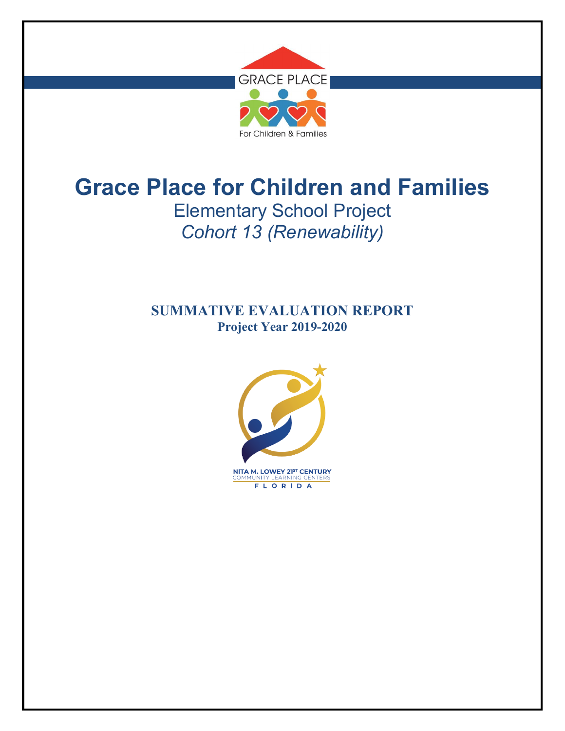

# **Grace Place for Children and Families** Elementary School Project *Cohort 13 (Renewability)*

# **SUMMATIVE EVALUATION REPORT Project Year 2019-2020**

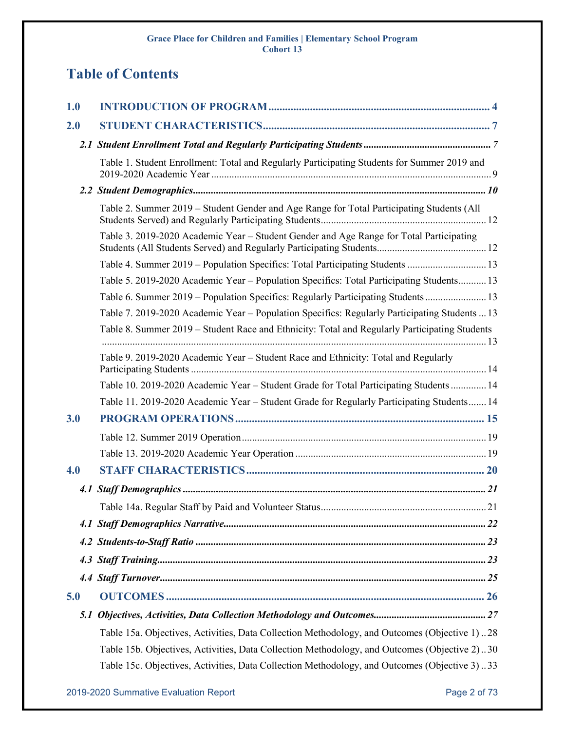# **Table of Contents**

| 1.0 |                                                                                               |
|-----|-----------------------------------------------------------------------------------------------|
| 2.0 |                                                                                               |
|     |                                                                                               |
|     | Table 1. Student Enrollment: Total and Regularly Participating Students for Summer 2019 and   |
|     |                                                                                               |
|     | Table 2. Summer 2019 – Student Gender and Age Range for Total Participating Students (All     |
|     | Table 3. 2019-2020 Academic Year – Student Gender and Age Range for Total Participating       |
|     | Table 4. Summer 2019 - Population Specifics: Total Participating Students  13                 |
|     | Table 5. 2019-2020 Academic Year - Population Specifics: Total Participating Students 13      |
|     | Table 6. Summer 2019 - Population Specifics: Regularly Participating Students 13              |
|     | Table 7. 2019-2020 Academic Year - Population Specifics: Regularly Participating Students  13 |
|     | Table 8. Summer 2019 – Student Race and Ethnicity: Total and Regularly Participating Students |
|     | Table 9. 2019-2020 Academic Year – Student Race and Ethnicity: Total and Regularly            |
|     | Table 10. 2019-2020 Academic Year - Student Grade for Total Participating Students  14        |
|     | Table 11. 2019-2020 Academic Year – Student Grade for Regularly Participating Students 14     |
| 3.0 |                                                                                               |
|     |                                                                                               |
|     |                                                                                               |
| 4.0 |                                                                                               |
|     |                                                                                               |
|     |                                                                                               |
|     |                                                                                               |
|     |                                                                                               |
|     |                                                                                               |
|     |                                                                                               |
| 5.0 |                                                                                               |
| 5.1 |                                                                                               |
|     | Table 15a. Objectives, Activities, Data Collection Methodology, and Outcomes (Objective 1) 28 |
|     | Table 15b. Objectives, Activities, Data Collection Methodology, and Outcomes (Objective 2)30  |
|     | Table 15c. Objectives, Activities, Data Collection Methodology, and Outcomes (Objective 3)33  |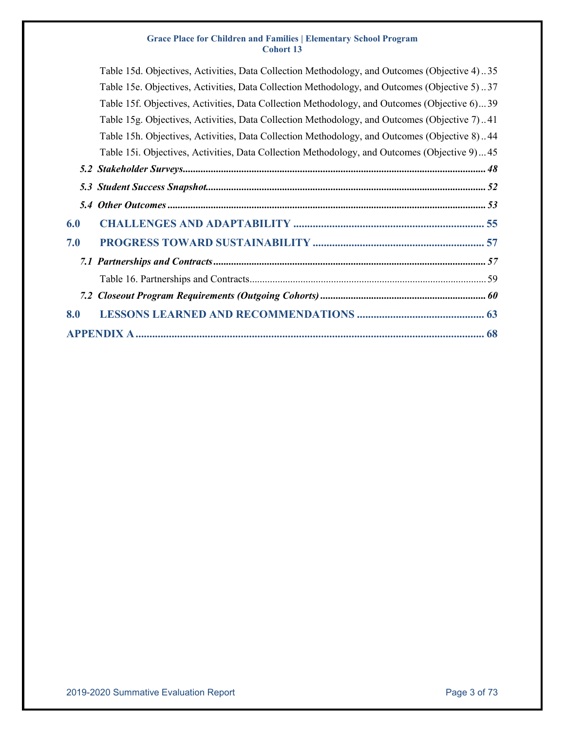|     | Table 15d. Objectives, Activities, Data Collection Methodology, and Outcomes (Objective 4). 35 |
|-----|------------------------------------------------------------------------------------------------|
|     | Table 15e. Objectives, Activities, Data Collection Methodology, and Outcomes (Objective 5)37   |
|     | Table 15f. Objectives, Activities, Data Collection Methodology, and Outcomes (Objective 6)39   |
|     | Table 15g. Objectives, Activities, Data Collection Methodology, and Outcomes (Objective 7)41   |
|     | Table 15h. Objectives, Activities, Data Collection Methodology, and Outcomes (Objective 8)44   |
|     | Table 15i. Objectives, Activities, Data Collection Methodology, and Outcomes (Objective 9)45   |
|     |                                                                                                |
|     |                                                                                                |
|     |                                                                                                |
| 6.0 |                                                                                                |
| 7.0 |                                                                                                |
|     |                                                                                                |
|     |                                                                                                |
|     |                                                                                                |
| 8.0 |                                                                                                |
|     |                                                                                                |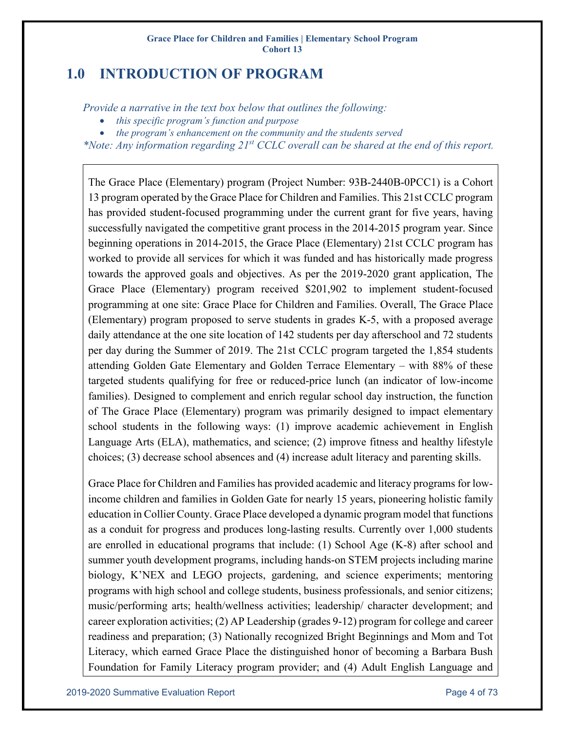# <span id="page-3-0"></span>**1.0 INTRODUCTION OF PROGRAM**

*Provide a narrative in the text box below that outlines the following:*

- *this specific program's function and purpose*
- *the program's enhancement on the community and the students served*

*\*Note: Any information regarding 21st CCLC overall can be shared at the end of this report.*

The Grace Place (Elementary) program (Project Number: 93B-2440B-0PCC1) is a Cohort 13 program operated by the Grace Place for Children and Families. This 21st CCLC program has provided student-focused programming under the current grant for five years, having successfully navigated the competitive grant process in the 2014-2015 program year. Since beginning operations in 2014-2015, the Grace Place (Elementary) 21st CCLC program has worked to provide all services for which it was funded and has historically made progress towards the approved goals and objectives. As per the 2019-2020 grant application, The Grace Place (Elementary) program received \$201,902 to implement student-focused programming at one site: Grace Place for Children and Families. Overall, The Grace Place (Elementary) program proposed to serve students in grades K-5, with a proposed average daily attendance at the one site location of 142 students per day afterschool and 72 students per day during the Summer of 2019. The 21st CCLC program targeted the 1,854 students attending Golden Gate Elementary and Golden Terrace Elementary – with 88% of these targeted students qualifying for free or reduced-price lunch (an indicator of low-income families). Designed to complement and enrich regular school day instruction, the function of The Grace Place (Elementary) program was primarily designed to impact elementary school students in the following ways: (1) improve academic achievement in English Language Arts (ELA), mathematics, and science; (2) improve fitness and healthy lifestyle choices; (3) decrease school absences and (4) increase adult literacy and parenting skills.

Grace Place for Children and Families has provided academic and literacy programs for lowincome children and families in Golden Gate for nearly 15 years, pioneering holistic family education in Collier County. Grace Place developed a dynamic program model that functions as a conduit for progress and produces long-lasting results. Currently over 1,000 students are enrolled in educational programs that include: (1) School Age (K-8) after school and summer youth development programs, including hands-on STEM projects including marine biology, K'NEX and LEGO projects, gardening, and science experiments; mentoring programs with high school and college students, business professionals, and senior citizens; music/performing arts; health/wellness activities; leadership/ character development; and career exploration activities; (2) AP Leadership (grades 9-12) program for college and career readiness and preparation; (3) Nationally recognized Bright Beginnings and Mom and Tot Literacy, which earned Grace Place the distinguished honor of becoming a Barbara Bush Foundation for Family Literacy program provider; and (4) Adult English Language and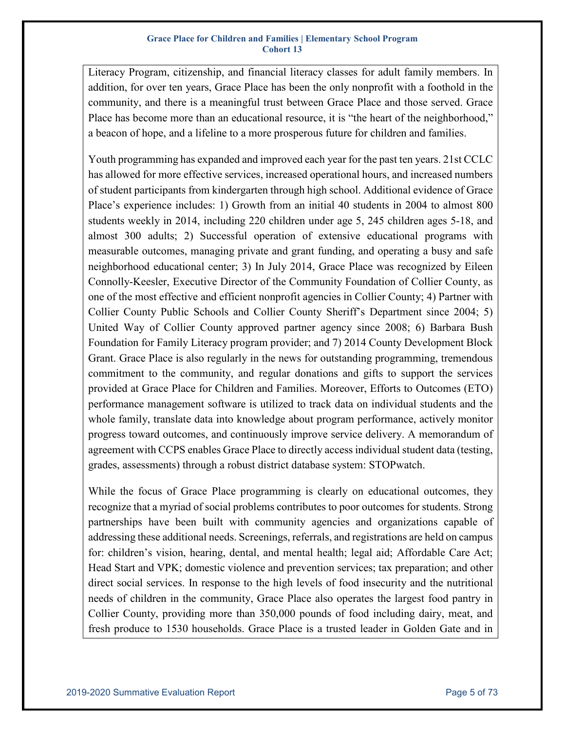Literacy Program, citizenship, and financial literacy classes for adult family members. In addition, for over ten years, Grace Place has been the only nonprofit with a foothold in the community, and there is a meaningful trust between Grace Place and those served. Grace Place has become more than an educational resource, it is "the heart of the neighborhood," a beacon of hope, and a lifeline to a more prosperous future for children and families.

Youth programming has expanded and improved each year for the past ten years. 21st CCLC has allowed for more effective services, increased operational hours, and increased numbers of student participants from kindergarten through high school. Additional evidence of Grace Place's experience includes: 1) Growth from an initial 40 students in 2004 to almost 800 students weekly in 2014, including 220 children under age 5, 245 children ages 5-18, and almost 300 adults; 2) Successful operation of extensive educational programs with measurable outcomes, managing private and grant funding, and operating a busy and safe neighborhood educational center; 3) In July 2014, Grace Place was recognized by Eileen Connolly-Keesler, Executive Director of the Community Foundation of Collier County, as one of the most effective and efficient nonprofit agencies in Collier County; 4) Partner with Collier County Public Schools and Collier County Sheriff's Department since 2004; 5) United Way of Collier County approved partner agency since 2008; 6) Barbara Bush Foundation for Family Literacy program provider; and 7) 2014 County Development Block Grant. Grace Place is also regularly in the news for outstanding programming, tremendous commitment to the community, and regular donations and gifts to support the services provided at Grace Place for Children and Families. Moreover, Efforts to Outcomes (ETO) performance management software is utilized to track data on individual students and the whole family, translate data into knowledge about program performance, actively monitor progress toward outcomes, and continuously improve service delivery. A memorandum of agreement with CCPS enables Grace Place to directly access individual student data (testing, grades, assessments) through a robust district database system: STOPwatch.

While the focus of Grace Place programming is clearly on educational outcomes, they recognize that a myriad of social problems contributes to poor outcomes for students. Strong partnerships have been built with community agencies and organizations capable of addressing these additional needs. Screenings, referrals, and registrations are held on campus for: children's vision, hearing, dental, and mental health; legal aid; Affordable Care Act; Head Start and VPK; domestic violence and prevention services; tax preparation; and other direct social services. In response to the high levels of food insecurity and the nutritional needs of children in the community, Grace Place also operates the largest food pantry in Collier County, providing more than 350,000 pounds of food including dairy, meat, and fresh produce to 1530 households. Grace Place is a trusted leader in Golden Gate and in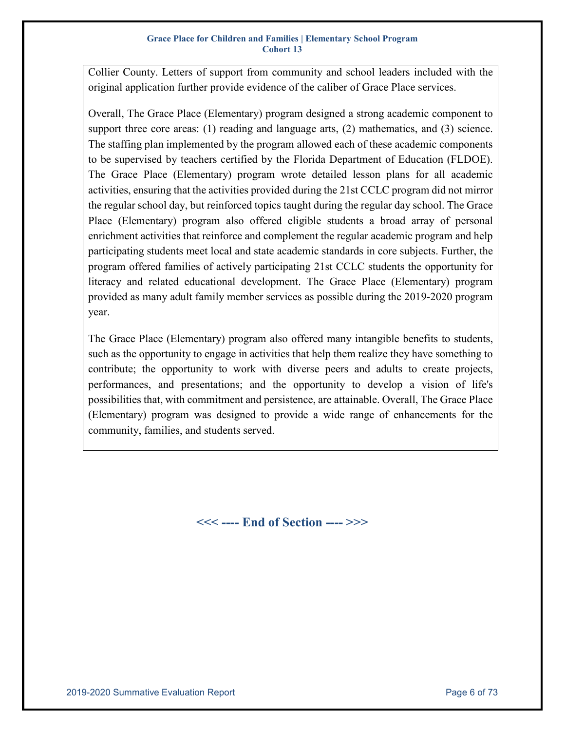Collier County. Letters of support from community and school leaders included with the original application further provide evidence of the caliber of Grace Place services.

Overall, The Grace Place (Elementary) program designed a strong academic component to support three core areas: (1) reading and language arts, (2) mathematics, and (3) science. The staffing plan implemented by the program allowed each of these academic components to be supervised by teachers certified by the Florida Department of Education (FLDOE). The Grace Place (Elementary) program wrote detailed lesson plans for all academic activities, ensuring that the activities provided during the 21st CCLC program did not mirror the regular school day, but reinforced topics taught during the regular day school. The Grace Place (Elementary) program also offered eligible students a broad array of personal enrichment activities that reinforce and complement the regular academic program and help participating students meet local and state academic standards in core subjects. Further, the program offered families of actively participating 21st CCLC students the opportunity for literacy and related educational development. The Grace Place (Elementary) program provided as many adult family member services as possible during the 2019-2020 program year.

The Grace Place (Elementary) program also offered many intangible benefits to students, such as the opportunity to engage in activities that help them realize they have something to contribute; the opportunity to work with diverse peers and adults to create projects, performances, and presentations; and the opportunity to develop a vision of life's possibilities that, with commitment and persistence, are attainable. Overall, The Grace Place (Elementary) program was designed to provide a wide range of enhancements for the community, families, and students served.

**<<< ---- End of Section ---- >>>**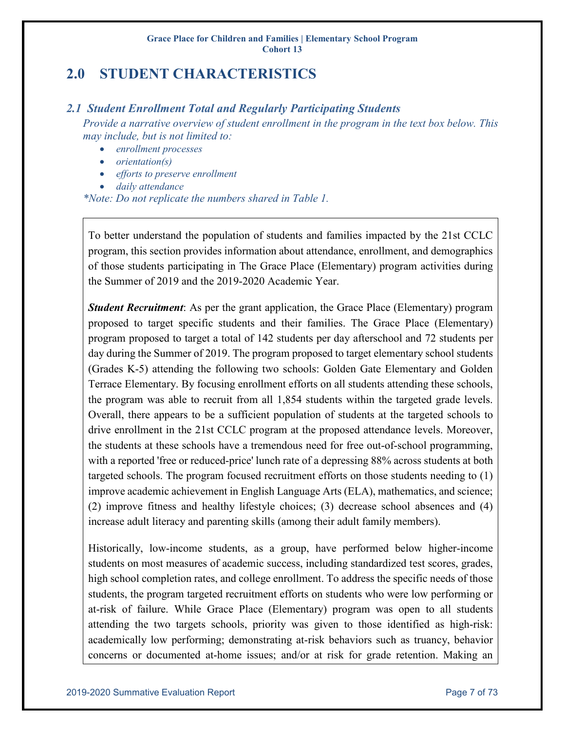# <span id="page-6-0"></span>**2.0 STUDENT CHARACTERISTICS**

### <span id="page-6-1"></span>*2.1 Student Enrollment Total and Regularly Participating Students*

*Provide a narrative overview of student enrollment in the program in the text box below. This may include, but is not limited to:*

- *enrollment processes*
- *orientation(s)*
- *efforts to preserve enrollment*
- *daily attendance*

*\*Note: Do not replicate the numbers shared in Table 1.*

To better understand the population of students and families impacted by the 21st CCLC program, this section provides information about attendance, enrollment, and demographics of those students participating in The Grace Place (Elementary) program activities during the Summer of 2019 and the 2019-2020 Academic Year.

*Student Recruitment*: As per the grant application, the Grace Place (Elementary) program proposed to target specific students and their families. The Grace Place (Elementary) program proposed to target a total of 142 students per day afterschool and 72 students per day during the Summer of 2019. The program proposed to target elementary school students (Grades K-5) attending the following two schools: Golden Gate Elementary and Golden Terrace Elementary. By focusing enrollment efforts on all students attending these schools, the program was able to recruit from all 1,854 students within the targeted grade levels. Overall, there appears to be a sufficient population of students at the targeted schools to drive enrollment in the 21st CCLC program at the proposed attendance levels. Moreover, the students at these schools have a tremendous need for free out-of-school programming, with a reported 'free or reduced-price' lunch rate of a depressing 88% across students at both targeted schools. The program focused recruitment efforts on those students needing to (1) improve academic achievement in English Language Arts (ELA), mathematics, and science; (2) improve fitness and healthy lifestyle choices; (3) decrease school absences and (4) increase adult literacy and parenting skills (among their adult family members).

Historically, low-income students, as a group, have performed below higher-income students on most measures of academic success, including standardized test scores, grades, high school completion rates, and college enrollment. To address the specific needs of those students, the program targeted recruitment efforts on students who were low performing or at-risk of failure. While Grace Place (Elementary) program was open to all students attending the two targets schools, priority was given to those identified as high-risk: academically low performing; demonstrating at-risk behaviors such as truancy, behavior concerns or documented at-home issues; and/or at risk for grade retention. Making an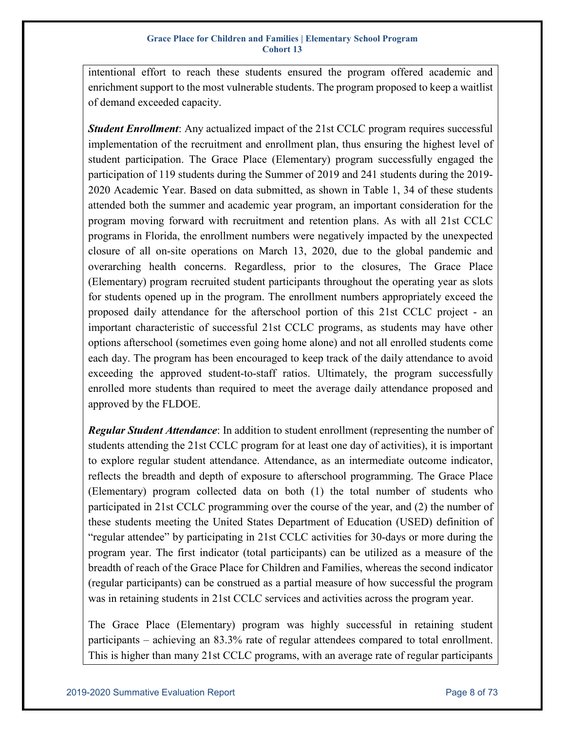intentional effort to reach these students ensured the program offered academic and enrichment support to the most vulnerable students. The program proposed to keep a waitlist of demand exceeded capacity.

*Student Enrollment*: Any actualized impact of the 21st CCLC program requires successful implementation of the recruitment and enrollment plan, thus ensuring the highest level of student participation. The Grace Place (Elementary) program successfully engaged the participation of 119 students during the Summer of 2019 and 241 students during the 2019- 2020 Academic Year. Based on data submitted, as shown in Table 1, 34 of these students attended both the summer and academic year program, an important consideration for the program moving forward with recruitment and retention plans. As with all 21st CCLC programs in Florida, the enrollment numbers were negatively impacted by the unexpected closure of all on-site operations on March 13, 2020, due to the global pandemic and overarching health concerns. Regardless, prior to the closures, The Grace Place (Elementary) program recruited student participants throughout the operating year as slots for students opened up in the program. The enrollment numbers appropriately exceed the proposed daily attendance for the afterschool portion of this 21st CCLC project - an important characteristic of successful 21st CCLC programs, as students may have other options afterschool (sometimes even going home alone) and not all enrolled students come each day. The program has been encouraged to keep track of the daily attendance to avoid exceeding the approved student-to-staff ratios. Ultimately, the program successfully enrolled more students than required to meet the average daily attendance proposed and approved by the FLDOE.

*Regular Student Attendance*: In addition to student enrollment (representing the number of students attending the 21st CCLC program for at least one day of activities), it is important to explore regular student attendance. Attendance, as an intermediate outcome indicator, reflects the breadth and depth of exposure to afterschool programming. The Grace Place (Elementary) program collected data on both (1) the total number of students who participated in 21st CCLC programming over the course of the year, and (2) the number of these students meeting the United States Department of Education (USED) definition of "regular attendee" by participating in 21st CCLC activities for 30-days or more during the program year. The first indicator (total participants) can be utilized as a measure of the breadth of reach of the Grace Place for Children and Families, whereas the second indicator (regular participants) can be construed as a partial measure of how successful the program was in retaining students in 21st CCLC services and activities across the program year.

The Grace Place (Elementary) program was highly successful in retaining student participants – achieving an 83.3% rate of regular attendees compared to total enrollment. This is higher than many 21st CCLC programs, with an average rate of regular participants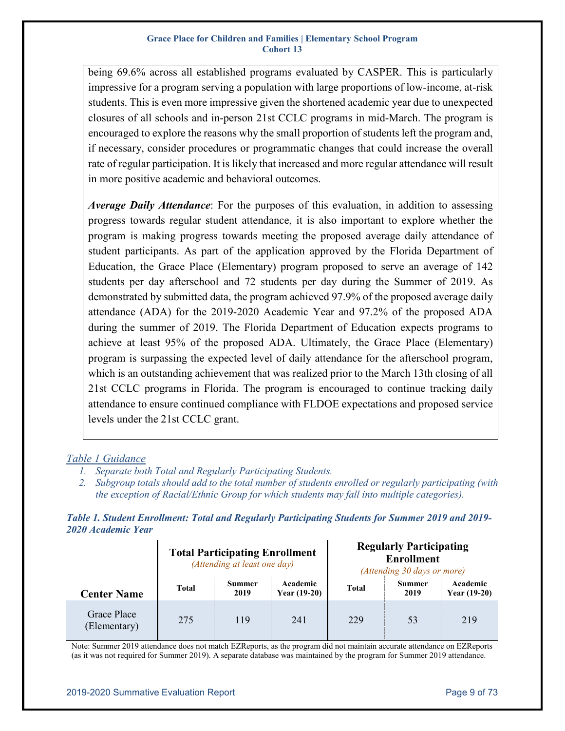being 69.6% across all established programs evaluated by CASPER. This is particularly impressive for a program serving a population with large proportions of low-income, at-risk students. This is even more impressive given the shortened academic year due to unexpected closures of all schools and in-person 21st CCLC programs in mid-March. The program is encouraged to explore the reasons why the small proportion of students left the program and, if necessary, consider procedures or programmatic changes that could increase the overall rate of regular participation. It is likely that increased and more regular attendance will result in more positive academic and behavioral outcomes.

*Average Daily Attendance*: For the purposes of this evaluation, in addition to assessing progress towards regular student attendance, it is also important to explore whether the program is making progress towards meeting the proposed average daily attendance of student participants. As part of the application approved by the Florida Department of Education, the Grace Place (Elementary) program proposed to serve an average of 142 students per day afterschool and 72 students per day during the Summer of 2019. As demonstrated by submitted data, the program achieved 97.9% of the proposed average daily attendance (ADA) for the 2019-2020 Academic Year and 97.2% of the proposed ADA during the summer of 2019. The Florida Department of Education expects programs to achieve at least 95% of the proposed ADA. Ultimately, the Grace Place (Elementary) program is surpassing the expected level of daily attendance for the afterschool program, which is an outstanding achievement that was realized prior to the March 13th closing of all 21st CCLC programs in Florida. The program is encouraged to continue tracking daily attendance to ensure continued compliance with FLDOE expectations and proposed service levels under the 21st CCLC grant.

### *Table 1 Guidance*

- *1. Separate both Total and Regularly Participating Students.*
- *2. Subgroup totals should add to the total number of students enrolled or regularly participating (with the exception of Racial/Ethnic Group for which students may fall into multiple categories).*

<span id="page-8-0"></span>*Table 1. Student Enrollment: Total and Regularly Participating Students for Summer 2019 and 2019- 2020 Academic Year*

|                             |              | <b>Total Participating Enrollment</b><br>(Attending at least one day) |                            | <b>Regularly Participating</b><br><b>Enrollment</b><br>(Attending 30 days or more) |                       |                            |  |  |  |  |
|-----------------------------|--------------|-----------------------------------------------------------------------|----------------------------|------------------------------------------------------------------------------------|-----------------------|----------------------------|--|--|--|--|
| <b>Center Name</b>          | <b>Total</b> | Summer<br>2019                                                        | Academic<br>Year $(19-20)$ | <b>Total</b>                                                                       | <b>Summer</b><br>2019 | Academic<br>Year $(19-20)$ |  |  |  |  |
| Grace Place<br>(Elementary) | 275          | 119                                                                   | 241                        | 229                                                                                | 53                    | 219                        |  |  |  |  |

Note: Summer 2019 attendance does not match EZReports, as the program did not maintain accurate attendance on EZReports (as it was not required for Summer 2019). A separate database was maintained by the program for Summer 2019 attendance.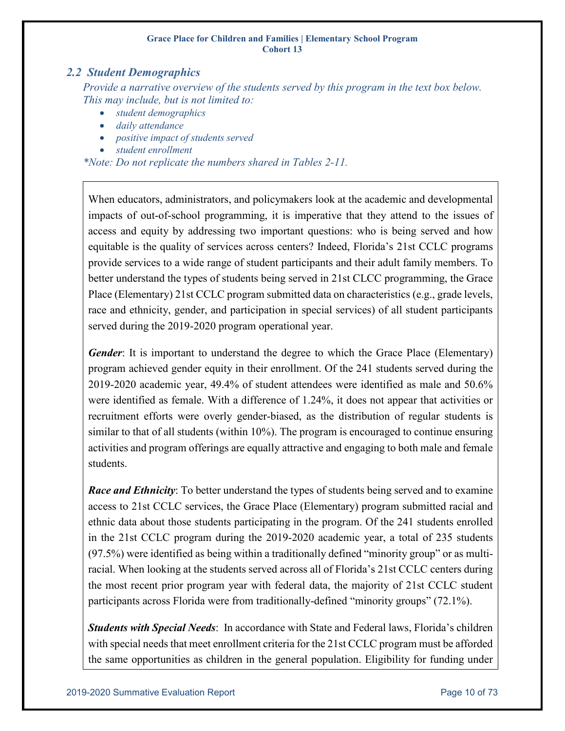### <span id="page-9-0"></span>*2.2 Student Demographics*

*Provide a narrative overview of the students served by this program in the text box below. This may include, but is not limited to:*

- *student demographics*
- *daily attendance*
- *positive impact of students served*
- *student enrollment*

*\*Note: Do not replicate the numbers shared in Tables 2-11.*

When educators, administrators, and policymakers look at the academic and developmental impacts of out-of-school programming, it is imperative that they attend to the issues of access and equity by addressing two important questions: who is being served and how equitable is the quality of services across centers? Indeed, Florida's 21st CCLC programs provide services to a wide range of student participants and their adult family members. To better understand the types of students being served in 21st CLCC programming, the Grace Place (Elementary) 21st CCLC program submitted data on characteristics (e.g., grade levels, race and ethnicity, gender, and participation in special services) of all student participants served during the 2019-2020 program operational year.

*Gender*: It is important to understand the degree to which the Grace Place (Elementary) program achieved gender equity in their enrollment. Of the 241 students served during the 2019-2020 academic year, 49.4% of student attendees were identified as male and 50.6% were identified as female. With a difference of 1.24%, it does not appear that activities or recruitment efforts were overly gender-biased, as the distribution of regular students is similar to that of all students (within 10%). The program is encouraged to continue ensuring activities and program offerings are equally attractive and engaging to both male and female students.

*Race and Ethnicity*: To better understand the types of students being served and to examine access to 21st CCLC services, the Grace Place (Elementary) program submitted racial and ethnic data about those students participating in the program. Of the 241 students enrolled in the 21st CCLC program during the 2019-2020 academic year, a total of 235 students (97.5%) were identified as being within a traditionally defined "minority group" or as multiracial. When looking at the students served across all of Florida's 21st CCLC centers during the most recent prior program year with federal data, the majority of 21st CCLC student participants across Florida were from traditionally-defined "minority groups" (72.1%).

*Students with Special Needs*: In accordance with State and Federal laws, Florida's children with special needs that meet enrollment criteria for the 21st CCLC program must be afforded the same opportunities as children in the general population. Eligibility for funding under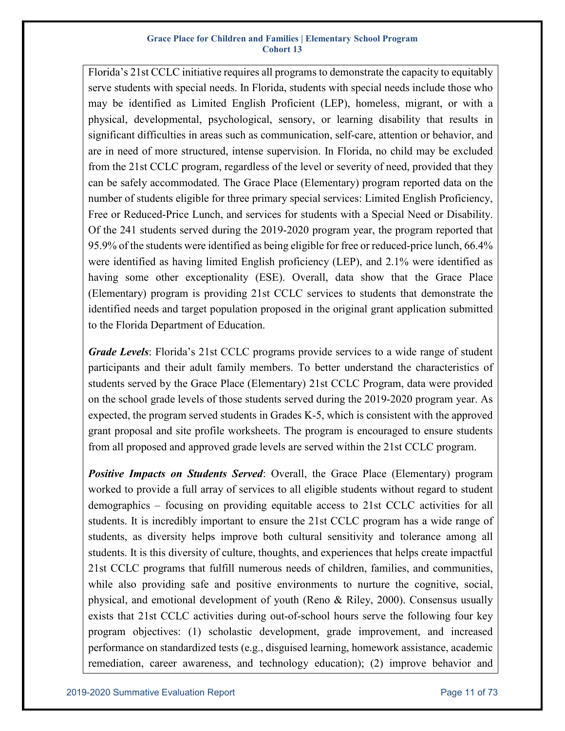Florida's 21st CCLC initiative requires all programs to demonstrate the capacity to equitably serve students with special needs. In Florida, students with special needs include those who may be identified as Limited English Proficient (LEP), homeless, migrant, or with a physical, developmental, psychological, sensory, or learning disability that results in significant difficulties in areas such as communication, self-care, attention or behavior, and are in need of more structured, intense supervision. In Florida, no child may be excluded from the 21st CCLC program, regardless of the level or severity of need, provided that they can be safely accommodated. The Grace Place (Elementary) program reported data on the number of students eligible for three primary special services: Limited English Proficiency, Free or Reduced-Price Lunch, and services for students with a Special Need or Disability. Of the 241 students served during the 2019-2020 program year, the program reported that 95.9% of the students were identified as being eligible for free or reduced-price lunch, 66.4% were identified as having limited English proficiency (LEP), and 2.1% were identified as having some other exceptionality (ESE). Overall, data show that the Grace Place (Elementary) program is providing 21st CCLC services to students that demonstrate the identified needs and target population proposed in the original grant application submitted to the Florida Department of Education.

*Grade Levels*: Florida's 21st CCLC programs provide services to a wide range of student participants and their adult family members. To better understand the characteristics of students served by the Grace Place (Elementary) 21st CCLC Program, data were provided on the school grade levels of those students served during the 2019-2020 program year. As expected, the program served students in Grades K-5, which is consistent with the approved grant proposal and site profile worksheets. The program is encouraged to ensure students from all proposed and approved grade levels are served within the 21st CCLC program.

*Positive Impacts on Students Served*: Overall, the Grace Place (Elementary) program worked to provide a full array of services to all eligible students without regard to student demographics – focusing on providing equitable access to 21st CCLC activities for all students. It is incredibly important to ensure the 21st CCLC program has a wide range of students, as diversity helps improve both cultural sensitivity and tolerance among all students. It is this diversity of culture, thoughts, and experiences that helps create impactful 21st CCLC programs that fulfill numerous needs of children, families, and communities, while also providing safe and positive environments to nurture the cognitive, social, physical, and emotional development of youth (Reno & Riley, 2000). Consensus usually exists that 21st CCLC activities during out-of-school hours serve the following four key program objectives: (1) scholastic development, grade improvement, and increased performance on standardized tests (e.g., disguised learning, homework assistance, academic remediation, career awareness, and technology education); (2) improve behavior and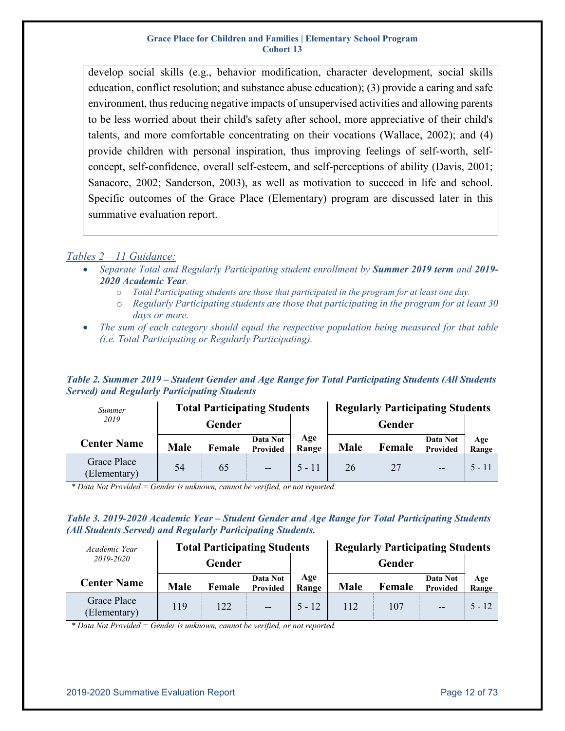develop social skills (e.g., behavior modification, character development, social skills education, conflict resolution; and substance abuse education); (3) provide a caring and safe environment, thus reducing negative impacts of unsupervised activities and allowing parents to be less worried about their child's safety after school, more appreciative of their child's talents, and more comfortable concentrating on their vocations (Wallace, 2002); and (4) provide children with personal inspiration, thus improving feelings of self-worth, selfconcept, self-confidence, overall self-esteem, and self-perceptions of ability (Davis, 2001; Sanacore, 2002; Sanderson, 2003), as well as motivation to succeed in life and school. Specific outcomes of the Grace Place (Elementary) program are discussed later in this summative evaluation report.

### *Tables 2 – 11 Guidance:*

- *Separate Total and Regularly Participating student enrollment by Summer 2019 term and 2019- 2020 Academic Year.*
	- o *Total Participating students are those that participated in the program for at least one day.*
	- o *Regularly Participating students are those that participating in the program for at least 30 days or more.*
- *The sum of each category should equal the respective population being measured for that table (i.e. Total Participating or Regularly Participating).*

### <span id="page-11-0"></span>*Table 2. Summer 2019 – Student Gender and Age Range for Total Participating Students (All Students Served) and Regularly Participating Students*

| Summer                      |             | <b>Total Participating Students</b> |                      |              | <b>Regularly Participating Students</b> |        |                      |              |  |  |  |
|-----------------------------|-------------|-------------------------------------|----------------------|--------------|-----------------------------------------|--------|----------------------|--------------|--|--|--|
| 2019                        |             | Gender                              |                      |              |                                         | Gender |                      |              |  |  |  |
| <b>Center Name</b>          | <b>Male</b> | Female                              | Data Not<br>Provided | Age<br>Range | <b>Male</b>                             | Female | Data Not<br>Provided | Age<br>Range |  |  |  |
| Grace Place<br>(Elementary) | 54          | 65                                  | $\sim$               | $5 - 11$     | 26                                      | 27     | $-$                  | $5 - 11$     |  |  |  |

*\* Data Not Provided = Gender is unknown, cannot be verified, or not reported.*

### <span id="page-11-1"></span>*Table 3. 2019-2020 Academic Year – Student Gender and Age Range for Total Participating Students (All Students Served) and Regularly Participating Students.*

| Academic Year               |                       | <b>Total Participating Students</b> |                      |              | <b>Regularly Participating Students</b> |        |                      |              |  |  |
|-----------------------------|-----------------------|-------------------------------------|----------------------|--------------|-----------------------------------------|--------|----------------------|--------------|--|--|
| 2019-2020                   |                       | Gender                              |                      |              |                                         |        |                      |              |  |  |
| <b>Center Name</b>          | <b>Male</b><br>Female |                                     | Data Not<br>Provided | Age<br>Range | <b>Male</b>                             | Female | Data Not<br>Provided | Age<br>Range |  |  |
| Grace Place<br>(Elementary) | 119                   | 122                                 | $\overline{a}$       | $5 - 12$     | 112                                     | 107    | $-$                  | $5 - 12$     |  |  |

*\* Data Not Provided = Gender is unknown, cannot be verified, or not reported.*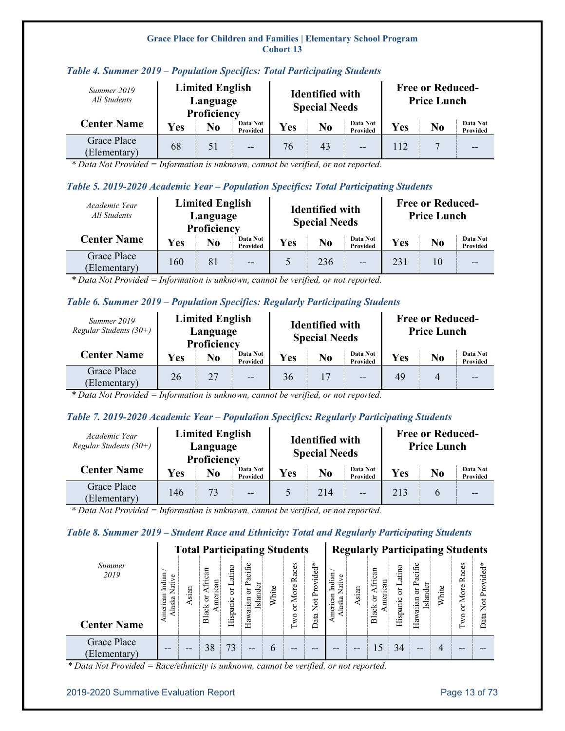| Summer 2019<br>All Students        |            | <b>Limited English</b><br>Language<br>Proficiency |                      |     | <b>Identified with</b><br><b>Special Needs</b> |                      | <b>Free or Reduced-</b><br><b>Price Lunch</b> |    |                      |  |  |
|------------------------------------|------------|---------------------------------------------------|----------------------|-----|------------------------------------------------|----------------------|-----------------------------------------------|----|----------------------|--|--|
| <b>Center Name</b>                 | <b>Yes</b> | No                                                | Data Not<br>Provided | Yes | $\bf No$                                       | Data Not<br>Provided | Yes                                           | No | Data Not<br>Provided |  |  |
| <b>Grace Place</b><br>(Elementary) | 68         | 51                                                | $- -$                | 76  | 43                                             | $- -$                | 112                                           |    |                      |  |  |

### <span id="page-12-0"></span>*Table 4. Summer 2019 – Population Specifics: Total Participating Students*

*\* Data Not Provided = Information is unknown, cannot be verified, or not reported.*

### <span id="page-12-1"></span>*Table 5. 2019-2020 Academic Year – Population Specifics: Total Participating Students*

| Academic Year<br>All Students |            | <b>Limited English</b><br>Language<br>Proficiency |                      |     | <b>Identified with</b><br><b>Special Needs</b> |                      | <b>Free or Reduced-</b><br><b>Price Lunch</b> |          |                      |  |
|-------------------------------|------------|---------------------------------------------------|----------------------|-----|------------------------------------------------|----------------------|-----------------------------------------------|----------|----------------------|--|
| <b>Center Name</b>            | <b>Yes</b> | N <sub>0</sub>                                    | Data Not<br>Provided | Yes | $\bf No$                                       | Data Not<br>Provided | Yes                                           | $\bf No$ | Data Not<br>Provided |  |
| Grace Place<br>(Elementary)   | 160        | 81                                                | $- -$                |     | 236                                            | $- -$                | 231                                           | 10       | --                   |  |

*\* Data Not Provided = Information is unknown, cannot be verified, or not reported.*

### <span id="page-12-2"></span>*Table 6. Summer 2019 – Population Specifics: Regularly Participating Students*

| Summer 2019<br>Regular Students $(30+)$ |     | <b>Limited English</b><br>Language<br>Proficiency |                      |     | <b>Identified with</b><br><b>Special Needs</b> |                      | <b>Free or Reduced-</b><br><b>Price Lunch</b> |                |                      |  |
|-----------------------------------------|-----|---------------------------------------------------|----------------------|-----|------------------------------------------------|----------------------|-----------------------------------------------|----------------|----------------------|--|
| <b>Center Name</b>                      | Yes | No                                                | Data Not<br>Provided | Yes | N <sub>0</sub>                                 | Data Not<br>Provided | Yes                                           | N <sub>0</sub> | Data Not<br>Provided |  |
| Grace Place<br>(Elementary)             | 26  | 27                                                | $- -$                | 36  | 17                                             | $-$                  | 49                                            |                | $- -$                |  |

*\* Data Not Provided = Information is unknown, cannot be verified, or not reported.*

### <span id="page-12-3"></span>*Table 7. 2019-2020 Academic Year – Population Specifics: Regularly Participating Students*

| Academic Year<br>Regular Students $(30+)$ |            | <b>Limited English</b><br>Language<br>Proficiency |                      |            | <b>Identified with</b><br><b>Special Needs</b> |                      | <b>Free or Reduced-</b><br><b>Price Lunch</b> |          |                      |  |
|-------------------------------------------|------------|---------------------------------------------------|----------------------|------------|------------------------------------------------|----------------------|-----------------------------------------------|----------|----------------------|--|
| <b>Center Name</b>                        | <b>Yes</b> | N <sub>0</sub>                                    | Data Not<br>Provided | <b>Yes</b> | $\bf No$                                       | Data Not<br>Provided | Yes                                           | $\bf No$ | Data Not<br>Provided |  |
| Grace Place<br>(Elementary)               | 146        | 73                                                | $- -$                |            | 214                                            | $- -$                | 213                                           |          | $- -$                |  |

*\* Data Not Provided = Information is unknown, cannot be verified, or not reported.*

### <span id="page-12-4"></span>*Table 8. Summer 2019 – Student Race and Ethnicity: Total and Regularly Participating Students*

|                             |                                           |       | <b>Total Participating Students</b> |                       |                                                                        |       |                                |                                                           | <b>Regularly Participating Students</b>  |       |                                   |                       |                                      |       |                    |                  |
|-----------------------------|-------------------------------------------|-------|-------------------------------------|-----------------------|------------------------------------------------------------------------|-------|--------------------------------|-----------------------------------------------------------|------------------------------------------|-------|-----------------------------------|-----------------------|--------------------------------------|-------|--------------------|------------------|
| Summer<br>2019              | Indian<br>Φ<br>Vativ<br>American<br>laska | Asian | can<br>ican<br>ă<br>Ħ<br>⊻          | or Latino<br>Hispanic | ు<br>acifi<br>≏<br>Islander<br>$\overleftarrow{\mathrm{o}}$<br>awaiian | White | Races<br>More<br>ð             | $\chi$<br>ided<br>!<br>TOV.<br>≏<br>$\overline{\text{R}}$ | Indian<br>Φ<br>Vativ<br>merican<br>laska | Asian | can<br>Ē<br>ican<br>mer<br>ð<br>⊻ | or Latino<br>Hispanic | Pacific<br>Islander<br>ð<br>Hawaiian | White | Races<br>More<br>ă | Provided*<br>Not |
| <b>Center Name</b>          |                                           |       | Blac                                |                       | Ξ                                                                      |       | $\boldsymbol{\mathsf{S}}$<br>⊢ | Data                                                      |                                          |       | Blac                              |                       |                                      |       | χO<br>⊢            | Data             |
| Grace Place<br>(Elementary) | --                                        | --    | 38                                  | 73                    | --                                                                     | b     | --                             | --                                                        | --                                       | --    |                                   | 34                    | --                                   | 4     | --                 |                  |

*\* Data Not Provided = Race/ethnicity is unknown, cannot be verified, or not reported.*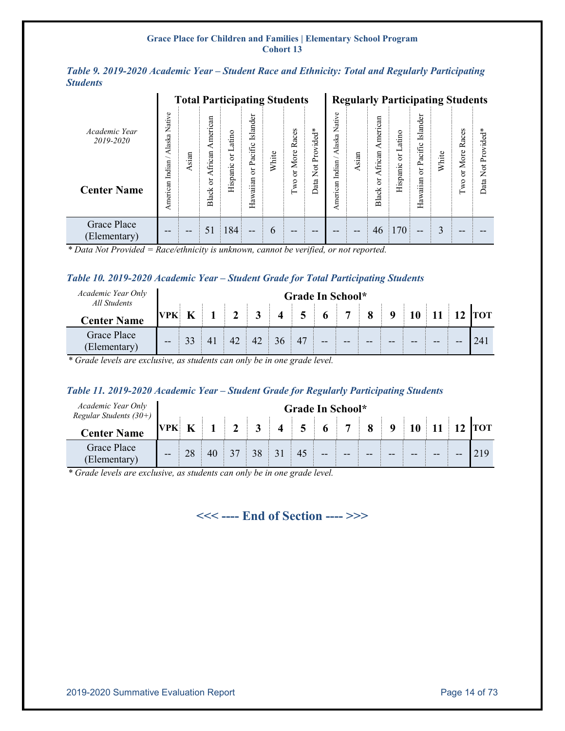<span id="page-13-0"></span>

|                 |  |  |  | Table 9. 2019-2020 Academic Year – Student Race and Ethnicity: Total and Regularly Participating |
|-----------------|--|--|--|--------------------------------------------------------------------------------------------------|
| <b>Students</b> |  |  |  |                                                                                                  |

|                             |                            | <b>Total Participating Students</b> |                    |                 |                     |       |                    |                                 |                       |       | <b>Regularly Participating Students</b> |           |                     |       |               |                                 |
|-----------------------------|----------------------------|-------------------------------------|--------------------|-----------------|---------------------|-------|--------------------|---------------------------------|-----------------------|-------|-----------------------------------------|-----------|---------------------|-------|---------------|---------------------------------|
| Academic Year<br>2019-2020  | Native<br>Alaska<br>Indian | Asian                               | merican<br>African | atino<br>ロ<br>ă | Islander<br>Pacific | White | s<br>Races<br>More | Provided*                       | Φ<br>Native<br>Alaska | sian  | American<br>African                     | or Latino | Islander<br>Pacific | White | Races<br>More | *<br>Provided                   |
| <b>Center Name</b>          | American                   |                                     | ð<br>Black         | Hispanic        | ä<br>Hawaiian       |       | ð.<br>$\Gamma$ wo  | $\overline{\text{Not}}$<br>Data | Indian<br>merican     |       | ă<br><b>Black</b>                       | Hispanic  | ð<br>Hawaiian       |       | ð.<br>Two     | $\overline{\mathbf{z}}$<br>Data |
| Grace Place<br>(Elementary) | --                         | --                                  |                    | 184             | $- -$               | 6     | $- -$              | --                              | --                    | $- -$ | 46                                      | 170       | --                  | 3     | --            |                                 |

*\* Data Not Provided = Race/ethnicity is unknown, cannot be verified, or not reported.*

#### <span id="page-13-1"></span>*Table 10. 2019-2020 Academic Year – Student Grade for Total Participating Students*

| Academic Year Only<br>All Students |            |          |    |                         |    | Grade In School* |                |    |             |    |            |
|------------------------------------|------------|----------|----|-------------------------|----|------------------|----------------|----|-------------|----|------------|
| <b>Center Name</b>                 | <b>VPK</b> |          |    | $\overline{\mathbf{4}}$ |    |                  | $\overline{ }$ |    | $\mathbf o$ |    | <b>TOT</b> |
| <b>Grace Place</b><br>(Elementary) | $ -$       | $\gamma$ | 42 | 36                      | 47 | $- -$            | $- -$          | -- | --          | -- |            |

*\* Grade levels are exclusive, as students can only be in one grade level.*

### <span id="page-13-2"></span>*Table 11. 2019-2020 Academic Year – Student Grade for Regularly Participating Students*

| Academic Year Only<br>Regular Students $(30+)$ |            |             |  |                |                         |                | Grade In School* |    |    |    |    |    |          |
|------------------------------------------------|------------|-------------|--|----------------|-------------------------|----------------|------------------|----|----|----|----|----|----------|
| <b>Center Name</b>                             | <b>VPK</b> | $\mathbf K$ |  | 3 <sup>1</sup> | $\overline{\mathbf{4}}$ | 5 <sup>5</sup> | 6 <sup>1</sup>   |    |    |    |    |    | $12$ TOT |
| <b>Grace Place</b><br>(Elementary)             | $- -$      |             |  |                |                         |                | $ -$             | -- | -- | -- | -- | -- |          |

*\* Grade levels are exclusive, as students can only be in one grade level.*

### **<<< ---- End of Section ---- >>>**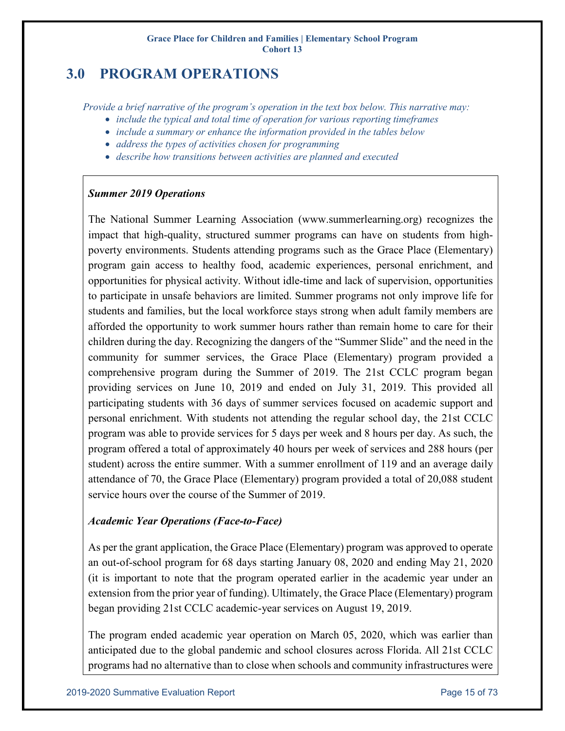## <span id="page-14-0"></span>**3.0 PROGRAM OPERATIONS**

*Provide a brief narrative of the program's operation in the text box below. This narrative may:* 

- *include the typical and total time of operation for various reporting timeframes*
- *include a summary or enhance the information provided in the tables below*
- *address the types of activities chosen for programming*
- *describe how transitions between activities are planned and executed*

### *Summer 2019 Operations*

The National Summer Learning Association (www.summerlearning.org) recognizes the impact that high-quality, structured summer programs can have on students from highpoverty environments. Students attending programs such as the Grace Place (Elementary) program gain access to healthy food, academic experiences, personal enrichment, and opportunities for physical activity. Without idle-time and lack of supervision, opportunities to participate in unsafe behaviors are limited. Summer programs not only improve life for students and families, but the local workforce stays strong when adult family members are afforded the opportunity to work summer hours rather than remain home to care for their children during the day. Recognizing the dangers of the "Summer Slide" and the need in the community for summer services, the Grace Place (Elementary) program provided a comprehensive program during the Summer of 2019. The 21st CCLC program began providing services on June 10, 2019 and ended on July 31, 2019. This provided all participating students with 36 days of summer services focused on academic support and personal enrichment. With students not attending the regular school day, the 21st CCLC program was able to provide services for 5 days per week and 8 hours per day. As such, the program offered a total of approximately 40 hours per week of services and 288 hours (per student) across the entire summer. With a summer enrollment of 119 and an average daily attendance of 70, the Grace Place (Elementary) program provided a total of 20,088 student service hours over the course of the Summer of 2019.

### *Academic Year Operations (Face-to-Face)*

As per the grant application, the Grace Place (Elementary) program was approved to operate an out-of-school program for 68 days starting January 08, 2020 and ending May 21, 2020 (it is important to note that the program operated earlier in the academic year under an extension from the prior year of funding). Ultimately, the Grace Place (Elementary) program began providing 21st CCLC academic-year services on August 19, 2019.

The program ended academic year operation on March 05, 2020, which was earlier than anticipated due to the global pandemic and school closures across Florida. All 21st CCLC programs had no alternative than to close when schools and community infrastructures were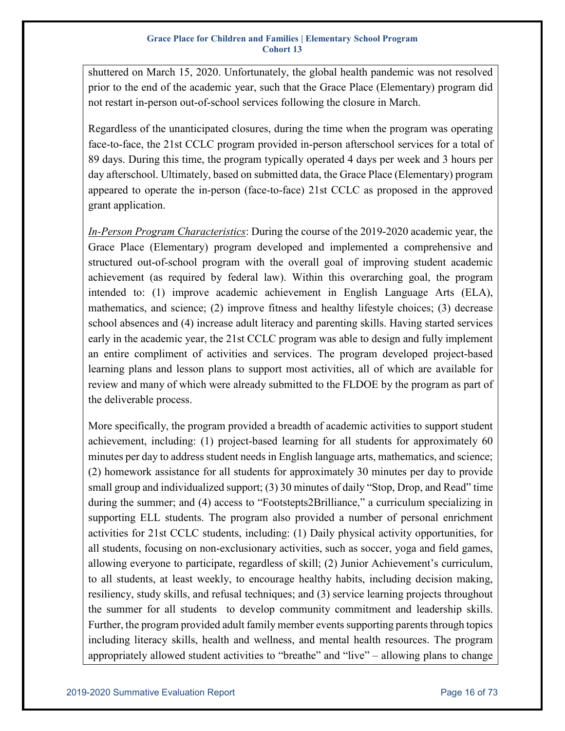shuttered on March 15, 2020. Unfortunately, the global health pandemic was not resolved prior to the end of the academic year, such that the Grace Place (Elementary) program did not restart in-person out-of-school services following the closure in March.

Regardless of the unanticipated closures, during the time when the program was operating face-to-face, the 21st CCLC program provided in-person afterschool services for a total of 89 days. During this time, the program typically operated 4 days per week and 3 hours per day afterschool. Ultimately, based on submitted data, the Grace Place (Elementary) program appeared to operate the in-person (face-to-face) 21st CCLC as proposed in the approved grant application.

*In-Person Program Characteristics*: During the course of the 2019-2020 academic year, the Grace Place (Elementary) program developed and implemented a comprehensive and structured out-of-school program with the overall goal of improving student academic achievement (as required by federal law). Within this overarching goal, the program intended to: (1) improve academic achievement in English Language Arts (ELA), mathematics, and science; (2) improve fitness and healthy lifestyle choices; (3) decrease school absences and (4) increase adult literacy and parenting skills. Having started services early in the academic year, the 21st CCLC program was able to design and fully implement an entire compliment of activities and services. The program developed project-based learning plans and lesson plans to support most activities, all of which are available for review and many of which were already submitted to the FLDOE by the program as part of the deliverable process.

More specifically, the program provided a breadth of academic activities to support student achievement, including: (1) project-based learning for all students for approximately 60 minutes per day to address student needs in English language arts, mathematics, and science; (2) homework assistance for all students for approximately 30 minutes per day to provide small group and individualized support; (3) 30 minutes of daily "Stop, Drop, and Read" time during the summer; and (4) access to "Footstepts2Brilliance," a curriculum specializing in supporting ELL students. The program also provided a number of personal enrichment activities for 21st CCLC students, including: (1) Daily physical activity opportunities, for all students, focusing on non-exclusionary activities, such as soccer, yoga and field games, allowing everyone to participate, regardless of skill; (2) Junior Achievement's curriculum, to all students, at least weekly, to encourage healthy habits, including decision making, resiliency, study skills, and refusal techniques; and (3) service learning projects throughout the summer for all students to develop community commitment and leadership skills. Further, the program provided adult family member events supporting parents through topics including literacy skills, health and wellness, and mental health resources. The program appropriately allowed student activities to "breathe" and "live" – allowing plans to change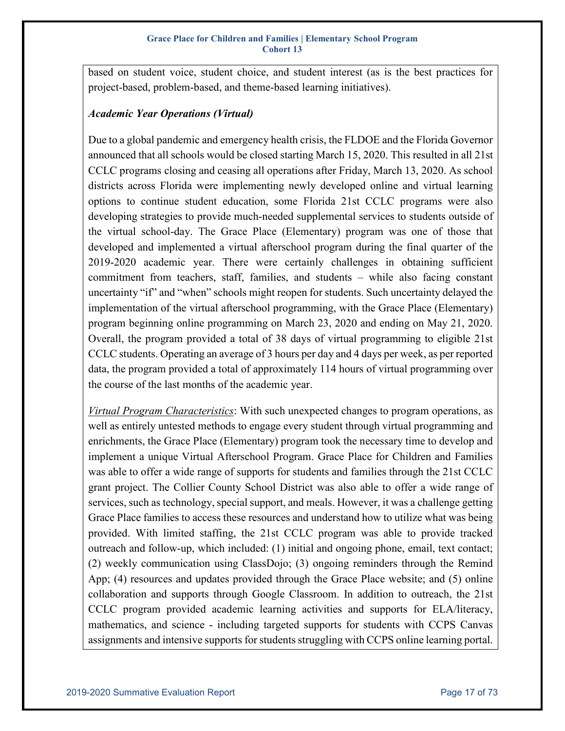based on student voice, student choice, and student interest (as is the best practices for project-based, problem-based, and theme-based learning initiatives).

### *Academic Year Operations (Virtual)*

Due to a global pandemic and emergency health crisis, the FLDOE and the Florida Governor announced that all schools would be closed starting March 15, 2020. This resulted in all 21st CCLC programs closing and ceasing all operations after Friday, March 13, 2020. As school districts across Florida were implementing newly developed online and virtual learning options to continue student education, some Florida 21st CCLC programs were also developing strategies to provide much-needed supplemental services to students outside of the virtual school-day. The Grace Place (Elementary) program was one of those that developed and implemented a virtual afterschool program during the final quarter of the 2019-2020 academic year. There were certainly challenges in obtaining sufficient commitment from teachers, staff, families, and students – while also facing constant uncertainty "if" and "when" schools might reopen for students. Such uncertainty delayed the implementation of the virtual afterschool programming, with the Grace Place (Elementary) program beginning online programming on March 23, 2020 and ending on May 21, 2020. Overall, the program provided a total of 38 days of virtual programming to eligible 21st CCLC students. Operating an average of 3 hours per day and 4 days per week, as per reported data, the program provided a total of approximately 114 hours of virtual programming over the course of the last months of the academic year.

*Virtual Program Characteristics*: With such unexpected changes to program operations, as well as entirely untested methods to engage every student through virtual programming and enrichments, the Grace Place (Elementary) program took the necessary time to develop and implement a unique Virtual Afterschool Program. Grace Place for Children and Families was able to offer a wide range of supports for students and families through the 21st CCLC grant project. The Collier County School District was also able to offer a wide range of services, such as technology, special support, and meals. However, it was a challenge getting Grace Place families to access these resources and understand how to utilize what was being provided. With limited staffing, the 21st CCLC program was able to provide tracked outreach and follow-up, which included: (1) initial and ongoing phone, email, text contact; (2) weekly communication using ClassDojo; (3) ongoing reminders through the Remind App; (4) resources and updates provided through the Grace Place website; and (5) online collaboration and supports through Google Classroom. In addition to outreach, the 21st CCLC program provided academic learning activities and supports for ELA/literacy, mathematics, and science - including targeted supports for students with CCPS Canvas assignments and intensive supports for students struggling with CCPS online learning portal.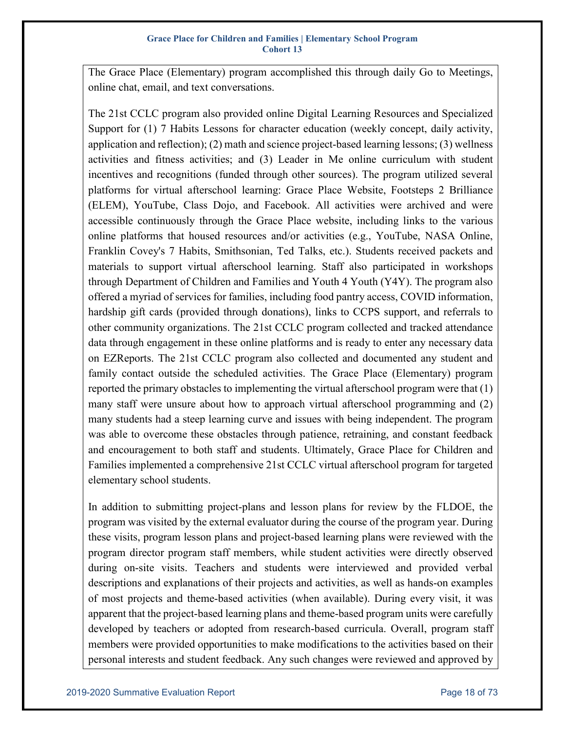The Grace Place (Elementary) program accomplished this through daily Go to Meetings, online chat, email, and text conversations.

The 21st CCLC program also provided online Digital Learning Resources and Specialized Support for (1) 7 Habits Lessons for character education (weekly concept, daily activity, application and reflection); (2) math and science project-based learning lessons; (3) wellness activities and fitness activities; and (3) Leader in Me online curriculum with student incentives and recognitions (funded through other sources). The program utilized several platforms for virtual afterschool learning: Grace Place Website, Footsteps 2 Brilliance (ELEM), YouTube, Class Dojo, and Facebook. All activities were archived and were accessible continuously through the Grace Place website, including links to the various online platforms that housed resources and/or activities (e.g., YouTube, NASA Online, Franklin Covey's 7 Habits, Smithsonian, Ted Talks, etc.). Students received packets and materials to support virtual afterschool learning. Staff also participated in workshops through Department of Children and Families and Youth 4 Youth (Y4Y). The program also offered a myriad of services for families, including food pantry access, COVID information, hardship gift cards (provided through donations), links to CCPS support, and referrals to other community organizations. The 21st CCLC program collected and tracked attendance data through engagement in these online platforms and is ready to enter any necessary data on EZReports. The 21st CCLC program also collected and documented any student and family contact outside the scheduled activities. The Grace Place (Elementary) program reported the primary obstacles to implementing the virtual afterschool program were that (1) many staff were unsure about how to approach virtual afterschool programming and (2) many students had a steep learning curve and issues with being independent. The program was able to overcome these obstacles through patience, retraining, and constant feedback and encouragement to both staff and students. Ultimately, Grace Place for Children and Families implemented a comprehensive 21st CCLC virtual afterschool program for targeted elementary school students.

In addition to submitting project-plans and lesson plans for review by the FLDOE, the program was visited by the external evaluator during the course of the program year. During these visits, program lesson plans and project-based learning plans were reviewed with the program director program staff members, while student activities were directly observed during on-site visits. Teachers and students were interviewed and provided verbal descriptions and explanations of their projects and activities, as well as hands-on examples of most projects and theme-based activities (when available). During every visit, it was apparent that the project-based learning plans and theme-based program units were carefully developed by teachers or adopted from research-based curricula. Overall, program staff members were provided opportunities to make modifications to the activities based on their personal interests and student feedback. Any such changes were reviewed and approved by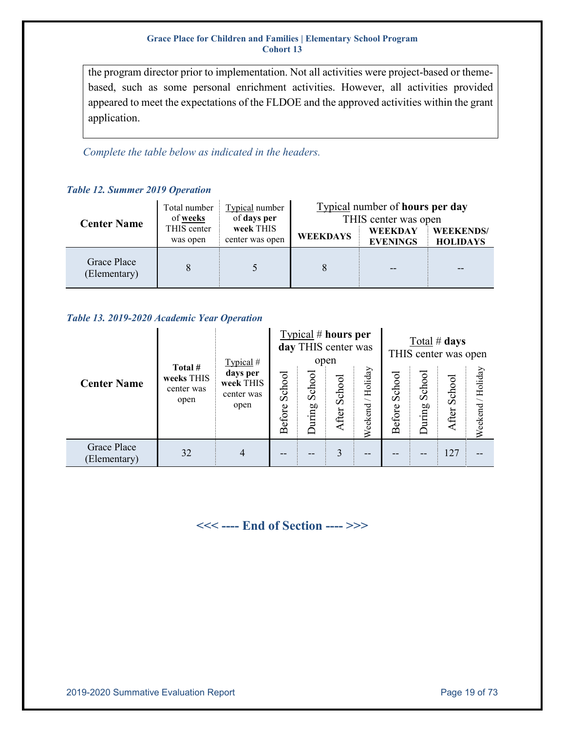the program director prior to implementation. Not all activities were project-based or themebased, such as some personal enrichment activities. However, all activities provided appeared to meet the expectations of the FLDOE and the approved activities within the grant application.

*Complete the table below as indicated in the headers.*

<span id="page-18-0"></span>

| <b>Center Name</b>          | Total number<br>of weeks | Typical number<br>of days per | Typical number of <b>hours</b> per day<br>THIS center was open |                            |                                     |  |  |  |  |
|-----------------------------|--------------------------|-------------------------------|----------------------------------------------------------------|----------------------------|-------------------------------------|--|--|--|--|
|                             | THIS center<br>was open  | week THIS<br>center was open  | <b>WEEKDAYS</b>                                                | WEEKDAY<br><b>EVENINGS</b> | <b>WEEKENDS/</b><br><b>HOLIDAYS</b> |  |  |  |  |
| Grace Place<br>(Elementary) |                          |                               |                                                                | --                         | --                                  |  |  |  |  |

### <span id="page-18-1"></span>*Table 13. 2019-2020 Academic Year Operation*

|                             |                                             | Typical #                                   |                  |                 | Typical # hours per<br>day THIS center was<br>open |                      |                  | Total # days<br>THIS center was open |                 |                      |  |
|-----------------------------|---------------------------------------------|---------------------------------------------|------------------|-----------------|----------------------------------------------------|----------------------|------------------|--------------------------------------|-----------------|----------------------|--|
| <b>Center Name</b>          | Total #<br>weeks THIS<br>center was<br>open | days per<br>week THIS<br>center was<br>open | School<br>Before | School<br>uring | School<br>After                                    | / Holiday<br>Weekend | School<br>Before | School<br>During                     | School<br>After | / Holiday<br>Weekend |  |
| Grace Place<br>(Elementary) | 32                                          | $\overline{4}$                              | --               | --              | 3                                                  | --                   |                  |                                      | 127             |                      |  |

### **<<< ---- End of Section ---- >>>**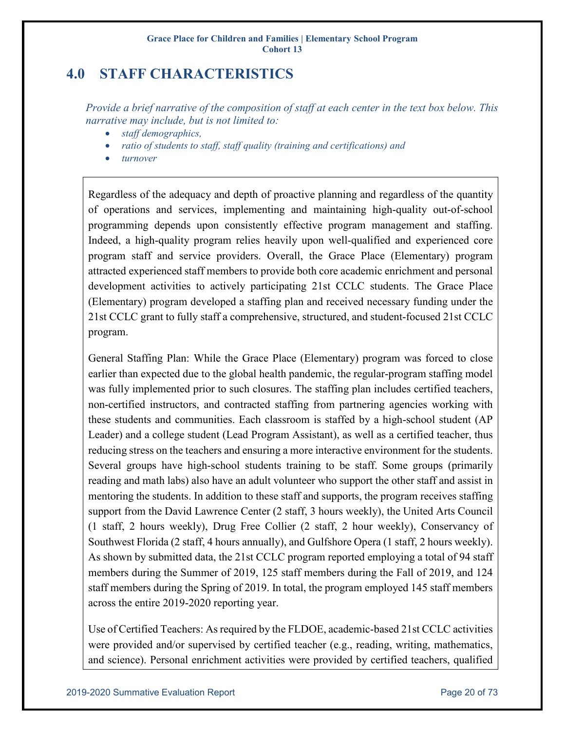## <span id="page-19-0"></span>**4.0 STAFF CHARACTERISTICS**

*Provide a brief narrative of the composition of staff at each center in the text box below. This narrative may include, but is not limited to:* 

- *staff demographics,*
- *ratio of students to staff, staff quality (training and certifications) and*
- *turnover*

Regardless of the adequacy and depth of proactive planning and regardless of the quantity of operations and services, implementing and maintaining high-quality out-of-school programming depends upon consistently effective program management and staffing. Indeed, a high-quality program relies heavily upon well-qualified and experienced core program staff and service providers. Overall, the Grace Place (Elementary) program attracted experienced staff members to provide both core academic enrichment and personal development activities to actively participating 21st CCLC students. The Grace Place (Elementary) program developed a staffing plan and received necessary funding under the 21st CCLC grant to fully staff a comprehensive, structured, and student-focused 21st CCLC program.

General Staffing Plan: While the Grace Place (Elementary) program was forced to close earlier than expected due to the global health pandemic, the regular-program staffing model was fully implemented prior to such closures. The staffing plan includes certified teachers, non-certified instructors, and contracted staffing from partnering agencies working with these students and communities. Each classroom is staffed by a high-school student (AP Leader) and a college student (Lead Program Assistant), as well as a certified teacher, thus reducing stress on the teachers and ensuring a more interactive environment for the students. Several groups have high-school students training to be staff. Some groups (primarily reading and math labs) also have an adult volunteer who support the other staff and assist in mentoring the students. In addition to these staff and supports, the program receives staffing support from the David Lawrence Center (2 staff, 3 hours weekly), the United Arts Council (1 staff, 2 hours weekly), Drug Free Collier (2 staff, 2 hour weekly), Conservancy of Southwest Florida (2 staff, 4 hours annually), and Gulfshore Opera (1 staff, 2 hours weekly). As shown by submitted data, the 21st CCLC program reported employing a total of 94 staff members during the Summer of 2019, 125 staff members during the Fall of 2019, and 124 staff members during the Spring of 2019. In total, the program employed 145 staff members across the entire 2019-2020 reporting year.

Use of Certified Teachers: As required by the FLDOE, academic-based 21st CCLC activities were provided and/or supervised by certified teacher (e.g., reading, writing, mathematics, and science). Personal enrichment activities were provided by certified teachers, qualified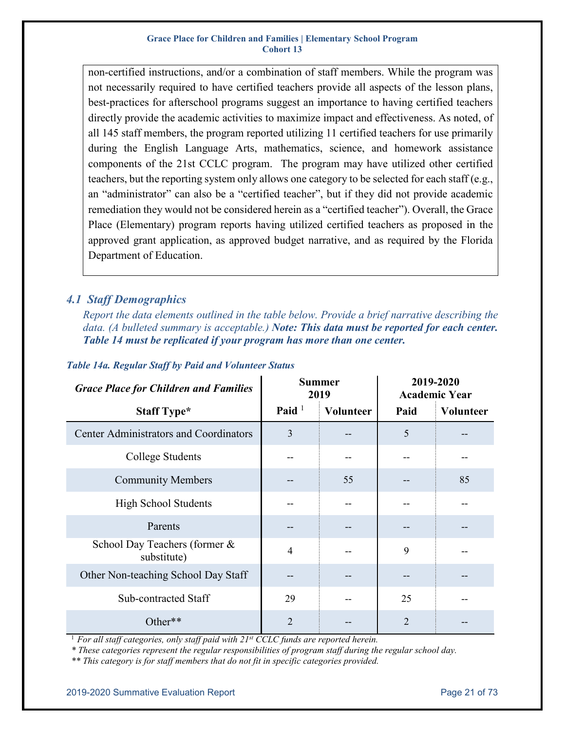non-certified instructions, and/or a combination of staff members. While the program was not necessarily required to have certified teachers provide all aspects of the lesson plans, best-practices for afterschool programs suggest an importance to having certified teachers directly provide the academic activities to maximize impact and effectiveness. As noted, of all 145 staff members, the program reported utilizing 11 certified teachers for use primarily during the English Language Arts, mathematics, science, and homework assistance components of the 21st CCLC program. The program may have utilized other certified teachers, but the reporting system only allows one category to be selected for each staff (e.g., an "administrator" can also be a "certified teacher", but if they did not provide academic remediation they would not be considered herein as a "certified teacher"). Overall, the Grace Place (Elementary) program reports having utilized certified teachers as proposed in the approved grant application, as approved budget narrative, and as required by the Florida Department of Education.

### <span id="page-20-0"></span>*4.1 Staff Demographics*

*Report the data elements outlined in the table below. Provide a brief narrative describing the data. (A bulleted summary is acceptable.) Note: This data must be reported for each center. Table 14 must be replicated if your program has more than one center.* 

| <b>Grace Place for Children and Families</b>  |                | <b>Summer</b><br>2019 | 2019-2020<br><b>Academic Year</b> |           |  |
|-----------------------------------------------|----------------|-----------------------|-----------------------------------|-----------|--|
| <b>Staff Type*</b>                            | Paid $1$       | <b>Volunteer</b>      | Paid                              | Volunteer |  |
| <b>Center Administrators and Coordinators</b> | 3              |                       | 5                                 |           |  |
| College Students                              |                |                       |                                   |           |  |
| <b>Community Members</b>                      |                | 55                    |                                   | 85        |  |
| <b>High School Students</b>                   |                |                       |                                   |           |  |
| Parents                                       |                |                       |                                   |           |  |
| School Day Teachers (former &<br>substitute)  | $\overline{4}$ |                       | 9                                 |           |  |
| Other Non-teaching School Day Staff           |                |                       |                                   |           |  |
| <b>Sub-contracted Staff</b>                   | 29             |                       | 25                                |           |  |
| Other**                                       | $\overline{2}$ |                       | $\overline{2}$                    |           |  |

### <span id="page-20-1"></span>*Table 14a. Regular Staff by Paid and Volunteer Status*

<sup>1</sup> For all staff categories, only staff paid with 21<sup>st</sup> CCLC funds are reported herein.

*\* These categories represent the regular responsibilities of program staff during the regular school day.* 

*\*\* This category is for staff members that do not fit in specific categories provided.*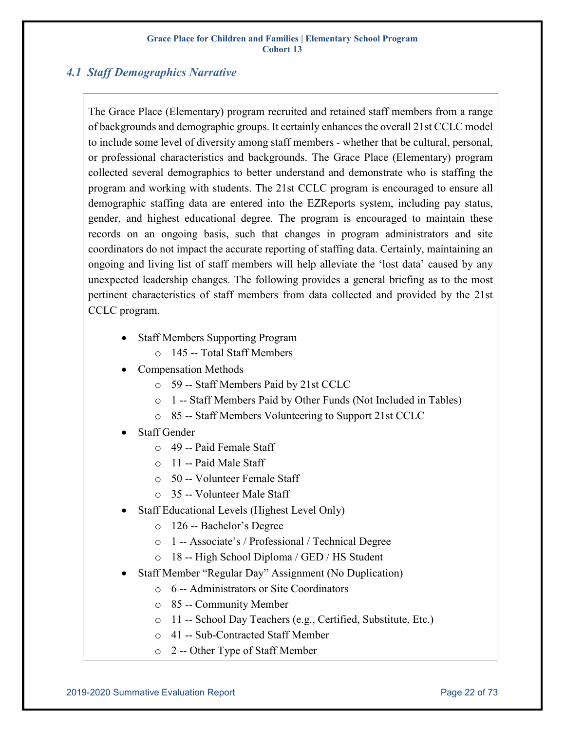### <span id="page-21-0"></span>*4.1 Staff Demographics Narrative*

The Grace Place (Elementary) program recruited and retained staff members from a range of backgrounds and demographic groups. It certainly enhances the overall 21st CCLC model to include some level of diversity among staff members - whether that be cultural, personal, or professional characteristics and backgrounds. The Grace Place (Elementary) program collected several demographics to better understand and demonstrate who is staffing the program and working with students. The 21st CCLC program is encouraged to ensure all demographic staffing data are entered into the EZReports system, including pay status, gender, and highest educational degree. The program is encouraged to maintain these records on an ongoing basis, such that changes in program administrators and site coordinators do not impact the accurate reporting of staffing data. Certainly, maintaining an ongoing and living list of staff members will help alleviate the 'lost data' caused by any unexpected leadership changes. The following provides a general briefing as to the most pertinent characteristics of staff members from data collected and provided by the 21st CCLC program.

- Staff Members Supporting Program
	- o 145 -- Total Staff Members
- Compensation Methods
	- o 59 -- Staff Members Paid by 21st CCLC
	- o 1 -- Staff Members Paid by Other Funds (Not Included in Tables)
	- o 85 -- Staff Members Volunteering to Support 21st CCLC
- Staff Gender
	- o 49 -- Paid Female Staff
	- o 11 -- Paid Male Staff
	- o 50 -- Volunteer Female Staff
	- o 35 -- Volunteer Male Staff
- Staff Educational Levels (Highest Level Only)
	- o 126 -- Bachelor's Degree
	- o 1 -- Associate's / Professional / Technical Degree
	- o 18 -- High School Diploma / GED / HS Student
- Staff Member "Regular Day" Assignment (No Duplication)
	- o 6 -- Administrators or Site Coordinators
	- o 85 -- Community Member
	- o 11 -- School Day Teachers (e.g., Certified, Substitute, Etc.)
	- o 41 -- Sub-Contracted Staff Member
	- o 2 -- Other Type of Staff Member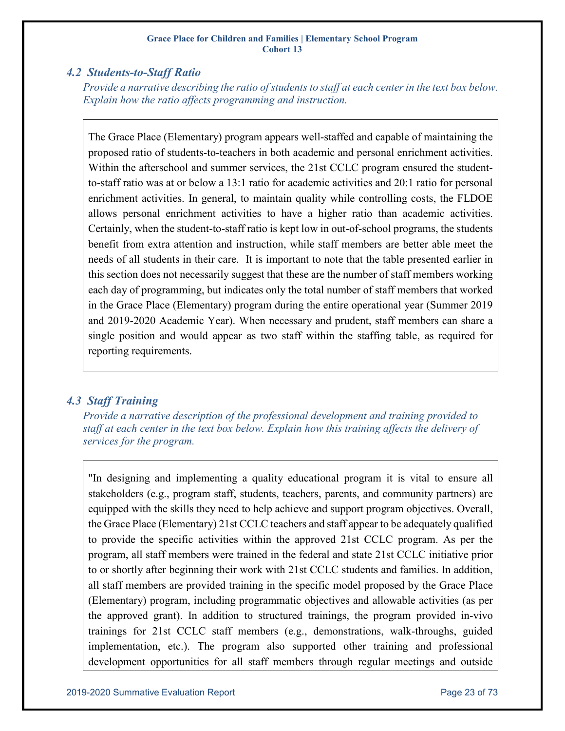### <span id="page-22-0"></span>*4.2 Students-to-Staff Ratio*

*Provide a narrative describing the ratio of students to staff at each center in the text box below. Explain how the ratio affects programming and instruction.*

The Grace Place (Elementary) program appears well-staffed and capable of maintaining the proposed ratio of students-to-teachers in both academic and personal enrichment activities. Within the afterschool and summer services, the 21st CCLC program ensured the studentto-staff ratio was at or below a 13:1 ratio for academic activities and 20:1 ratio for personal enrichment activities. In general, to maintain quality while controlling costs, the FLDOE allows personal enrichment activities to have a higher ratio than academic activities. Certainly, when the student-to-staff ratio is kept low in out-of-school programs, the students benefit from extra attention and instruction, while staff members are better able meet the needs of all students in their care. It is important to note that the table presented earlier in this section does not necessarily suggest that these are the number of staff members working each day of programming, but indicates only the total number of staff members that worked in the Grace Place (Elementary) program during the entire operational year (Summer 2019 and 2019-2020 Academic Year). When necessary and prudent, staff members can share a single position and would appear as two staff within the staffing table, as required for reporting requirements.

### <span id="page-22-1"></span>*4.3 Staff Training*

*Provide a narrative description of the professional development and training provided to staff at each center in the text box below. Explain how this training affects the delivery of services for the program.*

"In designing and implementing a quality educational program it is vital to ensure all stakeholders (e.g., program staff, students, teachers, parents, and community partners) are equipped with the skills they need to help achieve and support program objectives. Overall, the Grace Place (Elementary) 21st CCLC teachers and staff appear to be adequately qualified to provide the specific activities within the approved 21st CCLC program. As per the program, all staff members were trained in the federal and state 21st CCLC initiative prior to or shortly after beginning their work with 21st CCLC students and families. In addition, all staff members are provided training in the specific model proposed by the Grace Place (Elementary) program, including programmatic objectives and allowable activities (as per the approved grant). In addition to structured trainings, the program provided in-vivo trainings for 21st CCLC staff members (e.g., demonstrations, walk-throughs, guided implementation, etc.). The program also supported other training and professional development opportunities for all staff members through regular meetings and outside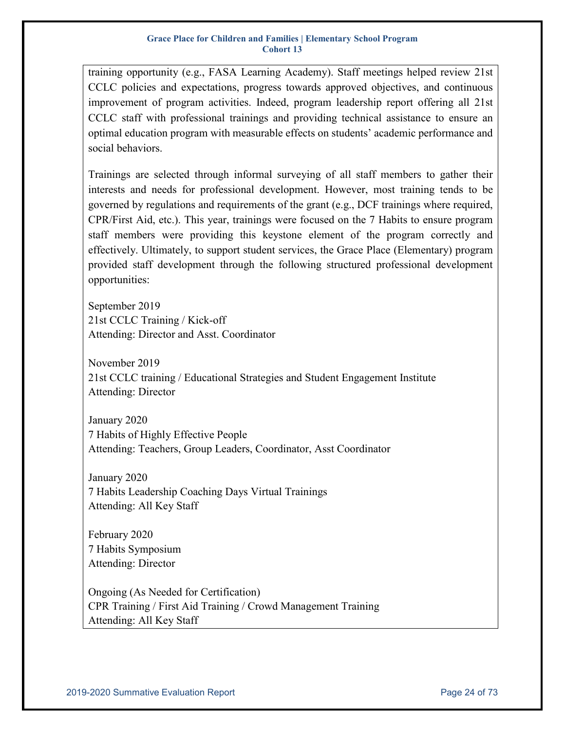training opportunity (e.g., FASA Learning Academy). Staff meetings helped review 21st CCLC policies and expectations, progress towards approved objectives, and continuous improvement of program activities. Indeed, program leadership report offering all 21st CCLC staff with professional trainings and providing technical assistance to ensure an optimal education program with measurable effects on students' academic performance and social behaviors.

Trainings are selected through informal surveying of all staff members to gather their interests and needs for professional development. However, most training tends to be governed by regulations and requirements of the grant (e.g., DCF trainings where required, CPR/First Aid, etc.). This year, trainings were focused on the 7 Habits to ensure program staff members were providing this keystone element of the program correctly and effectively. Ultimately, to support student services, the Grace Place (Elementary) program provided staff development through the following structured professional development opportunities:

September 2019 21st CCLC Training / Kick-off Attending: Director and Asst. Coordinator

November 2019 21st CCLC training / Educational Strategies and Student Engagement Institute Attending: Director

January 2020 7 Habits of Highly Effective People Attending: Teachers, Group Leaders, Coordinator, Asst Coordinator

January 2020 7 Habits Leadership Coaching Days Virtual Trainings Attending: All Key Staff

February 2020 7 Habits Symposium Attending: Director

Ongoing (As Needed for Certification) CPR Training / First Aid Training / Crowd Management Training Attending: All Key Staff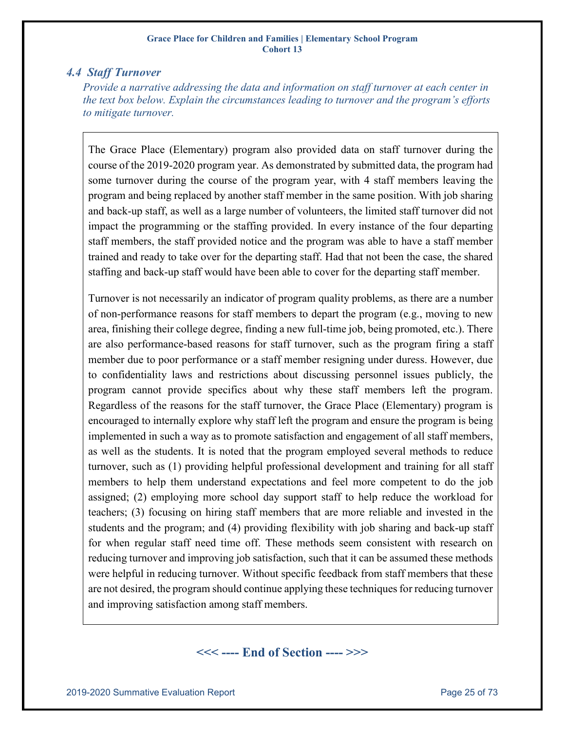### <span id="page-24-0"></span>*4.4 Staff Turnover*

*Provide a narrative addressing the data and information on staff turnover at each center in the text box below. Explain the circumstances leading to turnover and the program's efforts to mitigate turnover.*

The Grace Place (Elementary) program also provided data on staff turnover during the course of the 2019-2020 program year. As demonstrated by submitted data, the program had some turnover during the course of the program year, with 4 staff members leaving the program and being replaced by another staff member in the same position. With job sharing and back-up staff, as well as a large number of volunteers, the limited staff turnover did not impact the programming or the staffing provided. In every instance of the four departing staff members, the staff provided notice and the program was able to have a staff member trained and ready to take over for the departing staff. Had that not been the case, the shared staffing and back-up staff would have been able to cover for the departing staff member.

Turnover is not necessarily an indicator of program quality problems, as there are a number of non-performance reasons for staff members to depart the program (e.g., moving to new area, finishing their college degree, finding a new full-time job, being promoted, etc.). There are also performance-based reasons for staff turnover, such as the program firing a staff member due to poor performance or a staff member resigning under duress. However, due to confidentiality laws and restrictions about discussing personnel issues publicly, the program cannot provide specifics about why these staff members left the program. Regardless of the reasons for the staff turnover, the Grace Place (Elementary) program is encouraged to internally explore why staff left the program and ensure the program is being implemented in such a way as to promote satisfaction and engagement of all staff members, as well as the students. It is noted that the program employed several methods to reduce turnover, such as (1) providing helpful professional development and training for all staff members to help them understand expectations and feel more competent to do the job assigned; (2) employing more school day support staff to help reduce the workload for teachers; (3) focusing on hiring staff members that are more reliable and invested in the students and the program; and (4) providing flexibility with job sharing and back-up staff for when regular staff need time off. These methods seem consistent with research on reducing turnover and improving job satisfaction, such that it can be assumed these methods were helpful in reducing turnover. Without specific feedback from staff members that these are not desired, the program should continue applying these techniques for reducing turnover and improving satisfaction among staff members.

### **<<< ---- End of Section ---- >>>**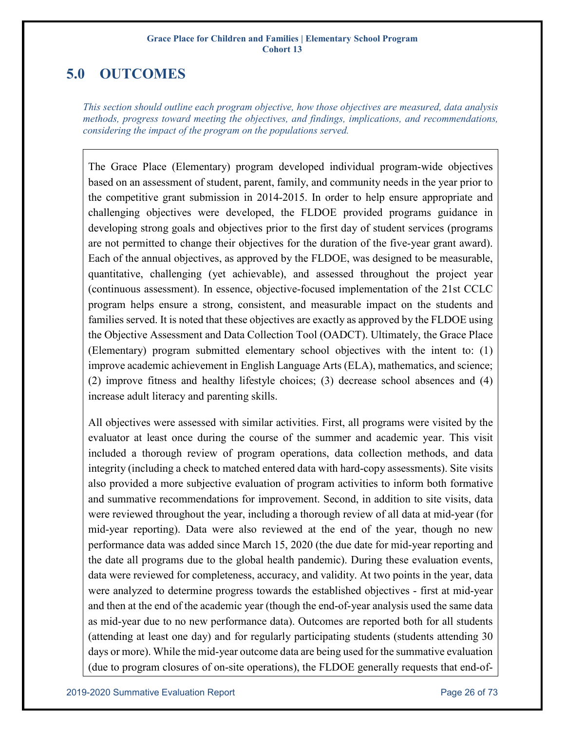# <span id="page-25-0"></span>**5.0 OUTCOMES**

*This section should outline each program objective, how those objectives are measured, data analysis methods, progress toward meeting the objectives, and findings, implications, and recommendations, considering the impact of the program on the populations served.*

The Grace Place (Elementary) program developed individual program-wide objectives based on an assessment of student, parent, family, and community needs in the year prior to the competitive grant submission in 2014-2015. In order to help ensure appropriate and challenging objectives were developed, the FLDOE provided programs guidance in developing strong goals and objectives prior to the first day of student services (programs are not permitted to change their objectives for the duration of the five-year grant award). Each of the annual objectives, as approved by the FLDOE, was designed to be measurable, quantitative, challenging (yet achievable), and assessed throughout the project year (continuous assessment). In essence, objective-focused implementation of the 21st CCLC program helps ensure a strong, consistent, and measurable impact on the students and families served. It is noted that these objectives are exactly as approved by the FLDOE using the Objective Assessment and Data Collection Tool (OADCT). Ultimately, the Grace Place (Elementary) program submitted elementary school objectives with the intent to: (1) improve academic achievement in English Language Arts (ELA), mathematics, and science; (2) improve fitness and healthy lifestyle choices; (3) decrease school absences and (4) increase adult literacy and parenting skills.

All objectives were assessed with similar activities. First, all programs were visited by the evaluator at least once during the course of the summer and academic year. This visit included a thorough review of program operations, data collection methods, and data integrity (including a check to matched entered data with hard-copy assessments). Site visits also provided a more subjective evaluation of program activities to inform both formative and summative recommendations for improvement. Second, in addition to site visits, data were reviewed throughout the year, including a thorough review of all data at mid-year (for mid-year reporting). Data were also reviewed at the end of the year, though no new performance data was added since March 15, 2020 (the due date for mid-year reporting and the date all programs due to the global health pandemic). During these evaluation events, data were reviewed for completeness, accuracy, and validity. At two points in the year, data were analyzed to determine progress towards the established objectives - first at mid-year and then at the end of the academic year (though the end-of-year analysis used the same data as mid-year due to no new performance data). Outcomes are reported both for all students (attending at least one day) and for regularly participating students (students attending 30 days or more). While the mid-year outcome data are being used for the summative evaluation (due to program closures of on-site operations), the FLDOE generally requests that end-of-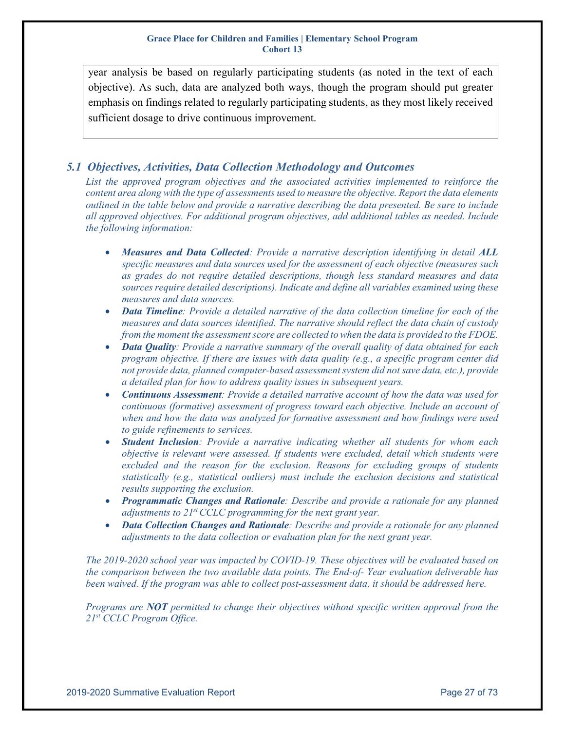year analysis be based on regularly participating students (as noted in the text of each objective). As such, data are analyzed both ways, though the program should put greater emphasis on findings related to regularly participating students, as they most likely received sufficient dosage to drive continuous improvement.

### <span id="page-26-0"></span>*5.1 Objectives, Activities, Data Collection Methodology and Outcomes*

*List the approved program objectives and the associated activities implemented to reinforce the content area along with the type of assessments used to measure the objective. Report the data elements outlined in the table below and provide a narrative describing the data presented. Be sure to include all approved objectives. For additional program objectives, add additional tables as needed. Include the following information:*

- *Measures and Data Collected: Provide a narrative description identifying in detail ALL specific measures and data sources used for the assessment of each objective (measures such as grades do not require detailed descriptions, though less standard measures and data sources require detailed descriptions). Indicate and define all variables examined using these measures and data sources.*
- *Data Timeline: Provide a detailed narrative of the data collection timeline for each of the measures and data sources identified. The narrative should reflect the data chain of custody from the moment the assessment score are collected to when the data is provided to the FDOE.*
- *Data Quality: Provide a narrative summary of the overall quality of data obtained for each program objective. If there are issues with data quality (e.g., a specific program center did not provide data, planned computer‐based assessment system did not save data, etc.), provide a detailed plan for how to address quality issues in subsequent years.*
- *Continuous Assessment: Provide a detailed narrative account of how the data was used for continuous (formative) assessment of progress toward each objective. Include an account of when and how the data was analyzed for formative assessment and how findings were used to guide refinements to services.*
- *Student Inclusion: Provide a narrative indicating whether all students for whom each objective is relevant were assessed. If students were excluded, detail which students were excluded and the reason for the exclusion. Reasons for excluding groups of students statistically (e.g., statistical outliers) must include the exclusion decisions and statistical results supporting the exclusion.*
- *Programmatic Changes and Rationale: Describe and provide a rationale for any planned adjustments to 21<sup>st</sup> CCLC programming for the next grant year.*
- *Data Collection Changes and Rationale: Describe and provide a rationale for any planned adjustments to the data collection or evaluation plan for the next grant year.*

*The 2019-2020 school year was impacted by COVID-19. These objectives will be evaluated based on the comparison between the two available data points. The End-of- Year evaluation deliverable has been waived. If the program was able to collect post-assessment data, it should be addressed here.*

*Programs are NOT permitted to change their objectives without specific written approval from the 21st CCLC Program Office.*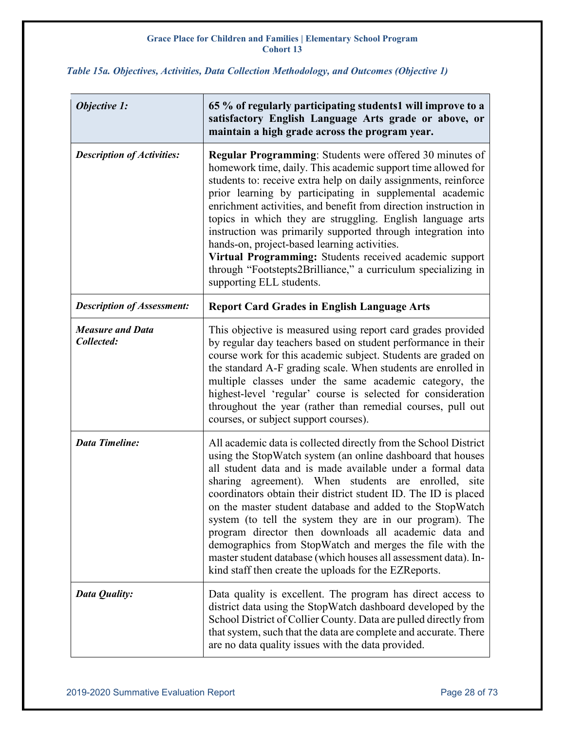### <span id="page-27-0"></span>*Table 15a. Objectives, Activities, Data Collection Methodology, and Outcomes (Objective 1)*

| <b>Objective 1:</b>                   | 65 % of regularly participating students1 will improve to a<br>satisfactory English Language Arts grade or above, or<br>maintain a high grade across the program year.                                                                                                                                                                                                                                                                                                                                                                                                                                                                                                                             |
|---------------------------------------|----------------------------------------------------------------------------------------------------------------------------------------------------------------------------------------------------------------------------------------------------------------------------------------------------------------------------------------------------------------------------------------------------------------------------------------------------------------------------------------------------------------------------------------------------------------------------------------------------------------------------------------------------------------------------------------------------|
| <b>Description of Activities:</b>     | <b>Regular Programming:</b> Students were offered 30 minutes of<br>homework time, daily. This academic support time allowed for<br>students to: receive extra help on daily assignments, reinforce<br>prior learning by participating in supplemental academic<br>enrichment activities, and benefit from direction instruction in<br>topics in which they are struggling. English language arts<br>instruction was primarily supported through integration into<br>hands-on, project-based learning activities.<br>Virtual Programming: Students received academic support<br>through "Footstepts2Brilliance," a curriculum specializing in<br>supporting ELL students.                           |
| <b>Description of Assessment:</b>     | <b>Report Card Grades in English Language Arts</b>                                                                                                                                                                                                                                                                                                                                                                                                                                                                                                                                                                                                                                                 |
| <b>Measure and Data</b><br>Collected: | This objective is measured using report card grades provided<br>by regular day teachers based on student performance in their<br>course work for this academic subject. Students are graded on<br>the standard A-F grading scale. When students are enrolled in<br>multiple classes under the same academic category, the<br>highest-level 'regular' course is selected for consideration<br>throughout the year (rather than remedial courses, pull out<br>courses, or subject support courses).                                                                                                                                                                                                  |
| <b>Data Timeline:</b>                 | All academic data is collected directly from the School District<br>using the StopWatch system (an online dashboard that houses<br>all student data and is made available under a formal data<br>sharing agreement). When students are enrolled, site<br>coordinators obtain their district student ID. The ID is placed<br>on the master student database and added to the StopWatch<br>system (to tell the system they are in our program). The<br>program director then downloads all academic data and<br>demographics from StopWatch and merges the file with the<br>master student database (which houses all assessment data). In-<br>kind staff then create the uploads for the EZReports. |
| Data Quality:                         | Data quality is excellent. The program has direct access to<br>district data using the StopWatch dashboard developed by the<br>School District of Collier County. Data are pulled directly from<br>that system, such that the data are complete and accurate. There<br>are no data quality issues with the data provided.                                                                                                                                                                                                                                                                                                                                                                          |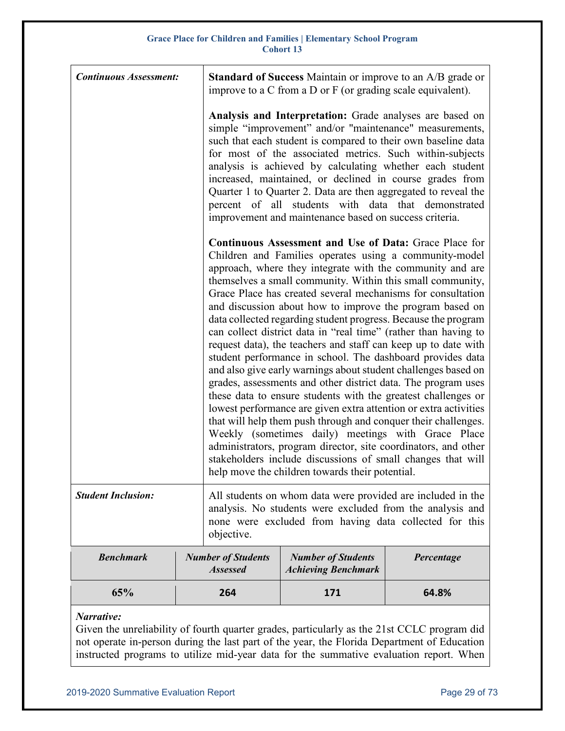| <b>Continuous Assessment:</b> |                                              | <b>Standard of Success</b> Maintain or improve to an A/B grade or<br>improve to a C from a D or F (or grading scale equivalent).                                                                                                                                                                                                                                                                                                                                                                                                                                                                                                                                                                                                                                                                                                                                                                                                                                                                                                                                                                                                                                                                                                       |            |  |  |  |  |  |  |
|-------------------------------|----------------------------------------------|----------------------------------------------------------------------------------------------------------------------------------------------------------------------------------------------------------------------------------------------------------------------------------------------------------------------------------------------------------------------------------------------------------------------------------------------------------------------------------------------------------------------------------------------------------------------------------------------------------------------------------------------------------------------------------------------------------------------------------------------------------------------------------------------------------------------------------------------------------------------------------------------------------------------------------------------------------------------------------------------------------------------------------------------------------------------------------------------------------------------------------------------------------------------------------------------------------------------------------------|------------|--|--|--|--|--|--|
|                               |                                              | Analysis and Interpretation: Grade analyses are based on<br>simple "improvement" and/or "maintenance" measurements,<br>such that each student is compared to their own baseline data<br>for most of the associated metrics. Such within-subjects<br>analysis is achieved by calculating whether each student<br>increased, maintained, or declined in course grades from<br>Quarter 1 to Quarter 2. Data are then aggregated to reveal the<br>percent of all students with data that demonstrated<br>improvement and maintenance based on success criteria.                                                                                                                                                                                                                                                                                                                                                                                                                                                                                                                                                                                                                                                                            |            |  |  |  |  |  |  |
|                               |                                              | <b>Continuous Assessment and Use of Data: Grace Place for</b><br>Children and Families operates using a community-model<br>approach, where they integrate with the community and are<br>themselves a small community. Within this small community,<br>Grace Place has created several mechanisms for consultation<br>and discussion about how to improve the program based on<br>data collected regarding student progress. Because the program<br>can collect district data in "real time" (rather than having to<br>request data), the teachers and staff can keep up to date with<br>student performance in school. The dashboard provides data<br>and also give early warnings about student challenges based on<br>grades, assessments and other district data. The program uses<br>these data to ensure students with the greatest challenges or<br>lowest performance are given extra attention or extra activities<br>that will help them push through and conquer their challenges.<br>Weekly (sometimes daily) meetings with Grace Place<br>administrators, program director, site coordinators, and other<br>stakeholders include discussions of small changes that will<br>help move the children towards their potential. |            |  |  |  |  |  |  |
| <b>Student Inclusion:</b>     | objective.                                   | All students on whom data were provided are included in the<br>analysis. No students were excluded from the analysis and<br>none were excluded from having data collected for this                                                                                                                                                                                                                                                                                                                                                                                                                                                                                                                                                                                                                                                                                                                                                                                                                                                                                                                                                                                                                                                     |            |  |  |  |  |  |  |
| <b>Benchmark</b>              | <b>Number of Students</b><br><b>Assessed</b> | <b>Number of Students</b><br><b>Achieving Benchmark</b>                                                                                                                                                                                                                                                                                                                                                                                                                                                                                                                                                                                                                                                                                                                                                                                                                                                                                                                                                                                                                                                                                                                                                                                | Percentage |  |  |  |  |  |  |
| 65%                           | 264                                          | 171                                                                                                                                                                                                                                                                                                                                                                                                                                                                                                                                                                                                                                                                                                                                                                                                                                                                                                                                                                                                                                                                                                                                                                                                                                    | 64.8%      |  |  |  |  |  |  |

### *Narrative:*

Given the unreliability of fourth quarter grades, particularly as the 21st CCLC program did not operate in-person during the last part of the year, the Florida Department of Education instructed programs to utilize mid-year data for the summative evaluation report. When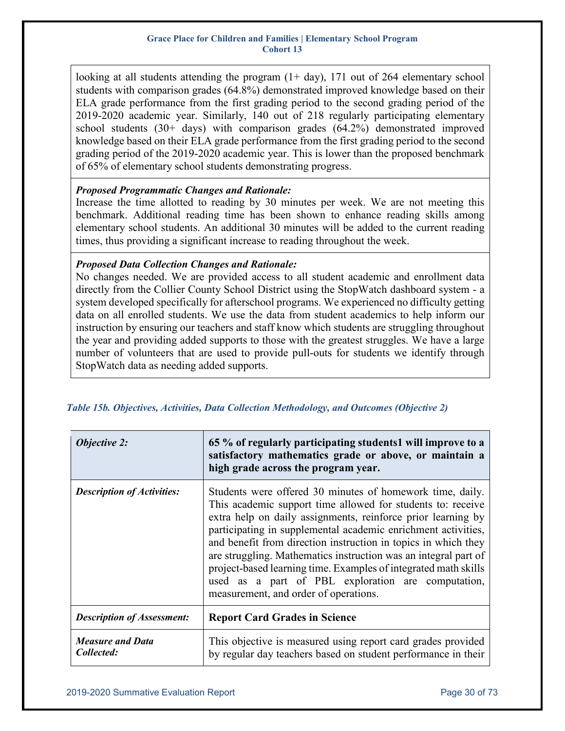looking at all students attending the program  $(1+ day)$ , 171 out of 264 elementary school students with comparison grades (64.8%) demonstrated improved knowledge based on their ELA grade performance from the first grading period to the second grading period of the 2019-2020 academic year. Similarly, 140 out of 218 regularly participating elementary school students  $(30+)$  days) with comparison grades  $(64.2%)$  demonstrated improved knowledge based on their ELA grade performance from the first grading period to the second grading period of the 2019-2020 academic year. This is lower than the proposed benchmark of 65% of elementary school students demonstrating progress.

### *Proposed Programmatic Changes and Rationale:*

Increase the time allotted to reading by 30 minutes per week. We are not meeting this benchmark. Additional reading time has been shown to enhance reading skills among elementary school students. An additional 30 minutes will be added to the current reading times, thus providing a significant increase to reading throughout the week.

### *Proposed Data Collection Changes and Rationale:*

No changes needed. We are provided access to all student academic and enrollment data directly from the Collier County School District using the StopWatch dashboard system - a system developed specifically for afterschool programs. We experienced no difficulty getting data on all enrolled students. We use the data from student academics to help inform our instruction by ensuring our teachers and staff know which students are struggling throughout the year and providing added supports to those with the greatest struggles. We have a large number of volunteers that are used to provide pull-outs for students we identify through StopWatch data as needing added supports.

| <b>Objective 2:</b>                   | 65 % of regularly participating students1 will improve to a<br>satisfactory mathematics grade or above, or maintain a<br>high grade across the program year.                                                                                                                                                                                                                                                                                                                                                                                                     |
|---------------------------------------|------------------------------------------------------------------------------------------------------------------------------------------------------------------------------------------------------------------------------------------------------------------------------------------------------------------------------------------------------------------------------------------------------------------------------------------------------------------------------------------------------------------------------------------------------------------|
| <b>Description of Activities:</b>     | Students were offered 30 minutes of homework time, daily.<br>This academic support time allowed for students to: receive<br>extra help on daily assignments, reinforce prior learning by<br>participating in supplemental academic enrichment activities,<br>and benefit from direction instruction in topics in which they<br>are struggling. Mathematics instruction was an integral part of<br>project-based learning time. Examples of integrated math skills<br>used as a part of PBL exploration are computation,<br>measurement, and order of operations. |
| <b>Description of Assessment:</b>     | <b>Report Card Grades in Science</b>                                                                                                                                                                                                                                                                                                                                                                                                                                                                                                                             |
| <b>Measure and Data</b><br>Collected: | This objective is measured using report card grades provided<br>by regular day teachers based on student performance in their                                                                                                                                                                                                                                                                                                                                                                                                                                    |

<span id="page-29-0"></span>*Table 15b. Objectives, Activities, Data Collection Methodology, and Outcomes (Objective 2)*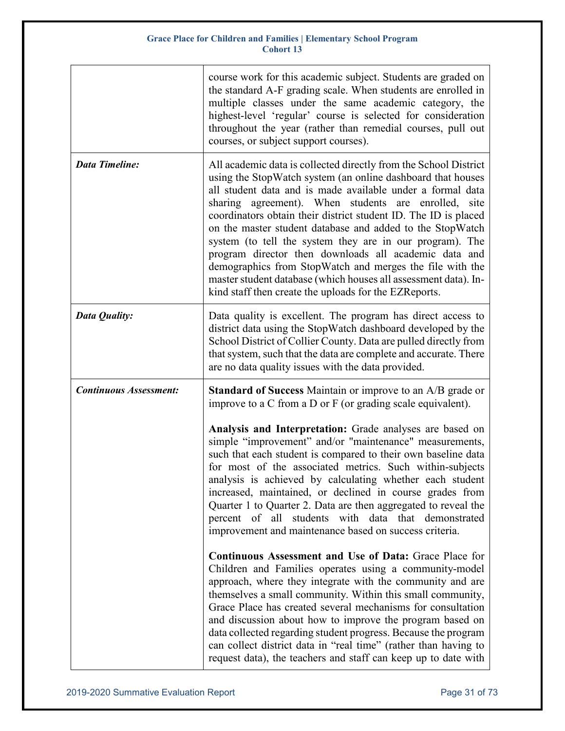|                               | course work for this academic subject. Students are graded on<br>the standard A-F grading scale. When students are enrolled in<br>multiple classes under the same academic category, the<br>highest-level 'regular' course is selected for consideration<br>throughout the year (rather than remedial courses, pull out<br>courses, or subject support courses).                                                                                                                                                                                                                                                                                                                                      |
|-------------------------------|-------------------------------------------------------------------------------------------------------------------------------------------------------------------------------------------------------------------------------------------------------------------------------------------------------------------------------------------------------------------------------------------------------------------------------------------------------------------------------------------------------------------------------------------------------------------------------------------------------------------------------------------------------------------------------------------------------|
| <b>Data Timeline:</b>         | All academic data is collected directly from the School District<br>using the StopWatch system (an online dashboard that houses<br>all student data and is made available under a formal data<br>sharing agreement). When students are enrolled,<br>site<br>coordinators obtain their district student ID. The ID is placed<br>on the master student database and added to the StopWatch<br>system (to tell the system they are in our program). The<br>program director then downloads all academic data and<br>demographics from StopWatch and merges the file with the<br>master student database (which houses all assessment data). In-<br>kind staff then create the uploads for the EZReports. |
| Data Quality:                 | Data quality is excellent. The program has direct access to<br>district data using the StopWatch dashboard developed by the<br>School District of Collier County. Data are pulled directly from<br>that system, such that the data are complete and accurate. There<br>are no data quality issues with the data provided.                                                                                                                                                                                                                                                                                                                                                                             |
| <b>Continuous Assessment:</b> | <b>Standard of Success</b> Maintain or improve to an A/B grade or<br>improve to a $C$ from a $D$ or $F$ (or grading scale equivalent).                                                                                                                                                                                                                                                                                                                                                                                                                                                                                                                                                                |
|                               | Analysis and Interpretation: Grade analyses are based on<br>simple "improvement" and/or "maintenance" measurements,<br>such that each student is compared to their own baseline data<br>for most of the associated metrics. Such within-subjects<br>analysis is achieved by calculating whether each student<br>increased, maintained, or declined in course grades from<br>Quarter 1 to Quarter 2. Data are then aggregated to reveal the<br>students with data that demonstrated<br>percent of all<br>improvement and maintenance based on success criteria.                                                                                                                                        |
|                               | <b>Continuous Assessment and Use of Data: Grace Place for</b><br>Children and Families operates using a community-model<br>approach, where they integrate with the community and are<br>themselves a small community. Within this small community,<br>Grace Place has created several mechanisms for consultation<br>and discussion about how to improve the program based on<br>data collected regarding student progress. Because the program<br>can collect district data in "real time" (rather than having to<br>request data), the teachers and staff can keep up to date with                                                                                                                  |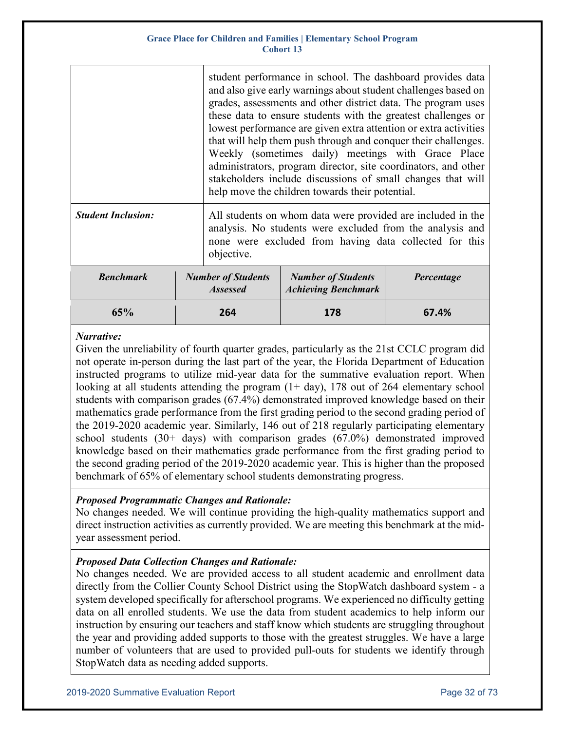|                           |                                              | student performance in school. The dashboard provides data<br>and also give early warnings about student challenges based on<br>grades, assessments and other district data. The program uses<br>these data to ensure students with the greatest challenges or<br>lowest performance are given extra attention or extra activities<br>that will help them push through and conquer their challenges.<br>Weekly (sometimes daily) meetings with Grace Place<br>administrators, program director, site coordinators, and other<br>stakeholders include discussions of small changes that will<br>help move the children towards their potential. |                                                         |            |  |  |
|---------------------------|----------------------------------------------|------------------------------------------------------------------------------------------------------------------------------------------------------------------------------------------------------------------------------------------------------------------------------------------------------------------------------------------------------------------------------------------------------------------------------------------------------------------------------------------------------------------------------------------------------------------------------------------------------------------------------------------------|---------------------------------------------------------|------------|--|--|
| <b>Student Inclusion:</b> |                                              | All students on whom data were provided are included in the<br>analysis. No students were excluded from the analysis and<br>none were excluded from having data collected for this<br>objective.                                                                                                                                                                                                                                                                                                                                                                                                                                               |                                                         |            |  |  |
| <b>Benchmark</b>          | <b>Number of Students</b><br><b>Assessed</b> |                                                                                                                                                                                                                                                                                                                                                                                                                                                                                                                                                                                                                                                | <b>Number of Students</b><br><b>Achieving Benchmark</b> | Percentage |  |  |
| 65%                       | 264                                          |                                                                                                                                                                                                                                                                                                                                                                                                                                                                                                                                                                                                                                                | 178                                                     | 67.4%      |  |  |

### *Narrative:*

Given the unreliability of fourth quarter grades, particularly as the 21st CCLC program did not operate in-person during the last part of the year, the Florida Department of Education instructed programs to utilize mid-year data for the summative evaluation report. When looking at all students attending the program  $(1+ day)$ , 178 out of 264 elementary school students with comparison grades (67.4%) demonstrated improved knowledge based on their mathematics grade performance from the first grading period to the second grading period of the 2019-2020 academic year. Similarly, 146 out of 218 regularly participating elementary school students (30+ days) with comparison grades (67.0%) demonstrated improved knowledge based on their mathematics grade performance from the first grading period to the second grading period of the 2019-2020 academic year. This is higher than the proposed benchmark of 65% of elementary school students demonstrating progress.

### *Proposed Programmatic Changes and Rationale:*

No changes needed. We will continue providing the high-quality mathematics support and direct instruction activities as currently provided. We are meeting this benchmark at the midyear assessment period.

### *Proposed Data Collection Changes and Rationale:*

No changes needed. We are provided access to all student academic and enrollment data directly from the Collier County School District using the StopWatch dashboard system - a system developed specifically for afterschool programs. We experienced no difficulty getting data on all enrolled students. We use the data from student academics to help inform our instruction by ensuring our teachers and staff know which students are struggling throughout the year and providing added supports to those with the greatest struggles. We have a large number of volunteers that are used to provided pull-outs for students we identify through StopWatch data as needing added supports.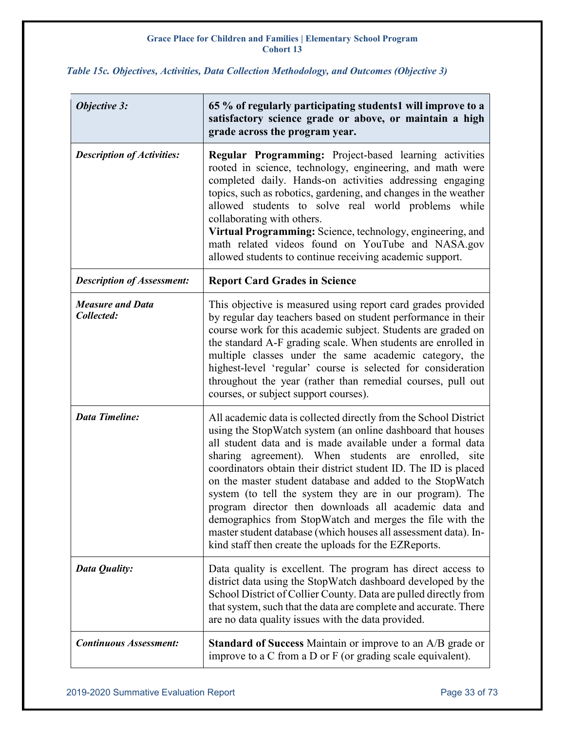### <span id="page-32-0"></span>*Table 15c. Objectives, Activities, Data Collection Methodology, and Outcomes (Objective 3)*

| <b>Objective 3:</b>                   | 65 % of regularly participating students1 will improve to a<br>satisfactory science grade or above, or maintain a high<br>grade across the program year.                                                                                                                                                                                                                                                                                                                                                                                                                                                                                                                                           |
|---------------------------------------|----------------------------------------------------------------------------------------------------------------------------------------------------------------------------------------------------------------------------------------------------------------------------------------------------------------------------------------------------------------------------------------------------------------------------------------------------------------------------------------------------------------------------------------------------------------------------------------------------------------------------------------------------------------------------------------------------|
| <b>Description of Activities:</b>     | <b>Regular Programming:</b> Project-based learning activities<br>rooted in science, technology, engineering, and math were<br>completed daily. Hands-on activities addressing engaging<br>topics, such as robotics, gardening, and changes in the weather<br>allowed students to solve real world problems while<br>collaborating with others.<br>Virtual Programming: Science, technology, engineering, and<br>math related videos found on YouTube and NASA.gov<br>allowed students to continue receiving academic support.                                                                                                                                                                      |
| <b>Description of Assessment:</b>     | <b>Report Card Grades in Science</b>                                                                                                                                                                                                                                                                                                                                                                                                                                                                                                                                                                                                                                                               |
| <b>Measure and Data</b><br>Collected: | This objective is measured using report card grades provided<br>by regular day teachers based on student performance in their<br>course work for this academic subject. Students are graded on<br>the standard A-F grading scale. When students are enrolled in<br>multiple classes under the same academic category, the<br>highest-level 'regular' course is selected for consideration<br>throughout the year (rather than remedial courses, pull out<br>courses, or subject support courses).                                                                                                                                                                                                  |
| <b>Data Timeline:</b>                 | All academic data is collected directly from the School District<br>using the StopWatch system (an online dashboard that houses<br>all student data and is made available under a formal data<br>sharing agreement). When students are enrolled, site<br>coordinators obtain their district student ID. The ID is placed<br>on the master student database and added to the StopWatch<br>system (to tell the system they are in our program). The<br>program director then downloads all academic data and<br>demographics from StopWatch and merges the file with the<br>master student database (which houses all assessment data). In-<br>kind staff then create the uploads for the EZReports. |
| <b>Data Quality:</b>                  | Data quality is excellent. The program has direct access to<br>district data using the StopWatch dashboard developed by the<br>School District of Collier County. Data are pulled directly from<br>that system, such that the data are complete and accurate. There<br>are no data quality issues with the data provided.                                                                                                                                                                                                                                                                                                                                                                          |
| <b>Continuous Assessment:</b>         | <b>Standard of Success</b> Maintain or improve to an A/B grade or<br>improve to a C from a D or $F$ (or grading scale equivalent).                                                                                                                                                                                                                                                                                                                                                                                                                                                                                                                                                                 |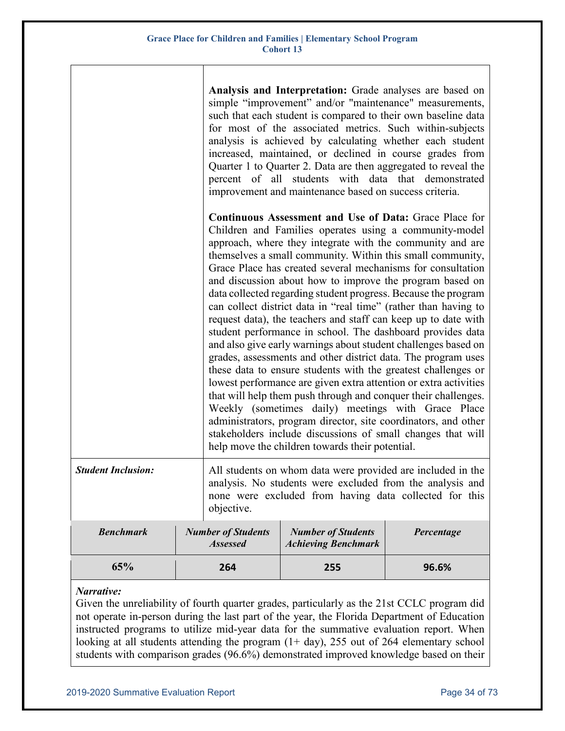|                           |     |                                              | Analysis and Interpretation: Grade analyses are based on<br>simple "improvement" and/or "maintenance" measurements,<br>such that each student is compared to their own baseline data<br>for most of the associated metrics. Such within-subjects<br>analysis is achieved by calculating whether each student<br>increased, maintained, or declined in course grades from<br>Quarter 1 to Quarter 2. Data are then aggregated to reveal the<br>percent of all students with data that demonstrated<br>improvement and maintenance based on success criteria.                                                                                                                                                                                                                                                                                                                                                                                                                                                                                                                                                                                                                                                                            |            |
|---------------------------|-----|----------------------------------------------|----------------------------------------------------------------------------------------------------------------------------------------------------------------------------------------------------------------------------------------------------------------------------------------------------------------------------------------------------------------------------------------------------------------------------------------------------------------------------------------------------------------------------------------------------------------------------------------------------------------------------------------------------------------------------------------------------------------------------------------------------------------------------------------------------------------------------------------------------------------------------------------------------------------------------------------------------------------------------------------------------------------------------------------------------------------------------------------------------------------------------------------------------------------------------------------------------------------------------------------|------------|
|                           |     |                                              | <b>Continuous Assessment and Use of Data: Grace Place for</b><br>Children and Families operates using a community-model<br>approach, where they integrate with the community and are<br>themselves a small community. Within this small community,<br>Grace Place has created several mechanisms for consultation<br>and discussion about how to improve the program based on<br>data collected regarding student progress. Because the program<br>can collect district data in "real time" (rather than having to<br>request data), the teachers and staff can keep up to date with<br>student performance in school. The dashboard provides data<br>and also give early warnings about student challenges based on<br>grades, assessments and other district data. The program uses<br>these data to ensure students with the greatest challenges or<br>lowest performance are given extra attention or extra activities<br>that will help them push through and conquer their challenges.<br>Weekly (sometimes daily) meetings with Grace Place<br>administrators, program director, site coordinators, and other<br>stakeholders include discussions of small changes that will<br>help move the children towards their potential. |            |
| <b>Student Inclusion:</b> |     | objective.                                   | All students on whom data were provided are included in the<br>analysis. No students were excluded from the analysis and<br>none were excluded from having data collected for this                                                                                                                                                                                                                                                                                                                                                                                                                                                                                                                                                                                                                                                                                                                                                                                                                                                                                                                                                                                                                                                     |            |
| <b>Benchmark</b>          |     | <b>Number of Students</b><br><b>Assessed</b> | <b>Number of Students</b><br><b>Achieving Benchmark</b>                                                                                                                                                                                                                                                                                                                                                                                                                                                                                                                                                                                                                                                                                                                                                                                                                                                                                                                                                                                                                                                                                                                                                                                | Percentage |
| 65%                       | 264 |                                              | 255                                                                                                                                                                                                                                                                                                                                                                                                                                                                                                                                                                                                                                                                                                                                                                                                                                                                                                                                                                                                                                                                                                                                                                                                                                    | 96.6%      |

### *Narrative:*

Given the unreliability of fourth quarter grades, particularly as the 21st CCLC program did not operate in-person during the last part of the year, the Florida Department of Education instructed programs to utilize mid-year data for the summative evaluation report. When looking at all students attending the program  $(1+ day)$ , 255 out of 264 elementary school students with comparison grades (96.6%) demonstrated improved knowledge based on their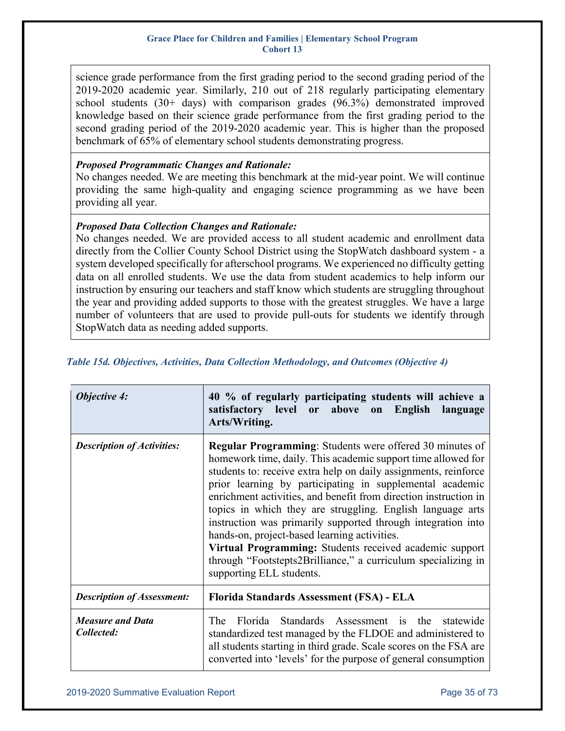science grade performance from the first grading period to the second grading period of the 2019-2020 academic year. Similarly, 210 out of 218 regularly participating elementary school students (30+ days) with comparison grades (96.3%) demonstrated improved knowledge based on their science grade performance from the first grading period to the second grading period of the 2019-2020 academic year. This is higher than the proposed benchmark of 65% of elementary school students demonstrating progress.

### *Proposed Programmatic Changes and Rationale:*

No changes needed. We are meeting this benchmark at the mid-year point. We will continue providing the same high-quality and engaging science programming as we have been providing all year.

### *Proposed Data Collection Changes and Rationale:*

No changes needed. We are provided access to all student academic and enrollment data directly from the Collier County School District using the StopWatch dashboard system - a system developed specifically for afterschool programs. We experienced no difficulty getting data on all enrolled students. We use the data from student academics to help inform our instruction by ensuring our teachers and staff know which students are struggling throughout the year and providing added supports to those with the greatest struggles. We have a large number of volunteers that are used to provide pull-outs for students we identify through StopWatch data as needing added supports.

| <b>Objective 4:</b>                   | 40 % of regularly participating students will achieve a<br>satisfactory level or above on English<br>language<br>Arts/Writing.                                                                                                                                                                                                                                                                                                                                                                                                                                                                                                                                           |  |  |
|---------------------------------------|--------------------------------------------------------------------------------------------------------------------------------------------------------------------------------------------------------------------------------------------------------------------------------------------------------------------------------------------------------------------------------------------------------------------------------------------------------------------------------------------------------------------------------------------------------------------------------------------------------------------------------------------------------------------------|--|--|
| <b>Description of Activities:</b>     | <b>Regular Programming:</b> Students were offered 30 minutes of<br>homework time, daily. This academic support time allowed for<br>students to: receive extra help on daily assignments, reinforce<br>prior learning by participating in supplemental academic<br>enrichment activities, and benefit from direction instruction in<br>topics in which they are struggling. English language arts<br>instruction was primarily supported through integration into<br>hands-on, project-based learning activities.<br>Virtual Programming: Students received academic support<br>through "Footstepts2Brilliance," a curriculum specializing in<br>supporting ELL students. |  |  |
| <b>Description of Assessment:</b>     | Florida Standards Assessment (FSA) - ELA                                                                                                                                                                                                                                                                                                                                                                                                                                                                                                                                                                                                                                 |  |  |
| <b>Measure and Data</b><br>Collected: | Florida Standards Assessment is the<br>The<br>statewide<br>standardized test managed by the FLDOE and administered to<br>all students starting in third grade. Scale scores on the FSA are<br>converted into 'levels' for the purpose of general consumption                                                                                                                                                                                                                                                                                                                                                                                                             |  |  |

### <span id="page-34-0"></span>*Table 15d. Objectives, Activities, Data Collection Methodology, and Outcomes (Objective 4)*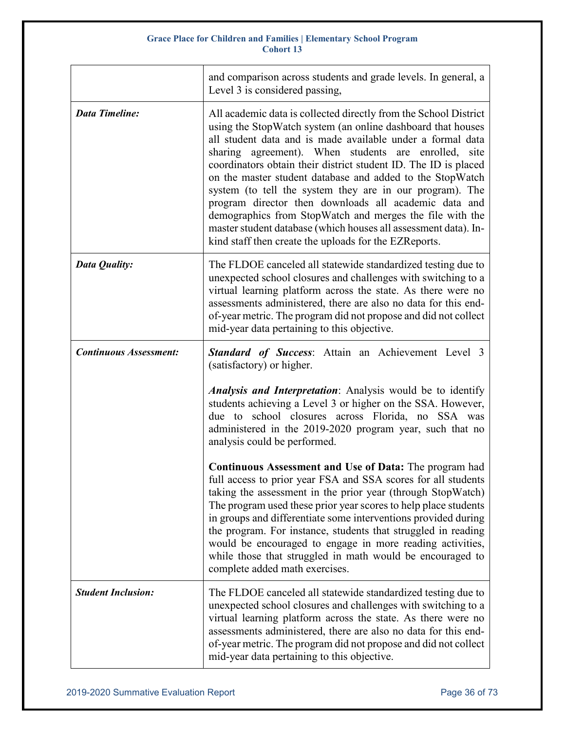|                               | and comparison across students and grade levels. In general, a<br>Level 3 is considered passing,                                                                                                                                                                                                                                                                                                                                                                                                                                                                                                                                                                                                   |
|-------------------------------|----------------------------------------------------------------------------------------------------------------------------------------------------------------------------------------------------------------------------------------------------------------------------------------------------------------------------------------------------------------------------------------------------------------------------------------------------------------------------------------------------------------------------------------------------------------------------------------------------------------------------------------------------------------------------------------------------|
| <b>Data Timeline:</b>         | All academic data is collected directly from the School District<br>using the StopWatch system (an online dashboard that houses<br>all student data and is made available under a formal data<br>sharing agreement). When students are enrolled, site<br>coordinators obtain their district student ID. The ID is placed<br>on the master student database and added to the StopWatch<br>system (to tell the system they are in our program). The<br>program director then downloads all academic data and<br>demographics from StopWatch and merges the file with the<br>master student database (which houses all assessment data). In-<br>kind staff then create the uploads for the EZReports. |
| Data Quality:                 | The FLDOE canceled all statewide standardized testing due to<br>unexpected school closures and challenges with switching to a<br>virtual learning platform across the state. As there were no<br>assessments administered, there are also no data for this end-<br>of-year metric. The program did not propose and did not collect<br>mid-year data pertaining to this objective.                                                                                                                                                                                                                                                                                                                  |
| <b>Continuous Assessment:</b> | <b>Standard of Success:</b> Attain an Achievement Level 3<br>(satisfactory) or higher.                                                                                                                                                                                                                                                                                                                                                                                                                                                                                                                                                                                                             |
|                               | <b>Analysis and Interpretation:</b> Analysis would be to identify<br>students achieving a Level 3 or higher on the SSA. However,<br>due to school closures across Florida, no SSA was<br>administered in the 2019-2020 program year, such that no<br>analysis could be performed.                                                                                                                                                                                                                                                                                                                                                                                                                  |
|                               | <b>Continuous Assessment and Use of Data:</b> The program had<br>full access to prior year FSA and SSA scores for all students<br>taking the assessment in the prior year (through StopWatch)<br>The program used these prior year scores to help place students<br>in groups and differentiate some interventions provided during<br>the program. For instance, students that struggled in reading<br>would be encouraged to engage in more reading activities,<br>while those that struggled in math would be encouraged to<br>complete added math exercises.                                                                                                                                    |
| <b>Student Inclusion:</b>     | The FLDOE canceled all statewide standardized testing due to<br>unexpected school closures and challenges with switching to a<br>virtual learning platform across the state. As there were no<br>assessments administered, there are also no data for this end-<br>of-year metric. The program did not propose and did not collect<br>mid-year data pertaining to this objective.                                                                                                                                                                                                                                                                                                                  |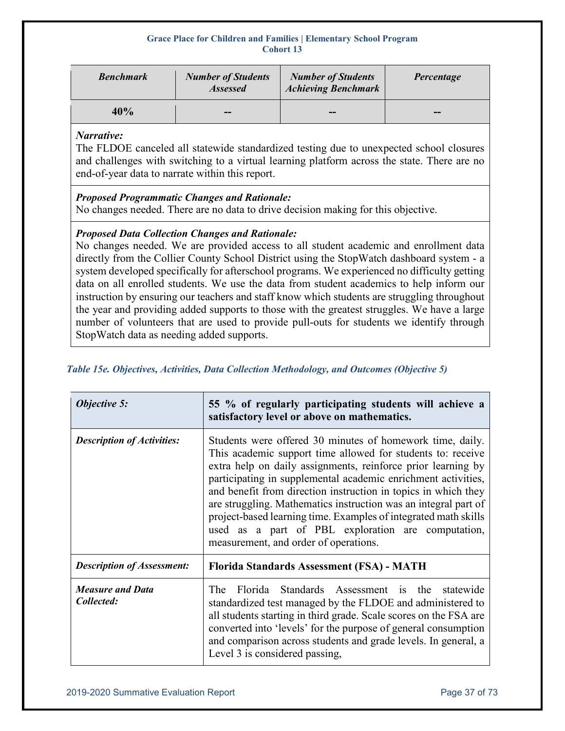| <b>Benchmark</b> | <b>Number of Students</b><br><b>Assessed</b> | <b>Number of Students</b><br><b>Achieving Benchmark</b> | Percentage |
|------------------|----------------------------------------------|---------------------------------------------------------|------------|
| 40%              | --                                           | --                                                      | --         |

### *Narrative:*

The FLDOE canceled all statewide standardized testing due to unexpected school closures and challenges with switching to a virtual learning platform across the state. There are no end-of-year data to narrate within this report.

## *Proposed Programmatic Changes and Rationale:*

No changes needed. There are no data to drive decision making for this objective.

## *Proposed Data Collection Changes and Rationale:*

No changes needed. We are provided access to all student academic and enrollment data directly from the Collier County School District using the StopWatch dashboard system - a system developed specifically for afterschool programs. We experienced no difficulty getting data on all enrolled students. We use the data from student academics to help inform our instruction by ensuring our teachers and staff know which students are struggling throughout the year and providing added supports to those with the greatest struggles. We have a large number of volunteers that are used to provide pull-outs for students we identify through StopWatch data as needing added supports.

|  |  |  | Table 15e. Objectives, Activities, Data Collection Methodology, and Outcomes (Objective 5) |  |
|--|--|--|--------------------------------------------------------------------------------------------|--|
|  |  |  |                                                                                            |  |

| <b>Objective 5:</b>                   | 55 % of regularly participating students will achieve a<br>satisfactory level or above on mathematics.                                                                                                                                                                                                                                                                                                                                                                                                                                                           |  |
|---------------------------------------|------------------------------------------------------------------------------------------------------------------------------------------------------------------------------------------------------------------------------------------------------------------------------------------------------------------------------------------------------------------------------------------------------------------------------------------------------------------------------------------------------------------------------------------------------------------|--|
| <b>Description of Activities:</b>     | Students were offered 30 minutes of homework time, daily.<br>This academic support time allowed for students to: receive<br>extra help on daily assignments, reinforce prior learning by<br>participating in supplemental academic enrichment activities,<br>and benefit from direction instruction in topics in which they<br>are struggling. Mathematics instruction was an integral part of<br>project-based learning time. Examples of integrated math skills<br>used as a part of PBL exploration are computation,<br>measurement, and order of operations. |  |
| <b>Description of Assessment:</b>     | Florida Standards Assessment (FSA) - MATH                                                                                                                                                                                                                                                                                                                                                                                                                                                                                                                        |  |
| <b>Measure and Data</b><br>Collected: | Florida Standards Assessment is the statewide<br>The <sub>.</sub><br>standardized test managed by the FLDOE and administered to<br>all students starting in third grade. Scale scores on the FSA are<br>converted into 'levels' for the purpose of general consumption<br>and comparison across students and grade levels. In general, a<br>Level 3 is considered passing,                                                                                                                                                                                       |  |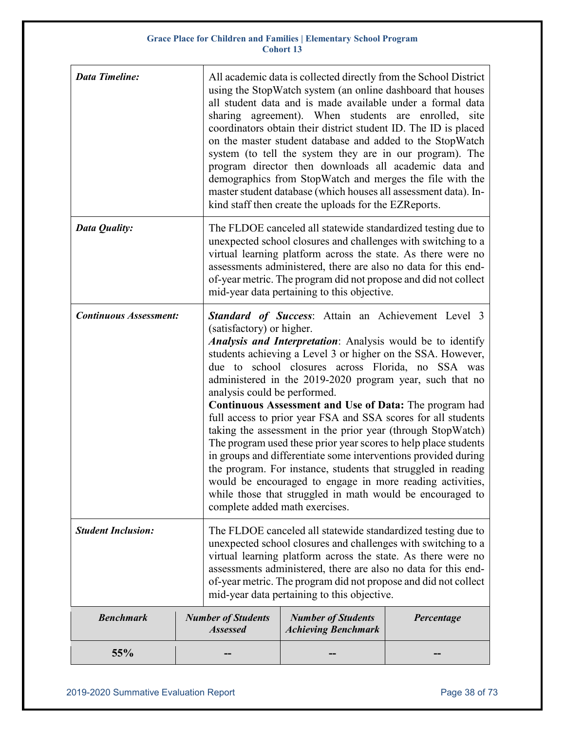| <b>Data Timeline:</b>         | All academic data is collected directly from the School District<br>using the StopWatch system (an online dashboard that houses<br>all student data and is made available under a formal data<br>sharing agreement). When students are enrolled, site<br>coordinators obtain their district student ID. The ID is placed<br>on the master student database and added to the StopWatch<br>system (to tell the system they are in our program). The<br>program director then downloads all academic data and<br>demographics from StopWatch and merges the file with the<br>master student database (which houses all assessment data). In-<br>kind staff then create the uploads for the EZReports.                                                                                                                                                                                                                                             |                                                                                                                                                                                                                                                                                                                                                                                   |            |
|-------------------------------|------------------------------------------------------------------------------------------------------------------------------------------------------------------------------------------------------------------------------------------------------------------------------------------------------------------------------------------------------------------------------------------------------------------------------------------------------------------------------------------------------------------------------------------------------------------------------------------------------------------------------------------------------------------------------------------------------------------------------------------------------------------------------------------------------------------------------------------------------------------------------------------------------------------------------------------------|-----------------------------------------------------------------------------------------------------------------------------------------------------------------------------------------------------------------------------------------------------------------------------------------------------------------------------------------------------------------------------------|------------|
| Data Quality:                 |                                                                                                                                                                                                                                                                                                                                                                                                                                                                                                                                                                                                                                                                                                                                                                                                                                                                                                                                                | The FLDOE canceled all statewide standardized testing due to<br>unexpected school closures and challenges with switching to a<br>virtual learning platform across the state. As there were no<br>assessments administered, there are also no data for this end-<br>of-year metric. The program did not propose and did not collect<br>mid-year data pertaining to this objective. |            |
| <b>Continuous Assessment:</b> | <b>Standard of Success:</b> Attain an Achievement Level 3<br>(satisfactory) or higher.<br><i>Analysis and Interpretation:</i> Analysis would be to identify<br>students achieving a Level 3 or higher on the SSA. However,<br>due to school closures across Florida, no SSA was<br>administered in the 2019-2020 program year, such that no<br>analysis could be performed.<br><b>Continuous Assessment and Use of Data:</b> The program had<br>full access to prior year FSA and SSA scores for all students<br>taking the assessment in the prior year (through StopWatch)<br>The program used these prior year scores to help place students<br>in groups and differentiate some interventions provided during<br>the program. For instance, students that struggled in reading<br>would be encouraged to engage in more reading activities,<br>while those that struggled in math would be encouraged to<br>complete added math exercises. |                                                                                                                                                                                                                                                                                                                                                                                   |            |
| <b>Student Inclusion:</b>     | The FLDOE canceled all statewide standardized testing due to<br>unexpected school closures and challenges with switching to a<br>virtual learning platform across the state. As there were no<br>assessments administered, there are also no data for this end-<br>of-year metric. The program did not propose and did not collect<br>mid-year data pertaining to this objective.                                                                                                                                                                                                                                                                                                                                                                                                                                                                                                                                                              |                                                                                                                                                                                                                                                                                                                                                                                   |            |
| <b>Benchmark</b>              | <b>Number of Students</b><br><b>Assessed</b>                                                                                                                                                                                                                                                                                                                                                                                                                                                                                                                                                                                                                                                                                                                                                                                                                                                                                                   | <b>Number of Students</b><br><b>Achieving Benchmark</b>                                                                                                                                                                                                                                                                                                                           | Percentage |
| 55%                           |                                                                                                                                                                                                                                                                                                                                                                                                                                                                                                                                                                                                                                                                                                                                                                                                                                                                                                                                                |                                                                                                                                                                                                                                                                                                                                                                                   |            |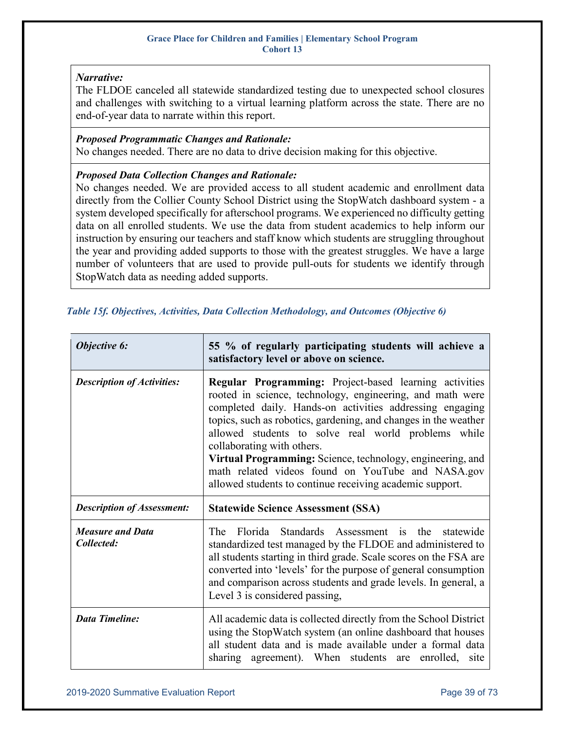## *Narrative:*

The FLDOE canceled all statewide standardized testing due to unexpected school closures and challenges with switching to a virtual learning platform across the state. There are no end-of-year data to narrate within this report.

## *Proposed Programmatic Changes and Rationale:*

No changes needed. There are no data to drive decision making for this objective.

### *Proposed Data Collection Changes and Rationale:*

No changes needed. We are provided access to all student academic and enrollment data directly from the Collier County School District using the StopWatch dashboard system - a system developed specifically for afterschool programs. We experienced no difficulty getting data on all enrolled students. We use the data from student academics to help inform our instruction by ensuring our teachers and staff know which students are struggling throughout the year and providing added supports to those with the greatest struggles. We have a large number of volunteers that are used to provide pull-outs for students we identify through StopWatch data as needing added supports.

## *Table 15f. Objectives, Activities, Data Collection Methodology, and Outcomes (Objective 6)*

| Objective 6:                          | 55 % of regularly participating students will achieve a<br>satisfactory level or above on science.                                                                                                                                                                                                                                                                                                                                                                                                                     |
|---------------------------------------|------------------------------------------------------------------------------------------------------------------------------------------------------------------------------------------------------------------------------------------------------------------------------------------------------------------------------------------------------------------------------------------------------------------------------------------------------------------------------------------------------------------------|
| <b>Description of Activities:</b>     | Regular Programming: Project-based learning activities<br>rooted in science, technology, engineering, and math were<br>completed daily. Hands-on activities addressing engaging<br>topics, such as robotics, gardening, and changes in the weather<br>allowed students to solve real world problems while<br>collaborating with others.<br>Virtual Programming: Science, technology, engineering, and<br>math related videos found on YouTube and NASA.gov<br>allowed students to continue receiving academic support. |
| <b>Description of Assessment:</b>     | <b>Statewide Science Assessment (SSA)</b>                                                                                                                                                                                                                                                                                                                                                                                                                                                                              |
| <b>Measure and Data</b><br>Collected: | Florida Standards Assessment is<br>The<br>the<br>statewide<br>standardized test managed by the FLDOE and administered to<br>all students starting in third grade. Scale scores on the FSA are<br>converted into 'levels' for the purpose of general consumption<br>and comparison across students and grade levels. In general, a<br>Level 3 is considered passing,                                                                                                                                                    |
| <b>Data Timeline:</b>                 | All academic data is collected directly from the School District<br>using the StopWatch system (an online dashboard that houses<br>all student data and is made available under a formal data<br>sharing agreement). When students are enrolled,<br>site                                                                                                                                                                                                                                                               |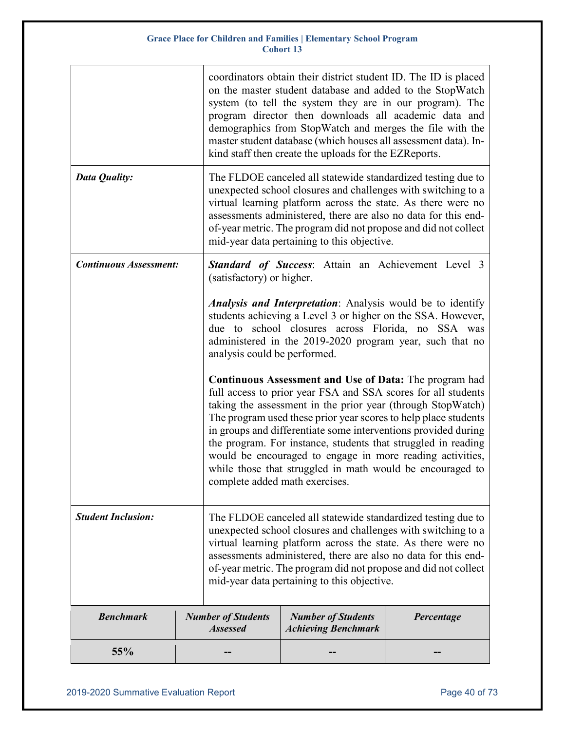|                               |  |                                                                                                                                                                                                                                                                                                                                                                                   | coordinators obtain their district student ID. The ID is placed<br>on the master student database and added to the StopWatch<br>system (to tell the system they are in our program). The<br>program director then downloads all academic data and<br>demographics from StopWatch and merges the file with the<br>master student database (which houses all assessment data). In-<br>kind staff then create the uploads for the EZReports.                                                                                                                       |            |
|-------------------------------|--|-----------------------------------------------------------------------------------------------------------------------------------------------------------------------------------------------------------------------------------------------------------------------------------------------------------------------------------------------------------------------------------|-----------------------------------------------------------------------------------------------------------------------------------------------------------------------------------------------------------------------------------------------------------------------------------------------------------------------------------------------------------------------------------------------------------------------------------------------------------------------------------------------------------------------------------------------------------------|------------|
| Data Quality:                 |  | The FLDOE canceled all statewide standardized testing due to<br>unexpected school closures and challenges with switching to a<br>virtual learning platform across the state. As there were no<br>assessments administered, there are also no data for this end-<br>of-year metric. The program did not propose and did not collect<br>mid-year data pertaining to this objective. |                                                                                                                                                                                                                                                                                                                                                                                                                                                                                                                                                                 |            |
| <b>Continuous Assessment:</b> |  | (satisfactory) or higher.                                                                                                                                                                                                                                                                                                                                                         | <b>Standard of Success:</b> Attain an Achievement Level 3                                                                                                                                                                                                                                                                                                                                                                                                                                                                                                       |            |
|                               |  | <b>Analysis and Interpretation:</b> Analysis would be to identify<br>students achieving a Level 3 or higher on the SSA. However,<br>due to school closures across Florida, no SSA was<br>administered in the 2019-2020 program year, such that no<br>analysis could be performed.                                                                                                 |                                                                                                                                                                                                                                                                                                                                                                                                                                                                                                                                                                 |            |
|                               |  |                                                                                                                                                                                                                                                                                                                                                                                   | <b>Continuous Assessment and Use of Data:</b> The program had<br>full access to prior year FSA and SSA scores for all students<br>taking the assessment in the prior year (through StopWatch)<br>The program used these prior year scores to help place students<br>in groups and differentiate some interventions provided during<br>the program. For instance, students that struggled in reading<br>would be encouraged to engage in more reading activities,<br>while those that struggled in math would be encouraged to<br>complete added math exercises. |            |
| <b>Student Inclusion:</b>     |  | The FLDOE canceled all statewide standardized testing due to<br>unexpected school closures and challenges with switching to a<br>virtual learning platform across the state. As there were no<br>assessments administered, there are also no data for this end-<br>of-year metric. The program did not propose and did not collect<br>mid-year data pertaining to this objective. |                                                                                                                                                                                                                                                                                                                                                                                                                                                                                                                                                                 |            |
| <b>Benchmark</b>              |  | <b>Number of Students</b><br><b>Assessed</b>                                                                                                                                                                                                                                                                                                                                      | <b>Number of Students</b><br><b>Achieving Benchmark</b>                                                                                                                                                                                                                                                                                                                                                                                                                                                                                                         | Percentage |
| 55%                           |  |                                                                                                                                                                                                                                                                                                                                                                                   |                                                                                                                                                                                                                                                                                                                                                                                                                                                                                                                                                                 |            |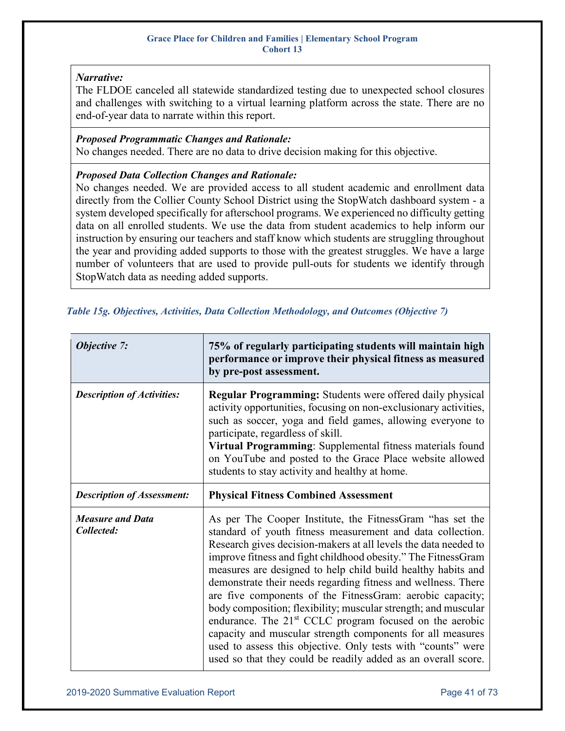## *Narrative:*

The FLDOE canceled all statewide standardized testing due to unexpected school closures and challenges with switching to a virtual learning platform across the state. There are no end-of-year data to narrate within this report.

### *Proposed Programmatic Changes and Rationale:*

No changes needed. There are no data to drive decision making for this objective.

### *Proposed Data Collection Changes and Rationale:*

No changes needed. We are provided access to all student academic and enrollment data directly from the Collier County School District using the StopWatch dashboard system - a system developed specifically for afterschool programs. We experienced no difficulty getting data on all enrolled students. We use the data from student academics to help inform our instruction by ensuring our teachers and staff know which students are struggling throughout the year and providing added supports to those with the greatest struggles. We have a large number of volunteers that are used to provide pull-outs for students we identify through StopWatch data as needing added supports.

| Objective 7:                          | 75% of regularly participating students will maintain high<br>performance or improve their physical fitness as measured<br>by pre-post assessment.                                                                                                                                                                                                                                                                                                                                                                                                                                                                                                                                                                                                                                                 |
|---------------------------------------|----------------------------------------------------------------------------------------------------------------------------------------------------------------------------------------------------------------------------------------------------------------------------------------------------------------------------------------------------------------------------------------------------------------------------------------------------------------------------------------------------------------------------------------------------------------------------------------------------------------------------------------------------------------------------------------------------------------------------------------------------------------------------------------------------|
| <b>Description of Activities:</b>     | <b>Regular Programming:</b> Students were offered daily physical<br>activity opportunities, focusing on non-exclusionary activities,<br>such as soccer, yoga and field games, allowing everyone to<br>participate, regardless of skill.<br>Virtual Programming: Supplemental fitness materials found<br>on YouTube and posted to the Grace Place website allowed<br>students to stay activity and healthy at home.                                                                                                                                                                                                                                                                                                                                                                                 |
| <b>Description of Assessment:</b>     | <b>Physical Fitness Combined Assessment</b>                                                                                                                                                                                                                                                                                                                                                                                                                                                                                                                                                                                                                                                                                                                                                        |
| <b>Measure and Data</b><br>Collected: | As per The Cooper Institute, the FitnessGram "has set the<br>standard of youth fitness measurement and data collection.<br>Research gives decision-makers at all levels the data needed to<br>improve fitness and fight childhood obesity." The Fitness Gram<br>measures are designed to help child build healthy habits and<br>demonstrate their needs regarding fitness and wellness. There<br>are five components of the FitnessGram: aerobic capacity;<br>body composition; flexibility; muscular strength; and muscular<br>endurance. The 21 <sup>st</sup> CCLC program focused on the aerobic<br>capacity and muscular strength components for all measures<br>used to assess this objective. Only tests with "counts" were<br>used so that they could be readily added as an overall score. |

### *Table 15g. Objectives, Activities, Data Collection Methodology, and Outcomes (Objective 7)*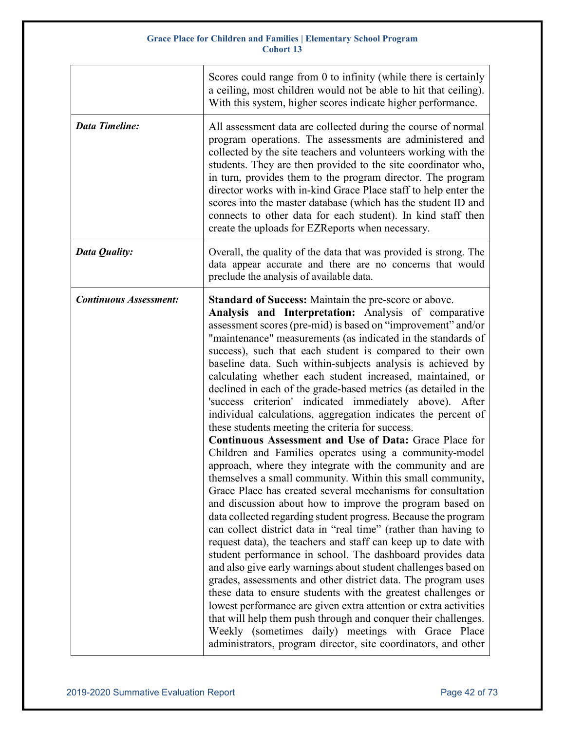|                               | Scores could range from 0 to infinity (while there is certainly<br>a ceiling, most children would not be able to hit that ceiling).<br>With this system, higher scores indicate higher performance.                                                                                                                                                                                                                                                                                                                                                                                                                                                                                                                                                                                                                                                                                                                                                                                                                                                                                                                                                                                                                                                                                                                                                                                                                                                                                                                                                                                                                                                                                                                                                                                                                       |
|-------------------------------|---------------------------------------------------------------------------------------------------------------------------------------------------------------------------------------------------------------------------------------------------------------------------------------------------------------------------------------------------------------------------------------------------------------------------------------------------------------------------------------------------------------------------------------------------------------------------------------------------------------------------------------------------------------------------------------------------------------------------------------------------------------------------------------------------------------------------------------------------------------------------------------------------------------------------------------------------------------------------------------------------------------------------------------------------------------------------------------------------------------------------------------------------------------------------------------------------------------------------------------------------------------------------------------------------------------------------------------------------------------------------------------------------------------------------------------------------------------------------------------------------------------------------------------------------------------------------------------------------------------------------------------------------------------------------------------------------------------------------------------------------------------------------------------------------------------------------|
| <b>Data Timeline:</b>         | All assessment data are collected during the course of normal<br>program operations. The assessments are administered and<br>collected by the site teachers and volunteers working with the<br>students. They are then provided to the site coordinator who,<br>in turn, provides them to the program director. The program<br>director works with in-kind Grace Place staff to help enter the<br>scores into the master database (which has the student ID and<br>connects to other data for each student). In kind staff then<br>create the uploads for EZReports when necessary.                                                                                                                                                                                                                                                                                                                                                                                                                                                                                                                                                                                                                                                                                                                                                                                                                                                                                                                                                                                                                                                                                                                                                                                                                                       |
| Data Quality:                 | Overall, the quality of the data that was provided is strong. The<br>data appear accurate and there are no concerns that would<br>preclude the analysis of available data.                                                                                                                                                                                                                                                                                                                                                                                                                                                                                                                                                                                                                                                                                                                                                                                                                                                                                                                                                                                                                                                                                                                                                                                                                                                                                                                                                                                                                                                                                                                                                                                                                                                |
| <b>Continuous Assessment:</b> | <b>Standard of Success:</b> Maintain the pre-score or above.<br>Analysis and Interpretation: Analysis of comparative<br>assessment scores (pre-mid) is based on "improvement" and/or<br>"maintenance" measurements (as indicated in the standards of<br>success), such that each student is compared to their own<br>baseline data. Such within-subjects analysis is achieved by<br>calculating whether each student increased, maintained, or<br>declined in each of the grade-based metrics (as detailed in the<br>'success criterion' indicated immediately above). After<br>individual calculations, aggregation indicates the percent of<br>these students meeting the criteria for success.<br><b>Continuous Assessment and Use of Data: Grace Place for</b><br>Children and Families operates using a community-model<br>approach, where they integrate with the community and are<br>themselves a small community. Within this small community,<br>Grace Place has created several mechanisms for consultation<br>and discussion about how to improve the program based on<br>data collected regarding student progress. Because the program<br>can collect district data in "real time" (rather than having to<br>request data), the teachers and staff can keep up to date with<br>student performance in school. The dashboard provides data<br>and also give early warnings about student challenges based on<br>grades, assessments and other district data. The program uses<br>these data to ensure students with the greatest challenges or<br>lowest performance are given extra attention or extra activities<br>that will help them push through and conquer their challenges.<br>Weekly (sometimes daily) meetings with Grace Place<br>administrators, program director, site coordinators, and other |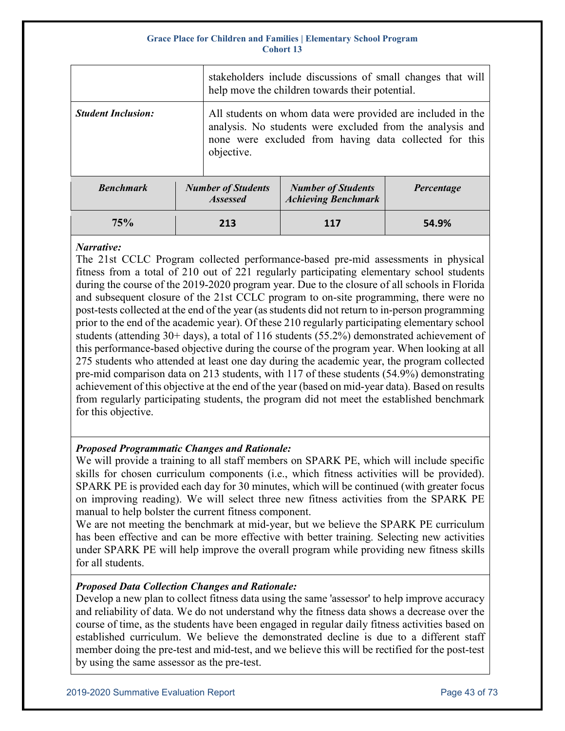|                           |                                              | stakeholders include discussions of small changes that will<br>help move the children towards their potential.                                                                     |            |  |
|---------------------------|----------------------------------------------|------------------------------------------------------------------------------------------------------------------------------------------------------------------------------------|------------|--|
| <b>Student Inclusion:</b> | objective.                                   | All students on whom data were provided are included in the<br>analysis. No students were excluded from the analysis and<br>none were excluded from having data collected for this |            |  |
| <b>Benchmark</b>          | <b>Number of Students</b><br><b>Assessed</b> | <b>Number of Students</b><br><b>Achieving Benchmark</b>                                                                                                                            | Percentage |  |
| 75%                       | 213                                          | 117                                                                                                                                                                                | 54.9%      |  |

## *Narrative:*

The 21st CCLC Program collected performance-based pre-mid assessments in physical fitness from a total of 210 out of 221 regularly participating elementary school students during the course of the 2019-2020 program year. Due to the closure of all schools in Florida and subsequent closure of the 21st CCLC program to on-site programming, there were no post-tests collected at the end of the year (as students did not return to in-person programming prior to the end of the academic year). Of these 210 regularly participating elementary school students (attending 30+ days), a total of 116 students (55.2%) demonstrated achievement of this performance-based objective during the course of the program year. When looking at all 275 students who attended at least one day during the academic year, the program collected pre-mid comparison data on 213 students, with 117 of these students (54.9%) demonstrating achievement of this objective at the end of the year (based on mid-year data). Based on results from regularly participating students, the program did not meet the established benchmark for this objective.

## *Proposed Programmatic Changes and Rationale:*

We will provide a training to all staff members on SPARK PE, which will include specific skills for chosen curriculum components (i.e., which fitness activities will be provided). SPARK PE is provided each day for 30 minutes, which will be continued (with greater focus on improving reading). We will select three new fitness activities from the SPARK PE manual to help bolster the current fitness component.

We are not meeting the benchmark at mid-year, but we believe the SPARK PE curriculum has been effective and can be more effective with better training. Selecting new activities under SPARK PE will help improve the overall program while providing new fitness skills for all students.

## *Proposed Data Collection Changes and Rationale:*

Develop a new plan to collect fitness data using the same 'assessor' to help improve accuracy and reliability of data. We do not understand why the fitness data shows a decrease over the course of time, as the students have been engaged in regular daily fitness activities based on established curriculum. We believe the demonstrated decline is due to a different staff member doing the pre-test and mid-test, and we believe this will be rectified for the post-test by using the same assessor as the pre-test.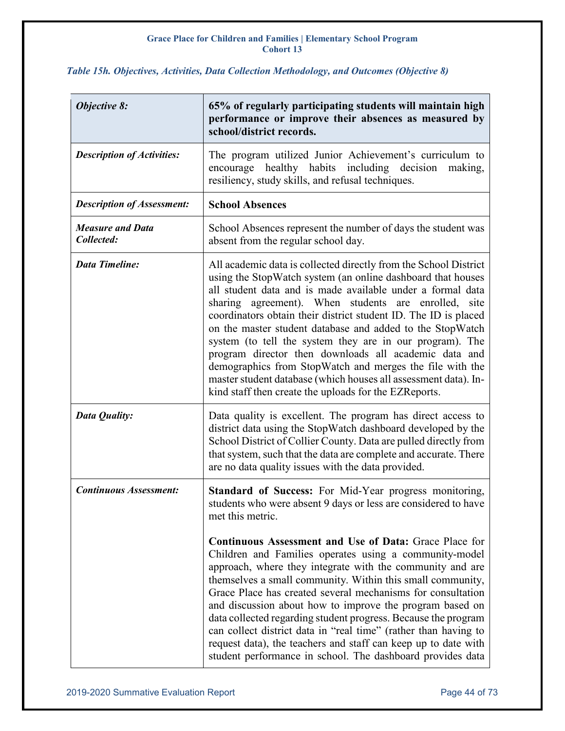| <b>Objective 8:</b>                   | 65% of regularly participating students will maintain high<br>performance or improve their absences as measured by<br>school/district records.                                                                                                                                                                                                                                                                                                                                                                                                                                                                                                                                                     |  |
|---------------------------------------|----------------------------------------------------------------------------------------------------------------------------------------------------------------------------------------------------------------------------------------------------------------------------------------------------------------------------------------------------------------------------------------------------------------------------------------------------------------------------------------------------------------------------------------------------------------------------------------------------------------------------------------------------------------------------------------------------|--|
| <b>Description of Activities:</b>     | The program utilized Junior Achievement's curriculum to<br>encourage healthy habits including decision<br>making,<br>resiliency, study skills, and refusal techniques.                                                                                                                                                                                                                                                                                                                                                                                                                                                                                                                             |  |
| <b>Description of Assessment:</b>     | <b>School Absences</b>                                                                                                                                                                                                                                                                                                                                                                                                                                                                                                                                                                                                                                                                             |  |
| <b>Measure and Data</b><br>Collected: | School Absences represent the number of days the student was<br>absent from the regular school day.                                                                                                                                                                                                                                                                                                                                                                                                                                                                                                                                                                                                |  |
| <b>Data Timeline:</b>                 | All academic data is collected directly from the School District<br>using the StopWatch system (an online dashboard that houses<br>all student data and is made available under a formal data<br>sharing agreement). When students are enrolled, site<br>coordinators obtain their district student ID. The ID is placed<br>on the master student database and added to the StopWatch<br>system (to tell the system they are in our program). The<br>program director then downloads all academic data and<br>demographics from StopWatch and merges the file with the<br>master student database (which houses all assessment data). In-<br>kind staff then create the uploads for the EZReports. |  |
| Data Quality:                         | Data quality is excellent. The program has direct access to<br>district data using the StopWatch dashboard developed by the<br>School District of Collier County. Data are pulled directly from<br>that system, such that the data are complete and accurate. There<br>are no data quality issues with the data provided.                                                                                                                                                                                                                                                                                                                                                                          |  |
| <b>Continuous Assessment:</b>         | Standard of Success: For Mid-Year progress monitoring,<br>students who were absent 9 days or less are considered to have<br>met this metric.                                                                                                                                                                                                                                                                                                                                                                                                                                                                                                                                                       |  |
|                                       | <b>Continuous Assessment and Use of Data: Grace Place for</b><br>Children and Families operates using a community-model<br>approach, where they integrate with the community and are<br>themselves a small community. Within this small community,<br>Grace Place has created several mechanisms for consultation<br>and discussion about how to improve the program based on<br>data collected regarding student progress. Because the program<br>can collect district data in "real time" (rather than having to<br>request data), the teachers and staff can keep up to date with<br>student performance in school. The dashboard provides data                                                 |  |

## *Table 15h. Objectives, Activities, Data Collection Methodology, and Outcomes (Objective 8)*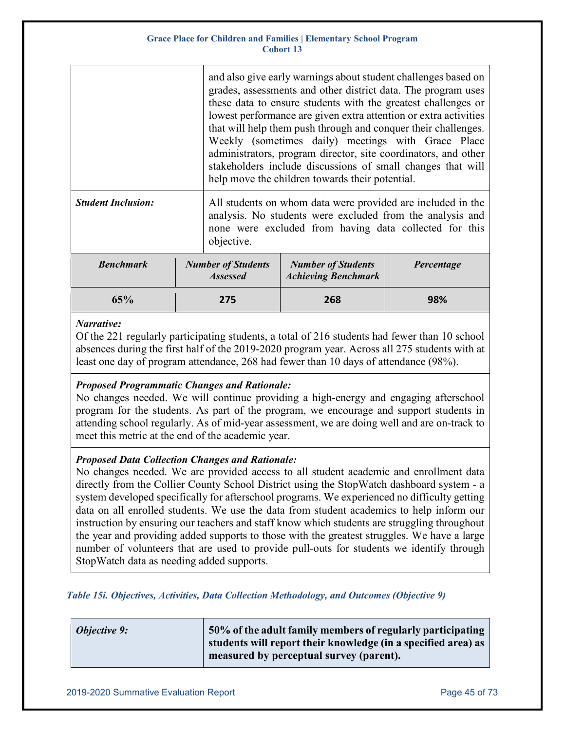|                           |     |                                              | and also give early warnings about student challenges based on<br>grades, assessments and other district data. The program uses<br>these data to ensure students with the greatest challenges or<br>lowest performance are given extra attention or extra activities<br>that will help them push through and conquer their challenges.<br>Weekly (sometimes daily) meetings with Grace Place<br>administrators, program director, site coordinators, and other<br>stakeholders include discussions of small changes that will<br>help move the children towards their potential. |            |
|---------------------------|-----|----------------------------------------------|----------------------------------------------------------------------------------------------------------------------------------------------------------------------------------------------------------------------------------------------------------------------------------------------------------------------------------------------------------------------------------------------------------------------------------------------------------------------------------------------------------------------------------------------------------------------------------|------------|
| <b>Student Inclusion:</b> |     | objective.                                   | All students on whom data were provided are included in the<br>analysis. No students were excluded from the analysis and<br>none were excluded from having data collected for this                                                                                                                                                                                                                                                                                                                                                                                               |            |
| <b>Benchmark</b>          |     | <b>Number of Students</b><br><b>Assessed</b> | <b>Number of Students</b><br><b>Achieving Benchmark</b>                                                                                                                                                                                                                                                                                                                                                                                                                                                                                                                          | Percentage |
| 65%                       | 275 |                                              | 268                                                                                                                                                                                                                                                                                                                                                                                                                                                                                                                                                                              | 98%        |

### *Narrative:*

Of the 221 regularly participating students, a total of 216 students had fewer than 10 school absences during the first half of the 2019-2020 program year. Across all 275 students with at least one day of program attendance, 268 had fewer than 10 days of attendance (98%).

## *Proposed Programmatic Changes and Rationale:*

No changes needed. We will continue providing a high-energy and engaging afterschool program for the students. As part of the program, we encourage and support students in attending school regularly. As of mid-year assessment, we are doing well and are on-track to meet this metric at the end of the academic year.

## *Proposed Data Collection Changes and Rationale:*

No changes needed. We are provided access to all student academic and enrollment data directly from the Collier County School District using the StopWatch dashboard system - a system developed specifically for afterschool programs. We experienced no difficulty getting data on all enrolled students. We use the data from student academics to help inform our instruction by ensuring our teachers and staff know which students are struggling throughout the year and providing added supports to those with the greatest struggles. We have a large number of volunteers that are used to provide pull-outs for students we identify through StopWatch data as needing added supports.

## *Table 15i. Objectives, Activities, Data Collection Methodology, and Outcomes (Objective 9)*

| <b>Objective 9:</b> | 50% of the adult family members of regularly participating    |
|---------------------|---------------------------------------------------------------|
|                     | students will report their knowledge (in a specified area) as |
|                     | measured by perceptual survey (parent).                       |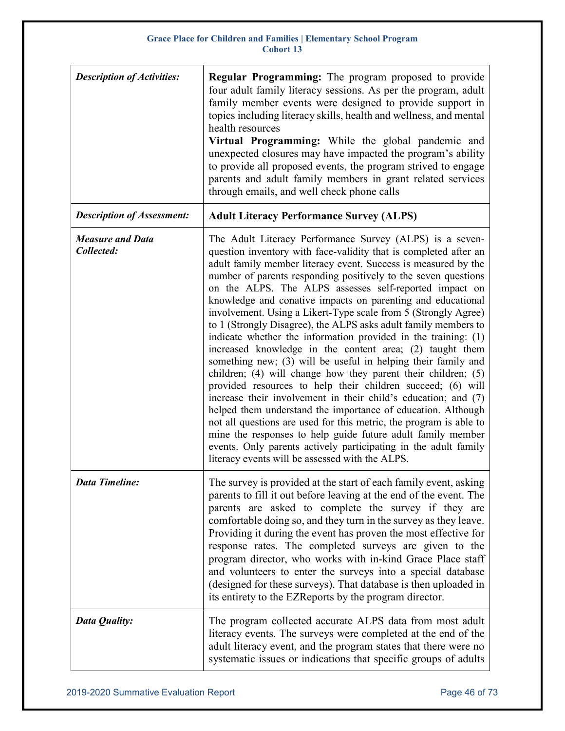| <b>Description of Activities:</b>     | <b>Regular Programming:</b> The program proposed to provide<br>four adult family literacy sessions. As per the program, adult<br>family member events were designed to provide support in<br>topics including literacy skills, health and wellness, and mental<br>health resources<br>Virtual Programming: While the global pandemic and<br>unexpected closures may have impacted the program's ability<br>to provide all proposed events, the program strived to engage<br>parents and adult family members in grant related services<br>through emails, and well check phone calls                                                                                                                                                                                                                                                                                                                                                                                                                                                                                                                                                                                                                                                                       |  |  |
|---------------------------------------|------------------------------------------------------------------------------------------------------------------------------------------------------------------------------------------------------------------------------------------------------------------------------------------------------------------------------------------------------------------------------------------------------------------------------------------------------------------------------------------------------------------------------------------------------------------------------------------------------------------------------------------------------------------------------------------------------------------------------------------------------------------------------------------------------------------------------------------------------------------------------------------------------------------------------------------------------------------------------------------------------------------------------------------------------------------------------------------------------------------------------------------------------------------------------------------------------------------------------------------------------------|--|--|
| <b>Description of Assessment:</b>     | <b>Adult Literacy Performance Survey (ALPS)</b>                                                                                                                                                                                                                                                                                                                                                                                                                                                                                                                                                                                                                                                                                                                                                                                                                                                                                                                                                                                                                                                                                                                                                                                                            |  |  |
| <b>Measure and Data</b><br>Collected: | The Adult Literacy Performance Survey (ALPS) is a seven-<br>question inventory with face-validity that is completed after an<br>adult family member literacy event. Success is measured by the<br>number of parents responding positively to the seven questions<br>on the ALPS. The ALPS assesses self-reported impact on<br>knowledge and conative impacts on parenting and educational<br>involvement. Using a Likert-Type scale from 5 (Strongly Agree)<br>to 1 (Strongly Disagree), the ALPS asks adult family members to<br>indicate whether the information provided in the training: (1)<br>increased knowledge in the content area; (2) taught them<br>something new; (3) will be useful in helping their family and<br>children; (4) will change how they parent their children; (5)<br>provided resources to help their children succeed; (6) will<br>increase their involvement in their child's education; and (7)<br>helped them understand the importance of education. Although<br>not all questions are used for this metric, the program is able to<br>mine the responses to help guide future adult family member<br>events. Only parents actively participating in the adult family<br>literacy events will be assessed with the ALPS. |  |  |
| <b>Data Timeline:</b>                 | The survey is provided at the start of each family event, asking<br>parents to fill it out before leaving at the end of the event. The<br>parents are asked to complete the survey if they are<br>comfortable doing so, and they turn in the survey as they leave.<br>Providing it during the event has proven the most effective for<br>response rates. The completed surveys are given to the<br>program director, who works with in-kind Grace Place staff<br>and volunteers to enter the surveys into a special database<br>(designed for these surveys). That database is then uploaded in<br>its entirety to the EZReports by the program director.                                                                                                                                                                                                                                                                                                                                                                                                                                                                                                                                                                                                  |  |  |
| Data Quality:                         | The program collected accurate ALPS data from most adult<br>literacy events. The surveys were completed at the end of the<br>adult literacy event, and the program states that there were no<br>systematic issues or indications that specific groups of adults                                                                                                                                                                                                                                                                                                                                                                                                                                                                                                                                                                                                                                                                                                                                                                                                                                                                                                                                                                                            |  |  |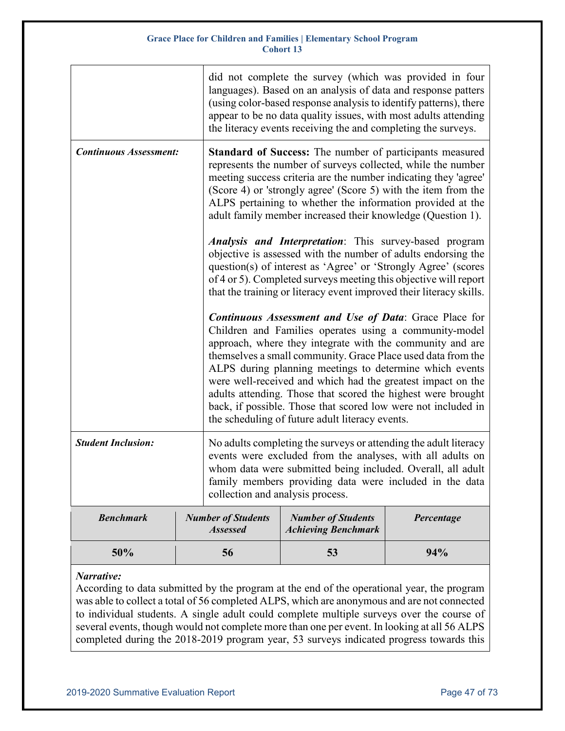|                               |  | did not complete the survey (which was provided in four<br>languages). Based on an analysis of data and response patters<br>(using color-based response analysis to identify patterns), there<br>appear to be no data quality issues, with most adults attending<br>the literacy events receiving the and completing the surveys.                                                                                                                                                                                                                                  |                                                         |            |  |
|-------------------------------|--|--------------------------------------------------------------------------------------------------------------------------------------------------------------------------------------------------------------------------------------------------------------------------------------------------------------------------------------------------------------------------------------------------------------------------------------------------------------------------------------------------------------------------------------------------------------------|---------------------------------------------------------|------------|--|
| <b>Continuous Assessment:</b> |  | <b>Standard of Success:</b> The number of participants measured<br>represents the number of surveys collected, while the number<br>meeting success criteria are the number indicating they 'agree'<br>(Score 4) or 'strongly agree' (Score 5) with the item from the<br>ALPS pertaining to whether the information provided at the<br>adult family member increased their knowledge (Question 1).                                                                                                                                                                  |                                                         |            |  |
|                               |  | <i>Analysis and Interpretation</i> : This survey-based program<br>objective is assessed with the number of adults endorsing the<br>question(s) of interest as 'Agree' or 'Strongly Agree' (scores<br>of 4 or 5). Completed surveys meeting this objective will report<br>that the training or literacy event improved their literacy skills.                                                                                                                                                                                                                       |                                                         |            |  |
|                               |  | <b>Continuous Assessment and Use of Data: Grace Place for</b><br>Children and Families operates using a community-model<br>approach, where they integrate with the community and are<br>themselves a small community. Grace Place used data from the<br>ALPS during planning meetings to determine which events<br>were well-received and which had the greatest impact on the<br>adults attending. Those that scored the highest were brought<br>back, if possible. Those that scored low were not included in<br>the scheduling of future adult literacy events. |                                                         |            |  |
| <b>Student Inclusion:</b>     |  | No adults completing the surveys or attending the adult literacy<br>events were excluded from the analyses, with all adults on<br>whom data were submitted being included. Overall, all adult<br>family members providing data were included in the data<br>collection and analysis process.                                                                                                                                                                                                                                                                       |                                                         |            |  |
| <b>Benchmark</b>              |  | <b>Number of Students</b><br><b>Assessed</b>                                                                                                                                                                                                                                                                                                                                                                                                                                                                                                                       | <b>Number of Students</b><br><b>Achieving Benchmark</b> | Percentage |  |
| 50%                           |  | 56                                                                                                                                                                                                                                                                                                                                                                                                                                                                                                                                                                 | 53                                                      | 94%        |  |

## *Narrative:*

According to data submitted by the program at the end of the operational year, the program was able to collect a total of 56 completed ALPS, which are anonymous and are not connected to individual students. A single adult could complete multiple surveys over the course of several events, though would not complete more than one per event. In looking at all 56 ALPS completed during the 2018-2019 program year, 53 surveys indicated progress towards this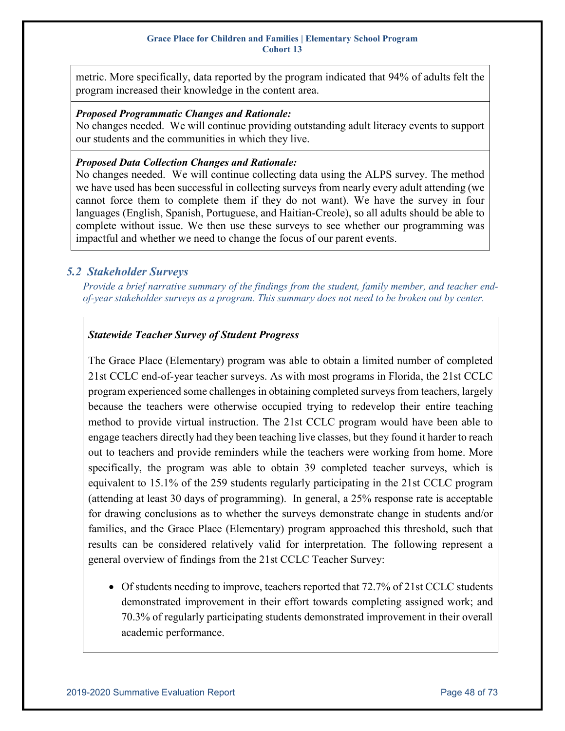metric. More specifically, data reported by the program indicated that 94% of adults felt the program increased their knowledge in the content area.

### *Proposed Programmatic Changes and Rationale:*

No changes needed. We will continue providing outstanding adult literacy events to support our students and the communities in which they live.

## *Proposed Data Collection Changes and Rationale:*

No changes needed. We will continue collecting data using the ALPS survey. The method we have used has been successful in collecting surveys from nearly every adult attending (we cannot force them to complete them if they do not want). We have the survey in four languages (English, Spanish, Portuguese, and Haitian-Creole), so all adults should be able to complete without issue. We then use these surveys to see whether our programming was impactful and whether we need to change the focus of our parent events.

## *5.2 Stakeholder Surveys*

*Provide a brief narrative summary of the findings from the student, family member, and teacher end‐ of‐year stakeholder surveys as a program. This summary does not need to be broken out by center.*

## *Statewide Teacher Survey of Student Progress*

The Grace Place (Elementary) program was able to obtain a limited number of completed 21st CCLC end-of-year teacher surveys. As with most programs in Florida, the 21st CCLC program experienced some challenges in obtaining completed surveys from teachers, largely because the teachers were otherwise occupied trying to redevelop their entire teaching method to provide virtual instruction. The 21st CCLC program would have been able to engage teachers directly had they been teaching live classes, but they found it harder to reach out to teachers and provide reminders while the teachers were working from home. More specifically, the program was able to obtain 39 completed teacher surveys, which is equivalent to 15.1% of the 259 students regularly participating in the 21st CCLC program (attending at least 30 days of programming). In general, a 25% response rate is acceptable for drawing conclusions as to whether the surveys demonstrate change in students and/or families, and the Grace Place (Elementary) program approached this threshold, such that results can be considered relatively valid for interpretation. The following represent a general overview of findings from the 21st CCLC Teacher Survey:

• Of students needing to improve, teachers reported that 72.7% of 21st CCLC students demonstrated improvement in their effort towards completing assigned work; and 70.3% of regularly participating students demonstrated improvement in their overall academic performance.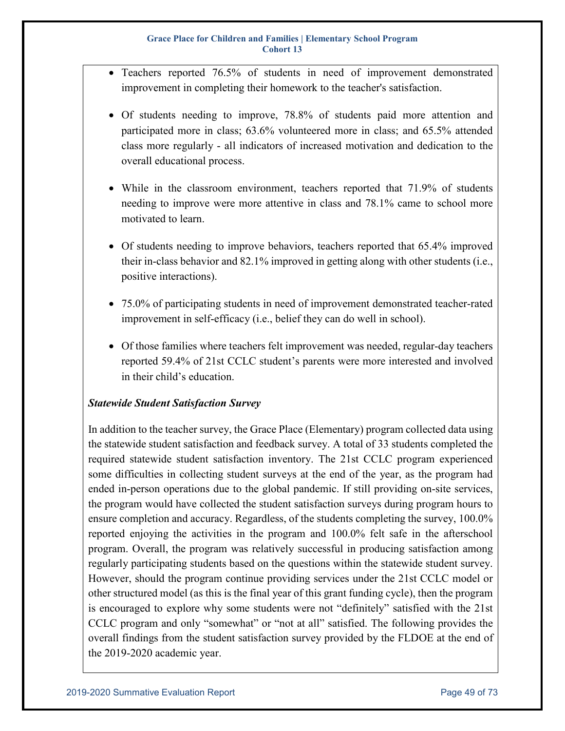- Teachers reported 76.5% of students in need of improvement demonstrated improvement in completing their homework to the teacher's satisfaction.
- Of students needing to improve, 78.8% of students paid more attention and participated more in class; 63.6% volunteered more in class; and 65.5% attended class more regularly - all indicators of increased motivation and dedication to the overall educational process.
- While in the classroom environment, teachers reported that 71.9% of students needing to improve were more attentive in class and 78.1% came to school more motivated to learn.
- Of students needing to improve behaviors, teachers reported that 65.4% improved their in-class behavior and 82.1% improved in getting along with other students (i.e., positive interactions).
- 75.0% of participating students in need of improvement demonstrated teacher-rated improvement in self-efficacy (i.e., belief they can do well in school).
- Of those families where teachers felt improvement was needed, regular-day teachers reported 59.4% of 21st CCLC student's parents were more interested and involved in their child's education.

## *Statewide Student Satisfaction Survey*

In addition to the teacher survey, the Grace Place (Elementary) program collected data using the statewide student satisfaction and feedback survey. A total of 33 students completed the required statewide student satisfaction inventory. The 21st CCLC program experienced some difficulties in collecting student surveys at the end of the year, as the program had ended in-person operations due to the global pandemic. If still providing on-site services, the program would have collected the student satisfaction surveys during program hours to ensure completion and accuracy. Regardless, of the students completing the survey, 100.0% reported enjoying the activities in the program and 100.0% felt safe in the afterschool program. Overall, the program was relatively successful in producing satisfaction among regularly participating students based on the questions within the statewide student survey. However, should the program continue providing services under the 21st CCLC model or other structured model (as this is the final year of this grant funding cycle), then the program is encouraged to explore why some students were not "definitely" satisfied with the 21st CCLC program and only "somewhat" or "not at all" satisfied. The following provides the overall findings from the student satisfaction survey provided by the FLDOE at the end of the 2019-2020 academic year.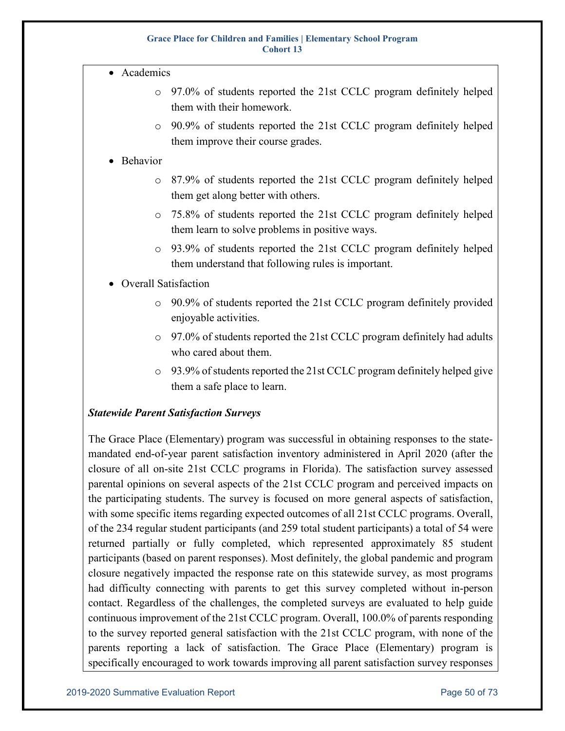- Academics
	- o 97.0% of students reported the 21st CCLC program definitely helped them with their homework.
	- o 90.9% of students reported the 21st CCLC program definitely helped them improve their course grades.

### • Behavior

- o 87.9% of students reported the 21st CCLC program definitely helped them get along better with others.
- o 75.8% of students reported the 21st CCLC program definitely helped them learn to solve problems in positive ways.
- o 93.9% of students reported the 21st CCLC program definitely helped them understand that following rules is important.

## • Overall Satisfaction

- o 90.9% of students reported the 21st CCLC program definitely provided enjoyable activities.
- o 97.0% of students reported the 21st CCLC program definitely had adults who cared about them.
- o 93.9% of students reported the 21st CCLC program definitely helped give them a safe place to learn.

## *Statewide Parent Satisfaction Surveys*

The Grace Place (Elementary) program was successful in obtaining responses to the statemandated end-of-year parent satisfaction inventory administered in April 2020 (after the closure of all on-site 21st CCLC programs in Florida). The satisfaction survey assessed parental opinions on several aspects of the 21st CCLC program and perceived impacts on the participating students. The survey is focused on more general aspects of satisfaction, with some specific items regarding expected outcomes of all 21st CCLC programs. Overall, of the 234 regular student participants (and 259 total student participants) a total of 54 were returned partially or fully completed, which represented approximately 85 student participants (based on parent responses). Most definitely, the global pandemic and program closure negatively impacted the response rate on this statewide survey, as most programs had difficulty connecting with parents to get this survey completed without in-person contact. Regardless of the challenges, the completed surveys are evaluated to help guide continuous improvement of the 21st CCLC program. Overall, 100.0% of parents responding to the survey reported general satisfaction with the 21st CCLC program, with none of the parents reporting a lack of satisfaction. The Grace Place (Elementary) program is specifically encouraged to work towards improving all parent satisfaction survey responses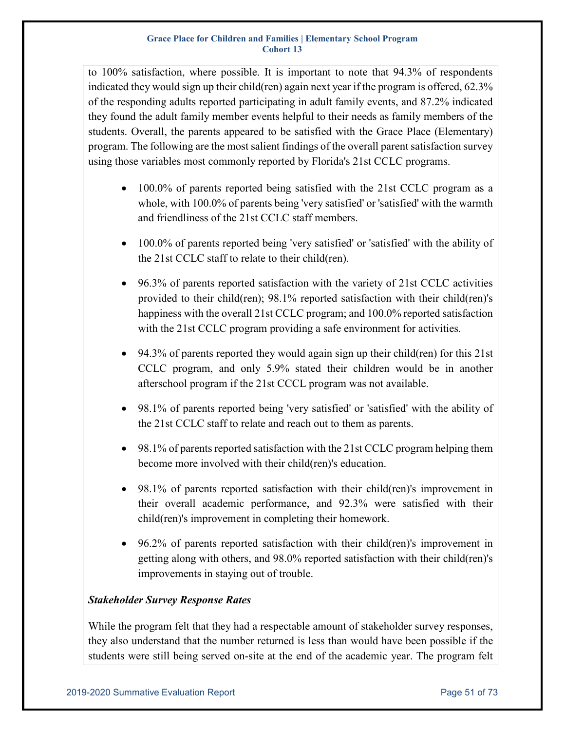to 100% satisfaction, where possible. It is important to note that 94.3% of respondents indicated they would sign up their child(ren) again next year if the program is offered, 62.3% of the responding adults reported participating in adult family events, and 87.2% indicated they found the adult family member events helpful to their needs as family members of the students. Overall, the parents appeared to be satisfied with the Grace Place (Elementary) program. The following are the most salient findings of the overall parent satisfaction survey using those variables most commonly reported by Florida's 21st CCLC programs.

- 100.0% of parents reported being satisfied with the 21st CCLC program as a whole, with 100.0% of parents being 'very satisfied' or 'satisfied' with the warmth and friendliness of the 21st CCLC staff members.
- 100.0% of parents reported being 'very satisfied' or 'satisfied' with the ability of the 21st CCLC staff to relate to their child(ren).
- 96.3% of parents reported satisfaction with the variety of 21st CCLC activities provided to their child(ren); 98.1% reported satisfaction with their child(ren)'s happiness with the overall 21st CCLC program; and 100.0% reported satisfaction with the 21st CCLC program providing a safe environment for activities.
- 94.3% of parents reported they would again sign up their child(ren) for this 21st CCLC program, and only 5.9% stated their children would be in another afterschool program if the 21st CCCL program was not available.
- 98.1% of parents reported being 'very satisfied' or 'satisfied' with the ability of the 21st CCLC staff to relate and reach out to them as parents.
- 98.1% of parents reported satisfaction with the 21st CCLC program helping them become more involved with their child(ren)'s education.
- 98.1% of parents reported satisfaction with their child(ren)'s improvement in their overall academic performance, and 92.3% were satisfied with their child(ren)'s improvement in completing their homework.
- 96.2% of parents reported satisfaction with their child(ren)'s improvement in getting along with others, and 98.0% reported satisfaction with their child(ren)'s improvements in staying out of trouble.

## *Stakeholder Survey Response Rates*

While the program felt that they had a respectable amount of stakeholder survey responses, they also understand that the number returned is less than would have been possible if the students were still being served on-site at the end of the academic year. The program felt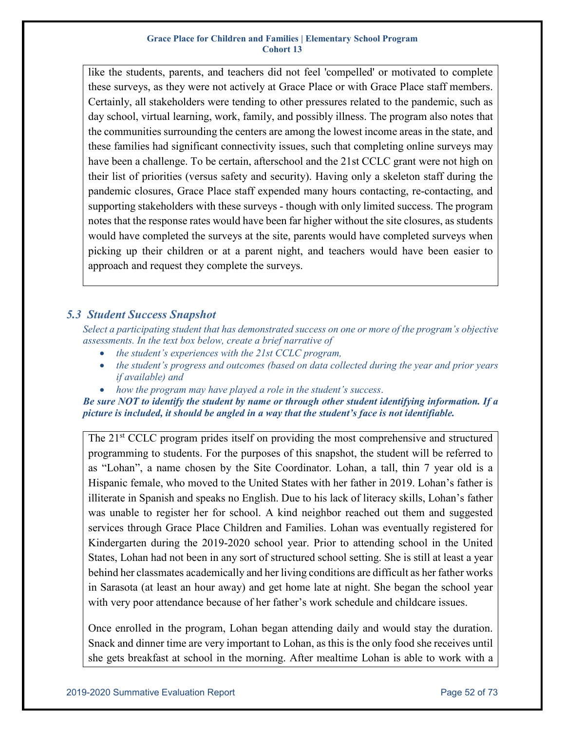like the students, parents, and teachers did not feel 'compelled' or motivated to complete these surveys, as they were not actively at Grace Place or with Grace Place staff members. Certainly, all stakeholders were tending to other pressures related to the pandemic, such as day school, virtual learning, work, family, and possibly illness. The program also notes that the communities surrounding the centers are among the lowest income areas in the state, and these families had significant connectivity issues, such that completing online surveys may have been a challenge. To be certain, afterschool and the 21st CCLC grant were not high on their list of priorities (versus safety and security). Having only a skeleton staff during the pandemic closures, Grace Place staff expended many hours contacting, re-contacting, and supporting stakeholders with these surveys - though with only limited success. The program notes that the response rates would have been far higher without the site closures, as students would have completed the surveys at the site, parents would have completed surveys when picking up their children or at a parent night, and teachers would have been easier to approach and request they complete the surveys.

## *5.3 Student Success Snapshot*

*Select a participating student that has demonstrated success on one or more of the program's objective assessments. In the text box below, create a brief narrative of*

- *the student's experiences with the 21st CCLC program,*
- *the student's progress and outcomes (based on data collected during the year and prior years if available) and*
- *how the program may have played a role in the student's success*.

*Be sure NOT to identify the student by name or through other student identifying information. If a picture is included, it should be angled in a way that the student's face is not identifiable.* 

The 21<sup>st</sup> CCLC program prides itself on providing the most comprehensive and structured programming to students. For the purposes of this snapshot, the student will be referred to as "Lohan", a name chosen by the Site Coordinator. Lohan, a tall, thin 7 year old is a Hispanic female, who moved to the United States with her father in 2019. Lohan's father is illiterate in Spanish and speaks no English. Due to his lack of literacy skills, Lohan's father was unable to register her for school. A kind neighbor reached out them and suggested services through Grace Place Children and Families. Lohan was eventually registered for Kindergarten during the 2019-2020 school year. Prior to attending school in the United States, Lohan had not been in any sort of structured school setting. She is still at least a year behind her classmates academically and her living conditions are difficult as her father works in Sarasota (at least an hour away) and get home late at night. She began the school year with very poor attendance because of her father's work schedule and childcare issues.

Once enrolled in the program, Lohan began attending daily and would stay the duration. Snack and dinner time are very important to Lohan, as this is the only food she receives until she gets breakfast at school in the morning. After mealtime Lohan is able to work with a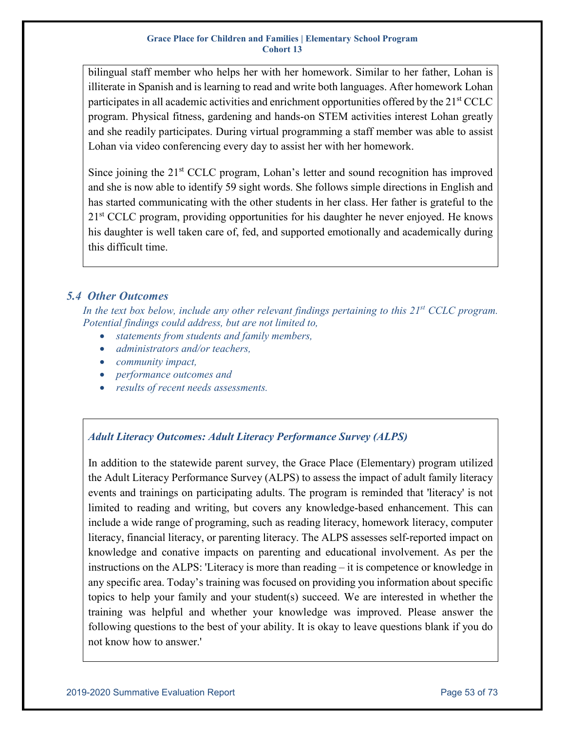bilingual staff member who helps her with her homework. Similar to her father, Lohan is illiterate in Spanish and is learning to read and write both languages. After homework Lohan participates in all academic activities and enrichment opportunities offered by the 21<sup>st</sup> CCLC program. Physical fitness, gardening and hands-on STEM activities interest Lohan greatly and she readily participates. During virtual programming a staff member was able to assist Lohan via video conferencing every day to assist her with her homework.

Since joining the  $21<sup>st</sup>$  CCLC program, Lohan's letter and sound recognition has improved and she is now able to identify 59 sight words. She follows simple directions in English and has started communicating with the other students in her class. Her father is grateful to the 21<sup>st</sup> CCLC program, providing opportunities for his daughter he never enjoyed. He knows his daughter is well taken care of, fed, and supported emotionally and academically during this difficult time.

## *5.4 Other Outcomes*

In the text box below, include any other relevant findings pertaining to this 21<sup>st</sup> CCLC program. *Potential findings could address, but are not limited to,*

- *statements from students and family members,*
- *administrators and/or teachers,*
- *community impact,*
- *performance outcomes and*
- *results of recent needs assessments.*

## *Adult Literacy Outcomes: Adult Literacy Performance Survey (ALPS)*

In addition to the statewide parent survey, the Grace Place (Elementary) program utilized the Adult Literacy Performance Survey (ALPS) to assess the impact of adult family literacy events and trainings on participating adults. The program is reminded that 'literacy' is not limited to reading and writing, but covers any knowledge-based enhancement. This can include a wide range of programing, such as reading literacy, homework literacy, computer literacy, financial literacy, or parenting literacy. The ALPS assesses self-reported impact on knowledge and conative impacts on parenting and educational involvement. As per the instructions on the ALPS: 'Literacy is more than reading – it is competence or knowledge in any specific area. Today's training was focused on providing you information about specific topics to help your family and your student(s) succeed. We are interested in whether the training was helpful and whether your knowledge was improved. Please answer the following questions to the best of your ability. It is okay to leave questions blank if you do not know how to answer.'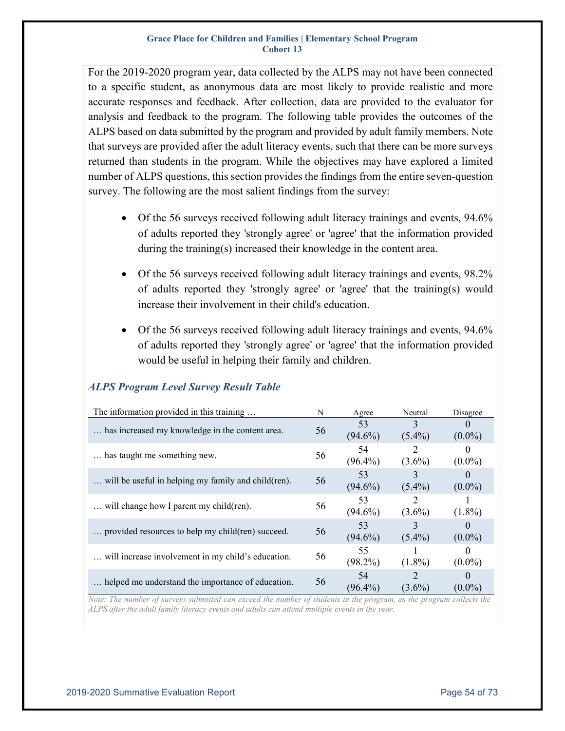For the 2019-2020 program year, data collected by the ALPS may not have been connected to a specific student, as anonymous data are most likely to provide realistic and more accurate responses and feedback. After collection, data are provided to the evaluator for analysis and feedback to the program. The following table provides the outcomes of the ALPS based on data submitted by the program and provided by adult family members. Note that surveys are provided after the adult literacy events, such that there can be more surveys returned than students in the program. While the objectives may have explored a limited number of ALPS questions, this section provides the findings from the entire seven-question survey. The following are the most salient findings from the survey:

- Of the 56 surveys received following adult literacy trainings and events, 94.6% of adults reported they 'strongly agree' or 'agree' that the information provided during the training(s) increased their knowledge in the content area.
- Of the 56 surveys received following adult literacy trainings and events, 98.2% of adults reported they 'strongly agree' or 'agree' that the training(s) would increase their involvement in their child's education.
- Of the 56 surveys received following adult literacy trainings and events, 94.6% of adults reported they 'strongly agree' or 'agree' that the information provided would be useful in helping their family and children.

| The information provided in this training            | N  | Agree            | Neutral                                  | Disagree              |
|------------------------------------------------------|----|------------------|------------------------------------------|-----------------------|
| has increased my knowledge in the content area.      | 56 | 53<br>$(94.6\%)$ | 3<br>$(5.4\%)$                           | $\Omega$<br>$(0.0\%)$ |
| has taught me something new.                         | 56 | 54<br>$(96.4\%)$ | $\mathcal{D}_{\mathcal{L}}$<br>$(3.6\%)$ | $\theta$<br>$(0.0\%)$ |
| will be useful in helping my family and child (ren). | 56 | 53<br>$(94.6\%)$ | $(5.4\%)$                                | $(0.0\%)$             |
| will change how I parent my child(ren).              | 56 | 53<br>$(94.6\%)$ | $(3.6\%)$                                | $(1.8\%)$             |
| provided resources to help my child(ren) succeed.    | 56 | 53<br>$(94.6\%)$ | 3<br>$(5.4\%)$                           | $(0.0\%)$             |
| will increase involvement in my child's education.   | 56 | 55<br>$(98.2\%)$ | $(1.8\%)$                                | $\theta$<br>$(0.0\%)$ |
| helped me understand the importance of education.    | 56 | 54<br>$(96.4\%)$ | $\mathcal{D}_{\mathcal{L}}$<br>$(3.6\%)$ | $\theta$<br>$(0.0\%)$ |

## *ALPS Program Level Survey Result Table*

*Note: The number of surveys submitted can exceed the number of students in the program, as the program collects the ALPS after the adult family literacy events and adults can attend multiple events in the year.*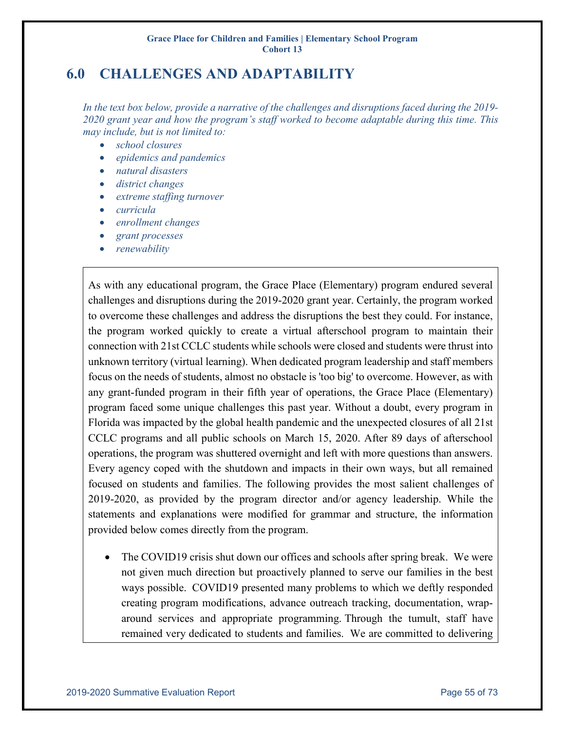# **6.0 CHALLENGES AND ADAPTABILITY**

*In the text box below, provide a narrative of the challenges and disruptions faced during the 2019- 2020 grant year and how the program's staff worked to become adaptable during this time. This may include, but is not limited to:*

- *school closures*
- *epidemics and pandemics*
- *natural disasters*
- *district changes*
- *extreme staffing turnover*
- *curricula*
- *enrollment changes*
- *grant processes*
- *renewability*

As with any educational program, the Grace Place (Elementary) program endured several challenges and disruptions during the 2019-2020 grant year. Certainly, the program worked to overcome these challenges and address the disruptions the best they could. For instance, the program worked quickly to create a virtual afterschool program to maintain their connection with 21st CCLC students while schools were closed and students were thrust into unknown territory (virtual learning). When dedicated program leadership and staff members focus on the needs of students, almost no obstacle is 'too big' to overcome. However, as with any grant-funded program in their fifth year of operations, the Grace Place (Elementary) program faced some unique challenges this past year. Without a doubt, every program in Florida was impacted by the global health pandemic and the unexpected closures of all 21st CCLC programs and all public schools on March 15, 2020. After 89 days of afterschool operations, the program was shuttered overnight and left with more questions than answers. Every agency coped with the shutdown and impacts in their own ways, but all remained focused on students and families. The following provides the most salient challenges of 2019-2020, as provided by the program director and/or agency leadership. While the statements and explanations were modified for grammar and structure, the information provided below comes directly from the program.

• The COVID19 crisis shut down our offices and schools after spring break. We were not given much direction but proactively planned to serve our families in the best ways possible. COVID19 presented many problems to which we deftly responded creating program modifications, advance outreach tracking, documentation, wraparound services and appropriate programming. Through the tumult, staff have remained very dedicated to students and families. We are committed to delivering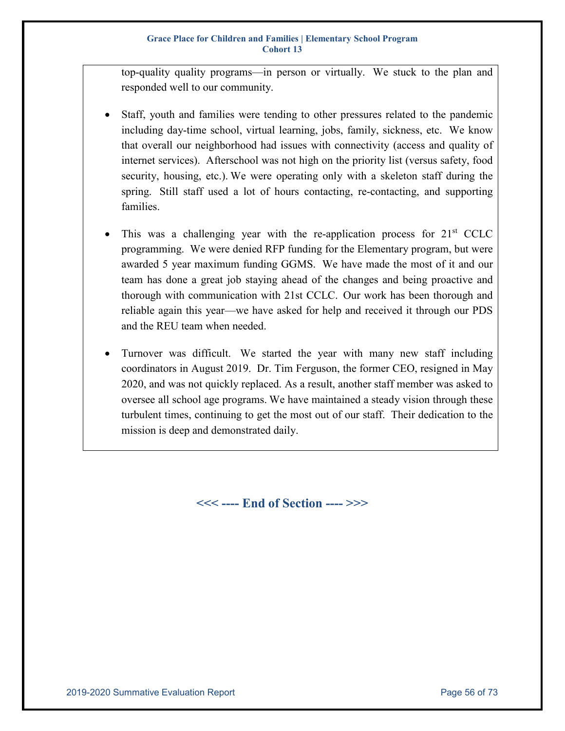top-quality quality programs—in person or virtually. We stuck to the plan and responded well to our community.

- Staff, youth and families were tending to other pressures related to the pandemic including day-time school, virtual learning, jobs, family, sickness, etc. We know that overall our neighborhood had issues with connectivity (access and quality of internet services). Afterschool was not high on the priority list (versus safety, food security, housing, etc.). We were operating only with a skeleton staff during the spring. Still staff used a lot of hours contacting, re-contacting, and supporting families.
- This was a challenging year with the re-application process for  $21<sup>st</sup>$  CCLC programming. We were denied RFP funding for the Elementary program, but were awarded 5 year maximum funding GGMS. We have made the most of it and our team has done a great job staying ahead of the changes and being proactive and thorough with communication with 21st CCLC. Our work has been thorough and reliable again this year—we have asked for help and received it through our PDS and the REU team when needed.
- Turnover was difficult. We started the year with many new staff including coordinators in August 2019. Dr. Tim Ferguson, the former CEO, resigned in May 2020, and was not quickly replaced. As a result, another staff member was asked to oversee all school age programs. We have maintained a steady vision through these turbulent times, continuing to get the most out of our staff. Their dedication to the mission is deep and demonstrated daily.

**<<< ---- End of Section ---- >>>**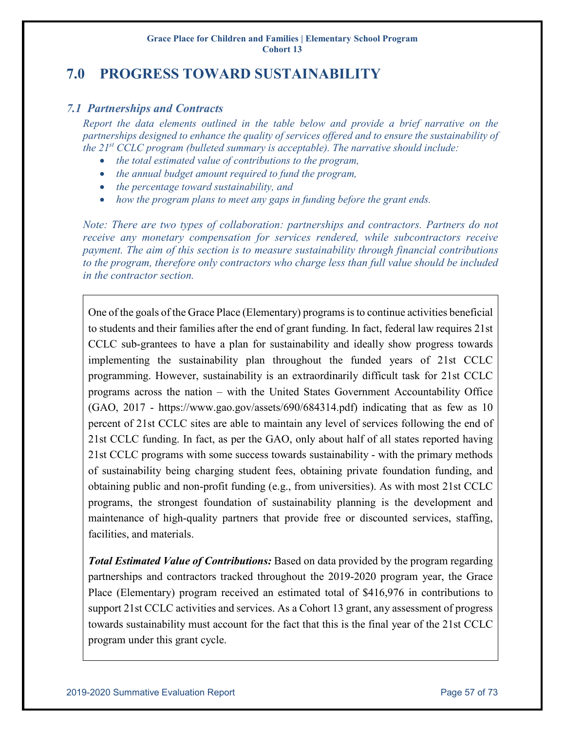# **7.0 PROGRESS TOWARD SUSTAINABILITY**

## *7.1 Partnerships and Contracts*

*Report the data elements outlined in the table below and provide a brief narrative on the partnerships designed to enhance the quality of services offered and to ensure the sustainability of the 21st CCLC program (bulleted summary is acceptable). The narrative should include:*

- *the total estimated value of contributions to the program,*
- *the annual budget amount required to fund the program,*
- *the percentage toward sustainability, and*
- *how the program plans to meet any gaps in funding before the grant ends.*

*Note: There are two types of collaboration: partnerships and contractors. Partners do not receive any monetary compensation for services rendered, while subcontractors receive payment. The aim of this section is to measure sustainability through financial contributions to the program, therefore only contractors who charge less than full value should be included in the contractor section.*

One of the goals of the Grace Place (Elementary) programs is to continue activities beneficial to students and their families after the end of grant funding. In fact, federal law requires 21st CCLC sub-grantees to have a plan for sustainability and ideally show progress towards implementing the sustainability plan throughout the funded years of 21st CCLC programming. However, sustainability is an extraordinarily difficult task for 21st CCLC programs across the nation – with the United States Government Accountability Office (GAO, 2017 - https://www.gao.gov/assets/690/684314.pdf) indicating that as few as 10 percent of 21st CCLC sites are able to maintain any level of services following the end of 21st CCLC funding. In fact, as per the GAO, only about half of all states reported having 21st CCLC programs with some success towards sustainability - with the primary methods of sustainability being charging student fees, obtaining private foundation funding, and obtaining public and non-profit funding (e.g., from universities). As with most 21st CCLC programs, the strongest foundation of sustainability planning is the development and maintenance of high-quality partners that provide free or discounted services, staffing, facilities, and materials.

*Total Estimated Value of Contributions:* Based on data provided by the program regarding partnerships and contractors tracked throughout the 2019-2020 program year, the Grace Place (Elementary) program received an estimated total of \$416,976 in contributions to support 21st CCLC activities and services. As a Cohort 13 grant, any assessment of progress towards sustainability must account for the fact that this is the final year of the 21st CCLC program under this grant cycle.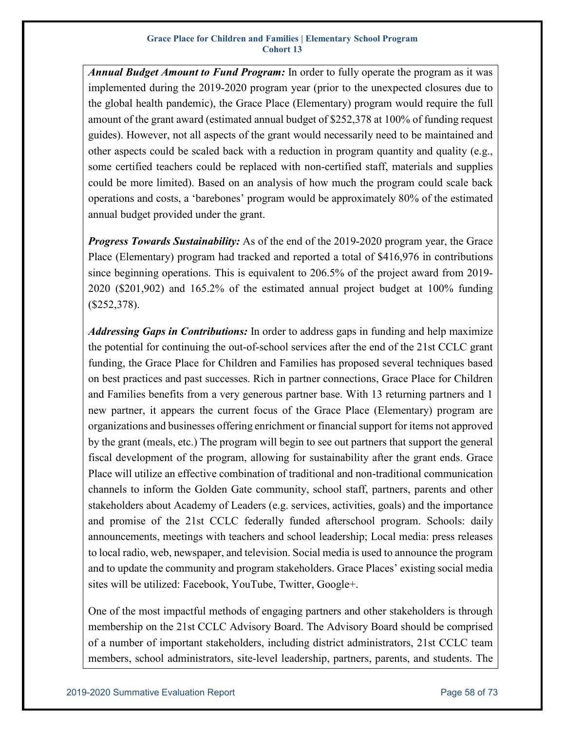*Annual Budget Amount to Fund Program:* In order to fully operate the program as it was implemented during the 2019-2020 program year (prior to the unexpected closures due to the global health pandemic), the Grace Place (Elementary) program would require the full amount of the grant award (estimated annual budget of \$252,378 at 100% of funding request guides). However, not all aspects of the grant would necessarily need to be maintained and other aspects could be scaled back with a reduction in program quantity and quality (e.g., some certified teachers could be replaced with non-certified staff, materials and supplies could be more limited). Based on an analysis of how much the program could scale back operations and costs, a 'barebones' program would be approximately 80% of the estimated annual budget provided under the grant.

*Progress Towards Sustainability:* As of the end of the 2019-2020 program year, the Grace Place (Elementary) program had tracked and reported a total of \$416,976 in contributions since beginning operations. This is equivalent to 206.5% of the project award from 2019- 2020 (\$201,902) and 165.2% of the estimated annual project budget at 100% funding (\$252,378).

*Addressing Gaps in Contributions:* In order to address gaps in funding and help maximize the potential for continuing the out-of-school services after the end of the 21st CCLC grant funding, the Grace Place for Children and Families has proposed several techniques based on best practices and past successes. Rich in partner connections, Grace Place for Children and Families benefits from a very generous partner base. With 13 returning partners and 1 new partner, it appears the current focus of the Grace Place (Elementary) program are organizations and businesses offering enrichment or financial support for items not approved by the grant (meals, etc.) The program will begin to see out partners that support the general fiscal development of the program, allowing for sustainability after the grant ends. Grace Place will utilize an effective combination of traditional and non-traditional communication channels to inform the Golden Gate community, school staff, partners, parents and other stakeholders about Academy of Leaders (e.g. services, activities, goals) and the importance and promise of the 21st CCLC federally funded afterschool program. Schools: daily announcements, meetings with teachers and school leadership; Local media: press releases to local radio, web, newspaper, and television. Social media is used to announce the program and to update the community and program stakeholders. Grace Places' existing social media sites will be utilized: Facebook, YouTube, Twitter, Google+.

One of the most impactful methods of engaging partners and other stakeholders is through membership on the 21st CCLC Advisory Board. The Advisory Board should be comprised of a number of important stakeholders, including district administrators, 21st CCLC team members, school administrators, site-level leadership, partners, parents, and students. The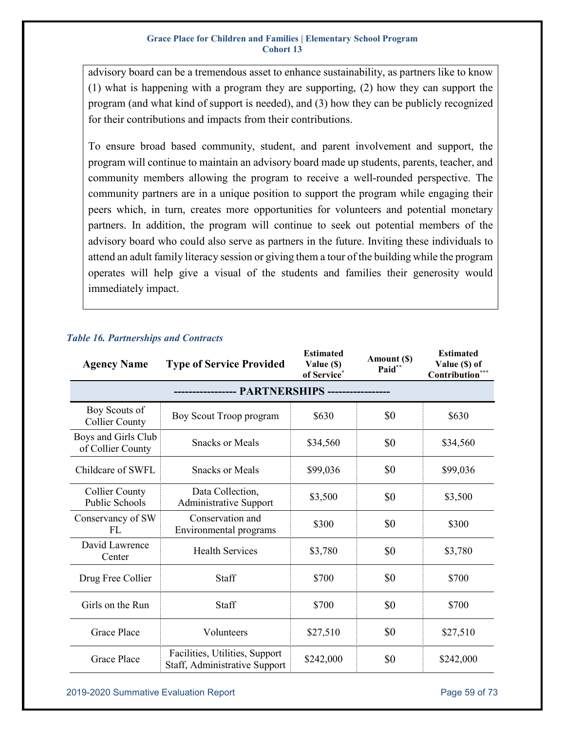advisory board can be a tremendous asset to enhance sustainability, as partners like to know (1) what is happening with a program they are supporting, (2) how they can support the program (and what kind of support is needed), and (3) how they can be publicly recognized for their contributions and impacts from their contributions.

To ensure broad based community, student, and parent involvement and support, the program will continue to maintain an advisory board made up students, parents, teacher, and community members allowing the program to receive a well-rounded perspective. The community partners are in a unique position to support the program while engaging their peers which, in turn, creates more opportunities for volunteers and potential monetary partners. In addition, the program will continue to seek out potential members of the advisory board who could also serve as partners in the future. Inviting these individuals to attend an adult family literacy session or giving them a tour of the building while the program operates will help give a visual of the students and families their generosity would immediately impact.

| <b>Agency Name</b>                             | <b>Type of Service Provided</b>                                 | <b>Estimated</b><br>Value (\$)<br>of Service* | Amount (\$)<br>Paid** | <b>Estimated</b><br>Value (\$) of<br>Contribution** |  |
|------------------------------------------------|-----------------------------------------------------------------|-----------------------------------------------|-----------------------|-----------------------------------------------------|--|
|                                                |                                                                 |                                               |                       |                                                     |  |
| Boy Scouts of<br><b>Collier County</b>         | Boy Scout Troop program                                         | \$630                                         | \$0                   | \$630                                               |  |
| Boys and Girls Club<br>of Collier County       | <b>Snacks or Meals</b>                                          | \$34,560                                      | \$0                   | \$34,560                                            |  |
| Childcare of SWFL                              | <b>Snacks or Meals</b>                                          | \$99,036                                      | \$0                   | \$99,036                                            |  |
| <b>Collier County</b><br><b>Public Schools</b> | Data Collection,<br><b>Administrative Support</b>               | \$3,500                                       | \$0                   | \$3,500                                             |  |
| Conservancy of SW<br>FL                        | Conservation and<br>Environmental programs                      | \$300                                         | \$0                   | \$300                                               |  |
| David Lawrence<br>Center                       | <b>Health Services</b>                                          | \$3,780                                       | \$0                   | \$3,780                                             |  |
| Drug Free Collier                              | Staff                                                           | \$700                                         | \$0                   | \$700                                               |  |
| Girls on the Run                               | Staff                                                           | \$700                                         | \$0                   | \$700                                               |  |
| <b>Grace Place</b>                             | Volunteers                                                      | \$27,510                                      | \$0                   | \$27,510                                            |  |
| <b>Grace Place</b>                             | Facilities, Utilities, Support<br>Staff, Administrative Support | \$242,000                                     | \$0                   | \$242,000                                           |  |

## *Table 16. Partnerships and Contracts*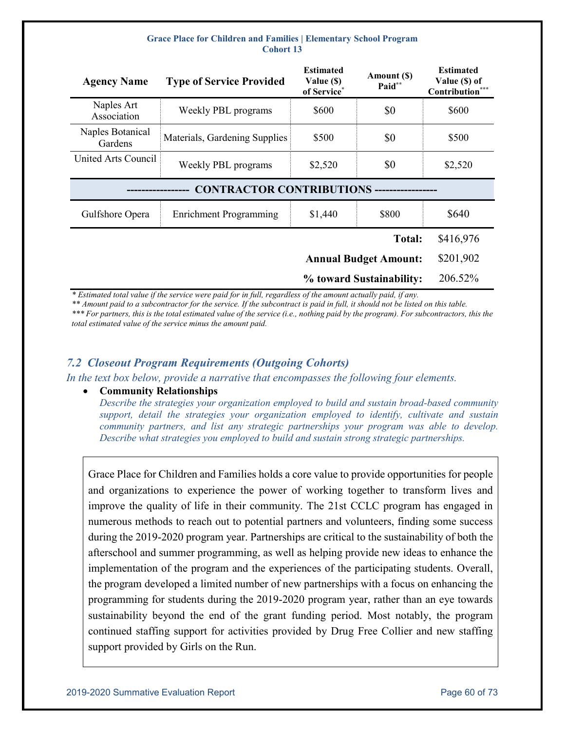| <b>Agency Name</b>                                | <b>Type of Service Provided</b> | <b>Estimated</b><br>Value (\$)<br>of Service* | Amount (\$)<br>Paid**        | <b>Estimated</b><br>Value (\$) of<br>Contribution*** |  |
|---------------------------------------------------|---------------------------------|-----------------------------------------------|------------------------------|------------------------------------------------------|--|
| Naples Art<br>Association                         | Weekly PBL programs             | \$600                                         | \$0                          | \$600                                                |  |
| Naples Botanical<br>Gardens                       | Materials, Gardening Supplies   | \$500                                         | \$0                          | \$500                                                |  |
| United Arts Council                               | Weekly PBL programs             | \$2,520                                       | \$0                          | \$2,520                                              |  |
| <b>CONTRACTOR CONTRIBUTIONS -----------------</b> |                                 |                                               |                              |                                                      |  |
| Gulfshore Opera                                   | <b>Enrichment Programming</b>   | \$1,440                                       | \$800                        | \$640                                                |  |
|                                                   |                                 |                                               | <b>Total:</b>                | \$416,976                                            |  |
|                                                   |                                 |                                               | <b>Annual Budget Amount:</b> | \$201,902                                            |  |
|                                                   |                                 |                                               | % toward Sustainability:     | 206.52%                                              |  |

*\* Estimated total value if the service were paid for in full, regardless of the amount actually paid, if any.* 

*\*\* Amount paid to a subcontractor for the service. If the subcontract is paid in full, it should not be listed on this table. \*\*\* For partners, this is the total estimated value of the service (i.e., nothing paid by the program). For subcontractors, this the total estimated value of the service minus the amount paid.*

## *7.2 Closeout Program Requirements (Outgoing Cohorts)*

*In the text box below, provide a narrative that encompasses the following four elements.*

### • **Community Relationships**

*Describe the strategies your organization employed to build and sustain broad‐based community support, detail the strategies your organization employed to identify, cultivate and sustain community partners, and list any strategic partnerships your program was able to develop. Describe what strategies you employed to build and sustain strong strategic partnerships.* 

Grace Place for Children and Families holds a core value to provide opportunities for people and organizations to experience the power of working together to transform lives and improve the quality of life in their community. The 21st CCLC program has engaged in numerous methods to reach out to potential partners and volunteers, finding some success during the 2019-2020 program year. Partnerships are critical to the sustainability of both the afterschool and summer programming, as well as helping provide new ideas to enhance the implementation of the program and the experiences of the participating students. Overall, the program developed a limited number of new partnerships with a focus on enhancing the programming for students during the 2019-2020 program year, rather than an eye towards sustainability beyond the end of the grant funding period. Most notably, the program continued staffing support for activities provided by Drug Free Collier and new staffing support provided by Girls on the Run.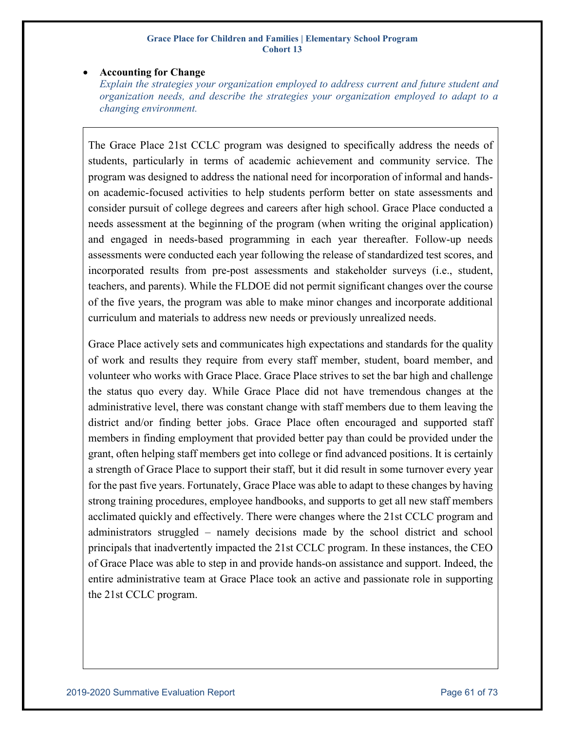### • **Accounting for Change**

*Explain the strategies your organization employed to address current and future student and organization needs, and describe the strategies your organization employed to adapt to a changing environment.* 

The Grace Place 21st CCLC program was designed to specifically address the needs of students, particularly in terms of academic achievement and community service. The program was designed to address the national need for incorporation of informal and handson academic-focused activities to help students perform better on state assessments and consider pursuit of college degrees and careers after high school. Grace Place conducted a needs assessment at the beginning of the program (when writing the original application) and engaged in needs-based programming in each year thereafter. Follow-up needs assessments were conducted each year following the release of standardized test scores, and incorporated results from pre-post assessments and stakeholder surveys (i.e., student, teachers, and parents). While the FLDOE did not permit significant changes over the course of the five years, the program was able to make minor changes and incorporate additional curriculum and materials to address new needs or previously unrealized needs.

Grace Place actively sets and communicates high expectations and standards for the quality of work and results they require from every staff member, student, board member, and volunteer who works with Grace Place. Grace Place strives to set the bar high and challenge the status quo every day. While Grace Place did not have tremendous changes at the administrative level, there was constant change with staff members due to them leaving the district and/or finding better jobs. Grace Place often encouraged and supported staff members in finding employment that provided better pay than could be provided under the grant, often helping staff members get into college or find advanced positions. It is certainly a strength of Grace Place to support their staff, but it did result in some turnover every year for the past five years. Fortunately, Grace Place was able to adapt to these changes by having strong training procedures, employee handbooks, and supports to get all new staff members acclimated quickly and effectively. There were changes where the 21st CCLC program and administrators struggled – namely decisions made by the school district and school principals that inadvertently impacted the 21st CCLC program. In these instances, the CEO of Grace Place was able to step in and provide hands-on assistance and support. Indeed, the entire administrative team at Grace Place took an active and passionate role in supporting the 21st CCLC program.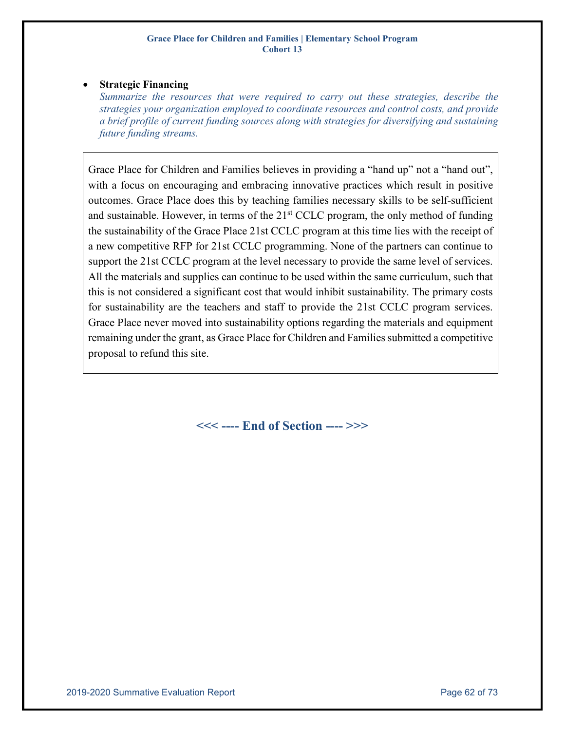## • **Strategic Financing**

*Summarize the resources that were required to carry out these strategies, describe the strategies your organization employed to coordinate resources and control costs, and provide a brief profile of current funding sources along with strategies for diversifying and sustaining future funding streams.* 

Grace Place for Children and Families believes in providing a "hand up" not a "hand out", with a focus on encouraging and embracing innovative practices which result in positive outcomes. Grace Place does this by teaching families necessary skills to be self-sufficient and sustainable. However, in terms of the  $21<sup>st</sup> CCLC$  program, the only method of funding the sustainability of the Grace Place 21st CCLC program at this time lies with the receipt of a new competitive RFP for 21st CCLC programming. None of the partners can continue to support the 21st CCLC program at the level necessary to provide the same level of services. All the materials and supplies can continue to be used within the same curriculum, such that this is not considered a significant cost that would inhibit sustainability. The primary costs for sustainability are the teachers and staff to provide the 21st CCLC program services. Grace Place never moved into sustainability options regarding the materials and equipment remaining under the grant, as Grace Place for Children and Families submitted a competitive proposal to refund this site.

**<<< ---- End of Section ---- >>>**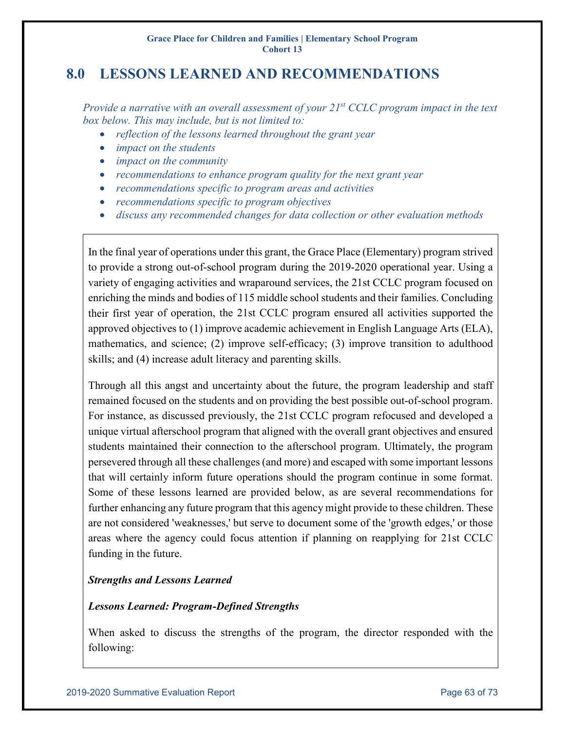# **8.0 LESSONS LEARNED AND RECOMMENDATIONS**

*Provide a narrative with an overall assessment of your 21st CCLC program impact in the text box below. This may include, but is not limited to:*

- *reflection of the lessons learned throughout the grant year*
- *impact on the students*
- *impact on the community*
- *recommendations to enhance program quality for the next grant year*
- *recommendations specific to program areas and activities*
- *recommendations specific to program objectives*
- *discuss any recommended changes for data collection or other evaluation methods*

In the final year of operations under this grant, the Grace Place (Elementary) program strived to provide a strong out-of-school program during the 2019-2020 operational year. Using a variety of engaging activities and wraparound services, the 21st CCLC program focused on enriching the minds and bodies of 115 middle school students and their families. Concluding their first year of operation, the 21st CCLC program ensured all activities supported the approved objectives to (1) improve academic achievement in English Language Arts (ELA), mathematics, and science; (2) improve self-efficacy; (3) improve transition to adulthood skills; and (4) increase adult literacy and parenting skills.

Through all this angst and uncertainty about the future, the program leadership and staff remained focused on the students and on providing the best possible out-of-school program. For instance, as discussed previously, the 21st CCLC program refocused and developed a unique virtual afterschool program that aligned with the overall grant objectives and ensured students maintained their connection to the afterschool program. Ultimately, the program persevered through all these challenges (and more) and escaped with some important lessons that will certainly inform future operations should the program continue in some format. Some of these lessons learned are provided below, as are several recommendations for further enhancing any future program that this agency might provide to these children. These are not considered 'weaknesses,' but serve to document some of the 'growth edges,' or those areas where the agency could focus attention if planning on reapplying for 21st CCLC funding in the future.

## *Strengths and Lessons Learned*

## *Lessons Learned: Program-Defined Strengths*

When asked to discuss the strengths of the program, the director responded with the following: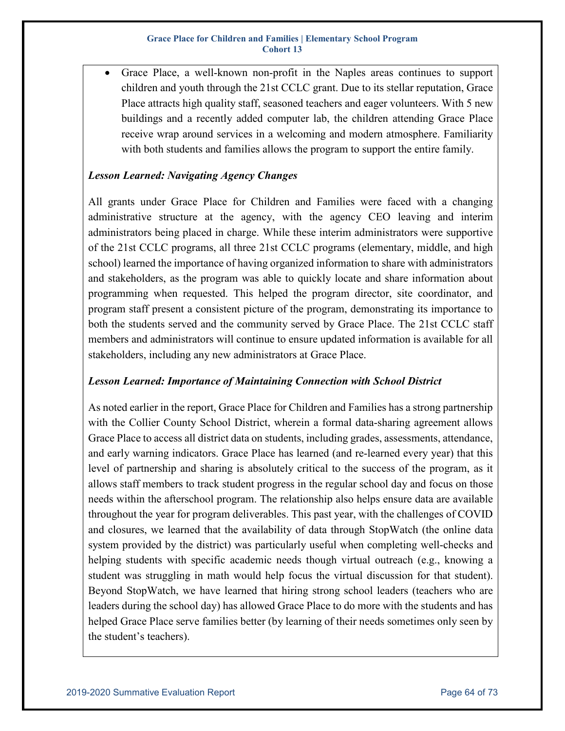• Grace Place, a well-known non-profit in the Naples areas continues to support children and youth through the 21st CCLC grant. Due to its stellar reputation, Grace Place attracts high quality staff, seasoned teachers and eager volunteers. With 5 new buildings and a recently added computer lab, the children attending Grace Place receive wrap around services in a welcoming and modern atmosphere. Familiarity with both students and families allows the program to support the entire family.

## *Lesson Learned: Navigating Agency Changes*

All grants under Grace Place for Children and Families were faced with a changing administrative structure at the agency, with the agency CEO leaving and interim administrators being placed in charge. While these interim administrators were supportive of the 21st CCLC programs, all three 21st CCLC programs (elementary, middle, and high school) learned the importance of having organized information to share with administrators and stakeholders, as the program was able to quickly locate and share information about programming when requested. This helped the program director, site coordinator, and program staff present a consistent picture of the program, demonstrating its importance to both the students served and the community served by Grace Place. The 21st CCLC staff members and administrators will continue to ensure updated information is available for all stakeholders, including any new administrators at Grace Place.

## *Lesson Learned: Importance of Maintaining Connection with School District*

As noted earlier in the report, Grace Place for Children and Families has a strong partnership with the Collier County School District, wherein a formal data-sharing agreement allows Grace Place to access all district data on students, including grades, assessments, attendance, and early warning indicators. Grace Place has learned (and re-learned every year) that this level of partnership and sharing is absolutely critical to the success of the program, as it allows staff members to track student progress in the regular school day and focus on those needs within the afterschool program. The relationship also helps ensure data are available throughout the year for program deliverables. This past year, with the challenges of COVID and closures, we learned that the availability of data through StopWatch (the online data system provided by the district) was particularly useful when completing well-checks and helping students with specific academic needs though virtual outreach (e.g., knowing a student was struggling in math would help focus the virtual discussion for that student). Beyond StopWatch, we have learned that hiring strong school leaders (teachers who are leaders during the school day) has allowed Grace Place to do more with the students and has helped Grace Place serve families better (by learning of their needs sometimes only seen by the student's teachers).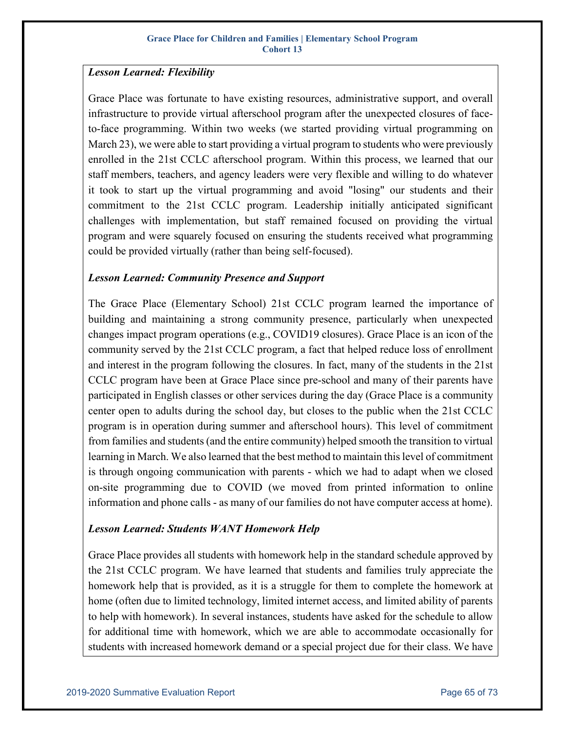## *Lesson Learned: Flexibility*

Grace Place was fortunate to have existing resources, administrative support, and overall infrastructure to provide virtual afterschool program after the unexpected closures of faceto-face programming. Within two weeks (we started providing virtual programming on March 23), we were able to start providing a virtual program to students who were previously enrolled in the 21st CCLC afterschool program. Within this process, we learned that our staff members, teachers, and agency leaders were very flexible and willing to do whatever it took to start up the virtual programming and avoid "losing" our students and their commitment to the 21st CCLC program. Leadership initially anticipated significant challenges with implementation, but staff remained focused on providing the virtual program and were squarely focused on ensuring the students received what programming could be provided virtually (rather than being self-focused).

## *Lesson Learned: Community Presence and Support*

The Grace Place (Elementary School) 21st CCLC program learned the importance of building and maintaining a strong community presence, particularly when unexpected changes impact program operations (e.g., COVID19 closures). Grace Place is an icon of the community served by the 21st CCLC program, a fact that helped reduce loss of enrollment and interest in the program following the closures. In fact, many of the students in the 21st CCLC program have been at Grace Place since pre-school and many of their parents have participated in English classes or other services during the day (Grace Place is a community center open to adults during the school day, but closes to the public when the 21st CCLC program is in operation during summer and afterschool hours). This level of commitment from families and students (and the entire community) helped smooth the transition to virtual learning in March. We also learned that the best method to maintain this level of commitment is through ongoing communication with parents - which we had to adapt when we closed on-site programming due to COVID (we moved from printed information to online information and phone calls - as many of our families do not have computer access at home).

## *Lesson Learned: Students WANT Homework Help*

Grace Place provides all students with homework help in the standard schedule approved by the 21st CCLC program. We have learned that students and families truly appreciate the homework help that is provided, as it is a struggle for them to complete the homework at home (often due to limited technology, limited internet access, and limited ability of parents to help with homework). In several instances, students have asked for the schedule to allow for additional time with homework, which we are able to accommodate occasionally for students with increased homework demand or a special project due for their class. We have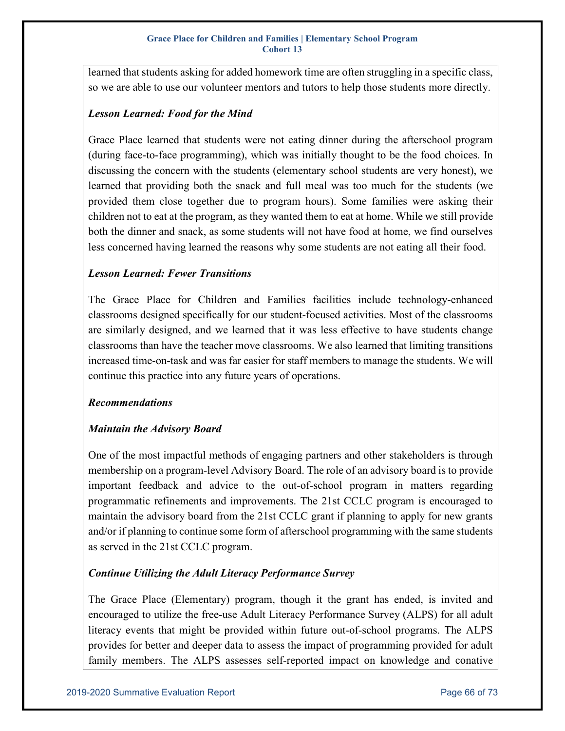learned that students asking for added homework time are often struggling in a specific class, so we are able to use our volunteer mentors and tutors to help those students more directly.

## *Lesson Learned: Food for the Mind*

Grace Place learned that students were not eating dinner during the afterschool program (during face-to-face programming), which was initially thought to be the food choices. In discussing the concern with the students (elementary school students are very honest), we learned that providing both the snack and full meal was too much for the students (we provided them close together due to program hours). Some families were asking their children not to eat at the program, as they wanted them to eat at home. While we still provide both the dinner and snack, as some students will not have food at home, we find ourselves less concerned having learned the reasons why some students are not eating all their food.

## *Lesson Learned: Fewer Transitions*

The Grace Place for Children and Families facilities include technology-enhanced classrooms designed specifically for our student-focused activities. Most of the classrooms are similarly designed, and we learned that it was less effective to have students change classrooms than have the teacher move classrooms. We also learned that limiting transitions increased time-on-task and was far easier for staff members to manage the students. We will continue this practice into any future years of operations.

## *Recommendations*

## *Maintain the Advisory Board*

One of the most impactful methods of engaging partners and other stakeholders is through membership on a program-level Advisory Board. The role of an advisory board is to provide important feedback and advice to the out-of-school program in matters regarding programmatic refinements and improvements. The 21st CCLC program is encouraged to maintain the advisory board from the 21st CCLC grant if planning to apply for new grants and/or if planning to continue some form of afterschool programming with the same students as served in the 21st CCLC program.

## *Continue Utilizing the Adult Literacy Performance Survey*

The Grace Place (Elementary) program, though it the grant has ended, is invited and encouraged to utilize the free-use Adult Literacy Performance Survey (ALPS) for all adult literacy events that might be provided within future out-of-school programs. The ALPS provides for better and deeper data to assess the impact of programming provided for adult family members. The ALPS assesses self-reported impact on knowledge and conative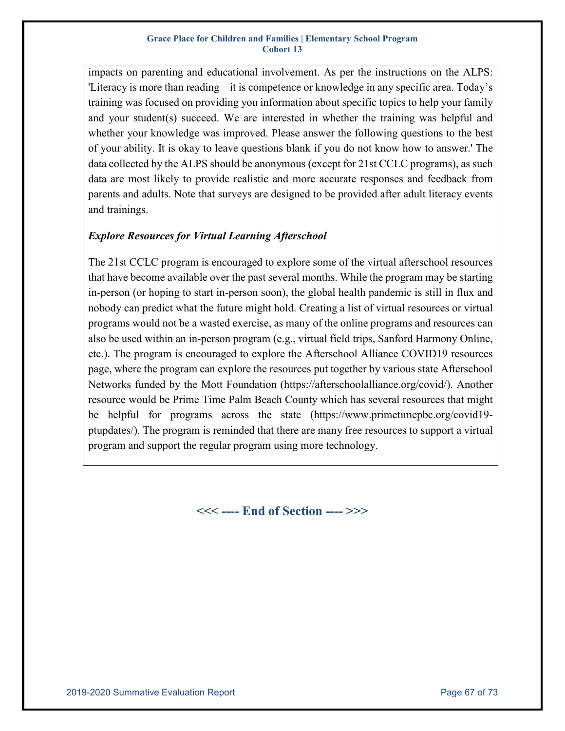impacts on parenting and educational involvement. As per the instructions on the ALPS: 'Literacy is more than reading – it is competence or knowledge in any specific area. Today's training was focused on providing you information about specific topics to help your family and your student(s) succeed. We are interested in whether the training was helpful and whether your knowledge was improved. Please answer the following questions to the best of your ability. It is okay to leave questions blank if you do not know how to answer.' The data collected by the ALPS should be anonymous (except for 21st CCLC programs), as such data are most likely to provide realistic and more accurate responses and feedback from parents and adults. Note that surveys are designed to be provided after adult literacy events and trainings.

## *Explore Resources for Virtual Learning Afterschool*

The 21st CCLC program is encouraged to explore some of the virtual afterschool resources that have become available over the past several months. While the program may be starting in-person (or hoping to start in-person soon), the global health pandemic is still in flux and nobody can predict what the future might hold. Creating a list of virtual resources or virtual programs would not be a wasted exercise, as many of the online programs and resources can also be used within an in-person program (e.g., virtual field trips, Sanford Harmony Online, etc.). The program is encouraged to explore the Afterschool Alliance COVID19 resources page, where the program can explore the resources put together by various state Afterschool Networks funded by the Mott Foundation (https://afterschoolalliance.org/covid/). Another resource would be Prime Time Palm Beach County which has several resources that might be helpful for programs across the state (https://www.primetimepbc.org/covid19 ptupdates/). The program is reminded that there are many free resources to support a virtual program and support the regular program using more technology.

**<<< ---- End of Section ---- >>>**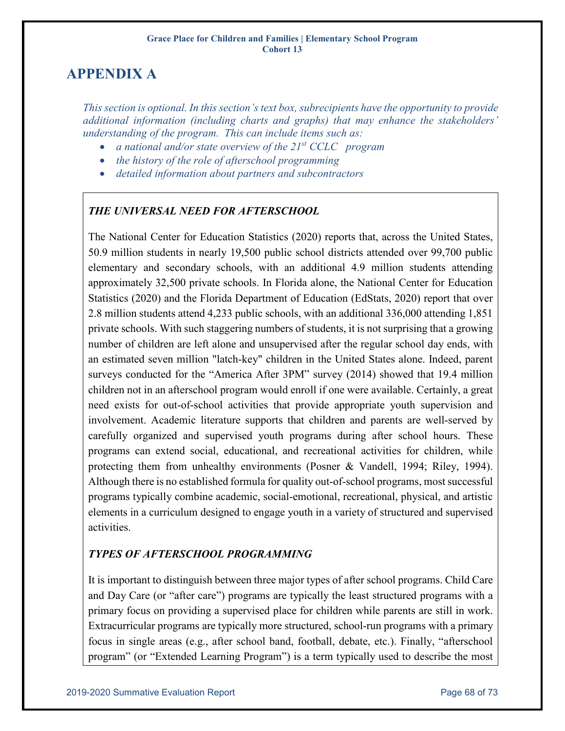# **APPENDIX A**

*This section is optional. In this section's text box, subrecipients have the opportunity to provide additional information (including charts and graphs) that may enhance the stakeholders' understanding of the program. This can include items such as:*

- *a national and/or state overview of the 21st CCLC program*
- *the history of the role of afterschool programming*
- *detailed information about partners and subcontractors*

# *THE UNIVERSAL NEED FOR AFTERSCHOOL*

The National Center for Education Statistics (2020) reports that, across the United States, 50.9 million students in nearly 19,500 public school districts attended over 99,700 public elementary and secondary schools, with an additional 4.9 million students attending approximately 32,500 private schools. In Florida alone, the National Center for Education Statistics (2020) and the Florida Department of Education (EdStats, 2020) report that over 2.8 million students attend 4,233 public schools, with an additional 336,000 attending 1,851 private schools. With such staggering numbers of students, it is not surprising that a growing number of children are left alone and unsupervised after the regular school day ends, with an estimated seven million "latch-key" children in the United States alone. Indeed, parent surveys conducted for the "America After 3PM" survey (2014) showed that 19.4 million children not in an afterschool program would enroll if one were available. Certainly, a great need exists for out-of-school activities that provide appropriate youth supervision and involvement. Academic literature supports that children and parents are well-served by carefully organized and supervised youth programs during after school hours. These programs can extend social, educational, and recreational activities for children, while protecting them from unhealthy environments (Posner & Vandell, 1994; Riley, 1994). Although there is no established formula for quality out-of-school programs, most successful programs typically combine academic, social-emotional, recreational, physical, and artistic elements in a curriculum designed to engage youth in a variety of structured and supervised activities.

# *TYPES OF AFTERSCHOOL PROGRAMMING*

It is important to distinguish between three major types of after school programs. Child Care and Day Care (or "after care") programs are typically the least structured programs with a primary focus on providing a supervised place for children while parents are still in work. Extracurricular programs are typically more structured, school-run programs with a primary focus in single areas (e.g., after school band, football, debate, etc.). Finally, "afterschool program" (or "Extended Learning Program") is a term typically used to describe the most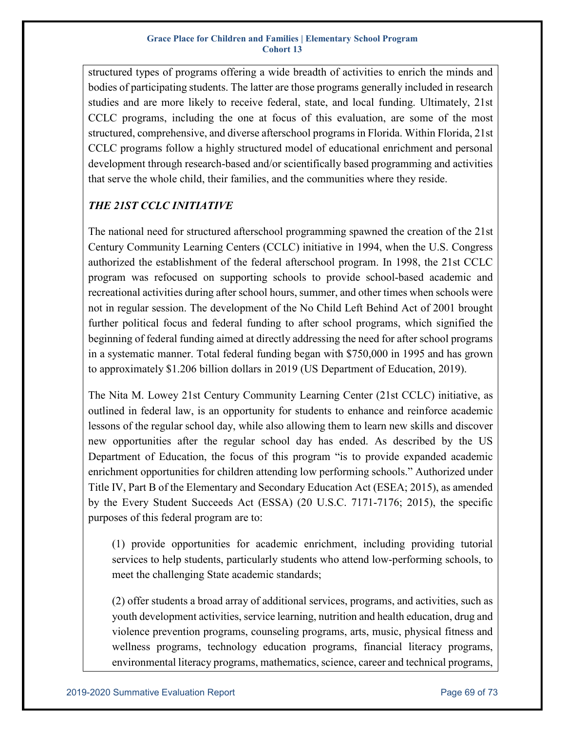structured types of programs offering a wide breadth of activities to enrich the minds and bodies of participating students. The latter are those programs generally included in research studies and are more likely to receive federal, state, and local funding. Ultimately, 21st CCLC programs, including the one at focus of this evaluation, are some of the most structured, comprehensive, and diverse afterschool programs in Florida. Within Florida, 21st CCLC programs follow a highly structured model of educational enrichment and personal development through research-based and/or scientifically based programming and activities that serve the whole child, their families, and the communities where they reside.

# *THE 21ST CCLC INITIATIVE*

The national need for structured afterschool programming spawned the creation of the 21st Century Community Learning Centers (CCLC) initiative in 1994, when the U.S. Congress authorized the establishment of the federal afterschool program. In 1998, the 21st CCLC program was refocused on supporting schools to provide school-based academic and recreational activities during after school hours, summer, and other times when schools were not in regular session. The development of the No Child Left Behind Act of 2001 brought further political focus and federal funding to after school programs, which signified the beginning of federal funding aimed at directly addressing the need for after school programs in a systematic manner. Total federal funding began with \$750,000 in 1995 and has grown to approximately \$1.206 billion dollars in 2019 (US Department of Education, 2019).

The Nita M. Lowey 21st Century Community Learning Center (21st CCLC) initiative, as outlined in federal law, is an opportunity for students to enhance and reinforce academic lessons of the regular school day, while also allowing them to learn new skills and discover new opportunities after the regular school day has ended. As described by the US Department of Education, the focus of this program "is to provide expanded academic enrichment opportunities for children attending low performing schools." Authorized under Title IV, Part B of the Elementary and Secondary Education Act (ESEA; 2015), as amended by the Every Student Succeeds Act (ESSA) (20 U.S.C. 7171-7176; 2015), the specific purposes of this federal program are to:

(1) provide opportunities for academic enrichment, including providing tutorial services to help students, particularly students who attend low-performing schools, to meet the challenging State academic standards;

(2) offer students a broad array of additional services, programs, and activities, such as youth development activities, service learning, nutrition and health education, drug and violence prevention programs, counseling programs, arts, music, physical fitness and wellness programs, technology education programs, financial literacy programs, environmental literacy programs, mathematics, science, career and technical programs,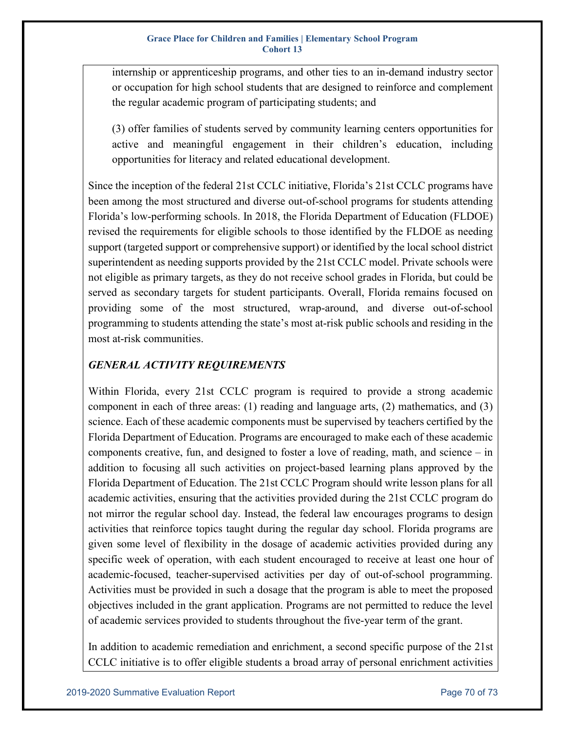internship or apprenticeship programs, and other ties to an in-demand industry sector or occupation for high school students that are designed to reinforce and complement the regular academic program of participating students; and

(3) offer families of students served by community learning centers opportunities for active and meaningful engagement in their children's education, including opportunities for literacy and related educational development.

Since the inception of the federal 21st CCLC initiative, Florida's 21st CCLC programs have been among the most structured and diverse out-of-school programs for students attending Florida's low-performing schools. In 2018, the Florida Department of Education (FLDOE) revised the requirements for eligible schools to those identified by the FLDOE as needing support (targeted support or comprehensive support) or identified by the local school district superintendent as needing supports provided by the 21st CCLC model. Private schools were not eligible as primary targets, as they do not receive school grades in Florida, but could be served as secondary targets for student participants. Overall, Florida remains focused on providing some of the most structured, wrap-around, and diverse out-of-school programming to students attending the state's most at-risk public schools and residing in the most at-risk communities.

# *GENERAL ACTIVITY REQUIREMENTS*

Within Florida, every 21st CCLC program is required to provide a strong academic component in each of three areas:  $(1)$  reading and language arts,  $(2)$  mathematics, and  $(3)$ science. Each of these academic components must be supervised by teachers certified by the Florida Department of Education. Programs are encouraged to make each of these academic components creative, fun, and designed to foster a love of reading, math, and science – in addition to focusing all such activities on project-based learning plans approved by the Florida Department of Education. The 21st CCLC Program should write lesson plans for all academic activities, ensuring that the activities provided during the 21st CCLC program do not mirror the regular school day. Instead, the federal law encourages programs to design activities that reinforce topics taught during the regular day school. Florida programs are given some level of flexibility in the dosage of academic activities provided during any specific week of operation, with each student encouraged to receive at least one hour of academic-focused, teacher-supervised activities per day of out-of-school programming. Activities must be provided in such a dosage that the program is able to meet the proposed objectives included in the grant application. Programs are not permitted to reduce the level of academic services provided to students throughout the five-year term of the grant.

In addition to academic remediation and enrichment, a second specific purpose of the 21st CCLC initiative is to offer eligible students a broad array of personal enrichment activities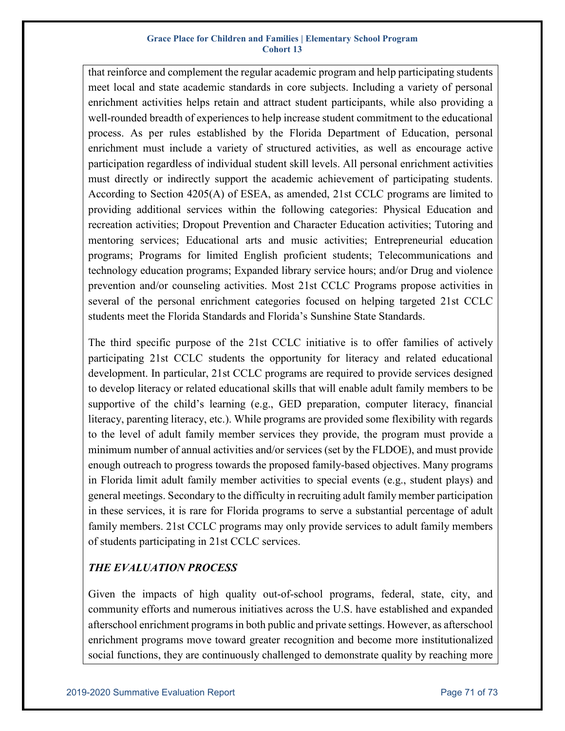that reinforce and complement the regular academic program and help participating students meet local and state academic standards in core subjects. Including a variety of personal enrichment activities helps retain and attract student participants, while also providing a well-rounded breadth of experiences to help increase student commitment to the educational process. As per rules established by the Florida Department of Education, personal enrichment must include a variety of structured activities, as well as encourage active participation regardless of individual student skill levels. All personal enrichment activities must directly or indirectly support the academic achievement of participating students. According to Section 4205(A) of ESEA, as amended, 21st CCLC programs are limited to providing additional services within the following categories: Physical Education and recreation activities; Dropout Prevention and Character Education activities; Tutoring and mentoring services; Educational arts and music activities; Entrepreneurial education programs; Programs for limited English proficient students; Telecommunications and technology education programs; Expanded library service hours; and/or Drug and violence prevention and/or counseling activities. Most 21st CCLC Programs propose activities in several of the personal enrichment categories focused on helping targeted 21st CCLC students meet the Florida Standards and Florida's Sunshine State Standards.

The third specific purpose of the 21st CCLC initiative is to offer families of actively participating 21st CCLC students the opportunity for literacy and related educational development. In particular, 21st CCLC programs are required to provide services designed to develop literacy or related educational skills that will enable adult family members to be supportive of the child's learning (e.g., GED preparation, computer literacy, financial literacy, parenting literacy, etc.). While programs are provided some flexibility with regards to the level of adult family member services they provide, the program must provide a minimum number of annual activities and/or services (set by the FLDOE), and must provide enough outreach to progress towards the proposed family-based objectives. Many programs in Florida limit adult family member activities to special events (e.g., student plays) and general meetings. Secondary to the difficulty in recruiting adult family member participation in these services, it is rare for Florida programs to serve a substantial percentage of adult family members. 21st CCLC programs may only provide services to adult family members of students participating in 21st CCLC services.

# *THE EVALUATION PROCESS*

Given the impacts of high quality out-of-school programs, federal, state, city, and community efforts and numerous initiatives across the U.S. have established and expanded afterschool enrichment programs in both public and private settings. However, as afterschool enrichment programs move toward greater recognition and become more institutionalized social functions, they are continuously challenged to demonstrate quality by reaching more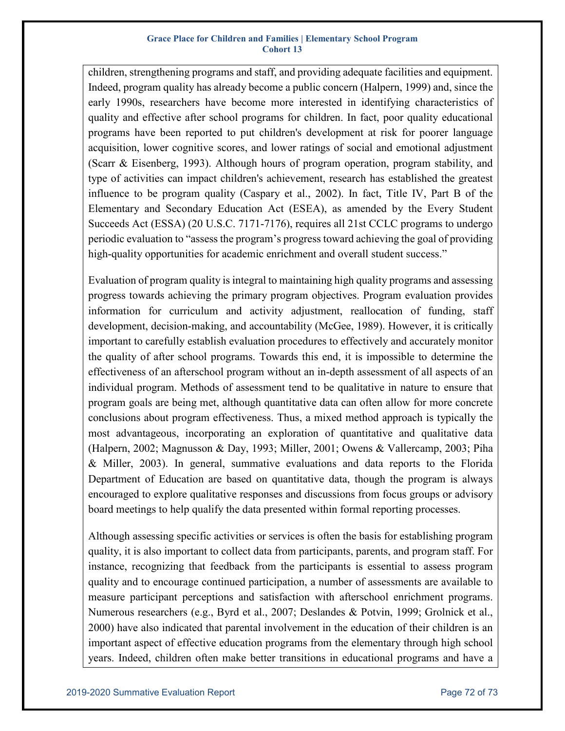children, strengthening programs and staff, and providing adequate facilities and equipment. Indeed, program quality has already become a public concern (Halpern, 1999) and, since the early 1990s, researchers have become more interested in identifying characteristics of quality and effective after school programs for children. In fact, poor quality educational programs have been reported to put children's development at risk for poorer language acquisition, lower cognitive scores, and lower ratings of social and emotional adjustment (Scarr & Eisenberg, 1993). Although hours of program operation, program stability, and type of activities can impact children's achievement, research has established the greatest influence to be program quality (Caspary et al., 2002). In fact, Title IV, Part B of the Elementary and Secondary Education Act (ESEA), as amended by the Every Student Succeeds Act (ESSA) (20 U.S.C. 7171-7176), requires all 21st CCLC programs to undergo periodic evaluation to "assess the program's progress toward achieving the goal of providing high-quality opportunities for academic enrichment and overall student success."

Evaluation of program quality is integral to maintaining high quality programs and assessing progress towards achieving the primary program objectives. Program evaluation provides information for curriculum and activity adjustment, reallocation of funding, staff development, decision-making, and accountability (McGee, 1989). However, it is critically important to carefully establish evaluation procedures to effectively and accurately monitor the quality of after school programs. Towards this end, it is impossible to determine the effectiveness of an afterschool program without an in-depth assessment of all aspects of an individual program. Methods of assessment tend to be qualitative in nature to ensure that program goals are being met, although quantitative data can often allow for more concrete conclusions about program effectiveness. Thus, a mixed method approach is typically the most advantageous, incorporating an exploration of quantitative and qualitative data (Halpern, 2002; Magnusson & Day, 1993; Miller, 2001; Owens & Vallercamp, 2003; Piha & Miller, 2003). In general, summative evaluations and data reports to the Florida Department of Education are based on quantitative data, though the program is always encouraged to explore qualitative responses and discussions from focus groups or advisory board meetings to help qualify the data presented within formal reporting processes.

Although assessing specific activities or services is often the basis for establishing program quality, it is also important to collect data from participants, parents, and program staff. For instance, recognizing that feedback from the participants is essential to assess program quality and to encourage continued participation, a number of assessments are available to measure participant perceptions and satisfaction with afterschool enrichment programs. Numerous researchers (e.g., Byrd et al., 2007; Deslandes & Potvin, 1999; Grolnick et al., 2000) have also indicated that parental involvement in the education of their children is an important aspect of effective education programs from the elementary through high school years. Indeed, children often make better transitions in educational programs and have a